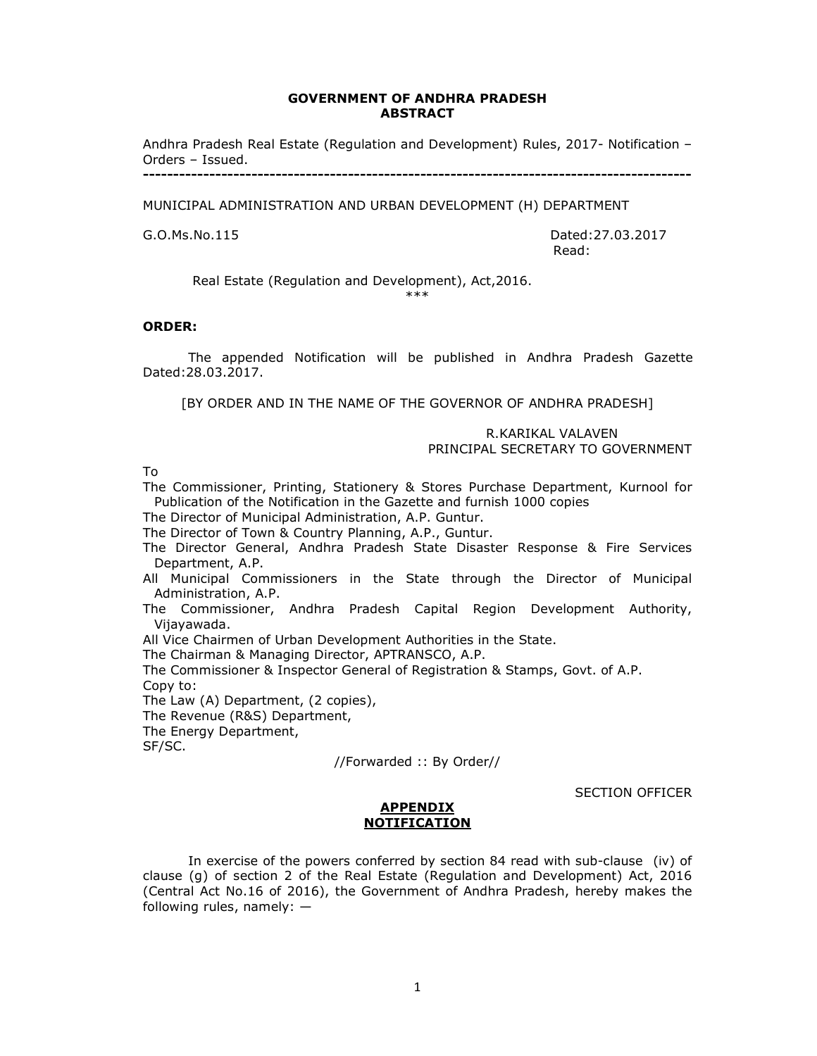#### **GOVERNMENT OF ANDHRA PRADESH ABSTRACT**

Andhra Pradesh Real Estate (Regulation and Development) Rules, 2017- Notification – Orders – Issued. **-------------------------------------------------------------------------------------------** 

MUNICIPAL ADMINISTRATION AND URBAN DEVELOPMENT (H) DEPARTMENT

G.O.Ms.No.115 Dated:27.03.2017 read: the contract of the contract of the contract of the contract of the contract of the contract of the contract of the contract of the contract of the contract of the contract of the contract of the contract of the cont

Real Estate (Regulation and Development), Act,2016.

\*\*\*

#### **ORDER:**

 The appended Notification will be published in Andhra Pradesh Gazette Dated:28.03.2017.

[BY ORDER AND IN THE NAME OF THE GOVERNOR OF ANDHRA PRADESH]

# R.KARIKAL VALAVEN

PRINCIPAL SECRETARY TO GOVERNMENT

To

The Commissioner, Printing, Stationery & Stores Purchase Department, Kurnool for Publication of the Notification in the Gazette and furnish 1000 copies

The Director of Municipal Administration, A.P. Guntur.

The Director of Town & Country Planning, A.P., Guntur.

- The Director General, Andhra Pradesh State Disaster Response & Fire Services Department, A.P.
- All Municipal Commissioners in the State through the Director of Municipal Administration, A.P.
- The Commissioner, Andhra Pradesh Capital Region Development Authority, Vijayawada.

All Vice Chairmen of Urban Development Authorities in the State.

The Chairman & Managing Director, APTRANSCO, A.P.

The Commissioner & Inspector General of Registration & Stamps, Govt. of A.P.

Copy to:

The Law (A) Department, (2 copies),

The Revenue (R&S) Department,

The Energy Department,

SF/SC.

//Forwarded :: By Order//

SECTION OFFICER

### **APPENDIX NOTIFICATION**

In exercise of the powers conferred by section 84 read with sub-clause (iv) of clause (g) of section 2 of the Real Estate (Regulation and Development) Act, 2016 (Central Act No.16 of 2016), the Government of Andhra Pradesh, hereby makes the following rules, namely: —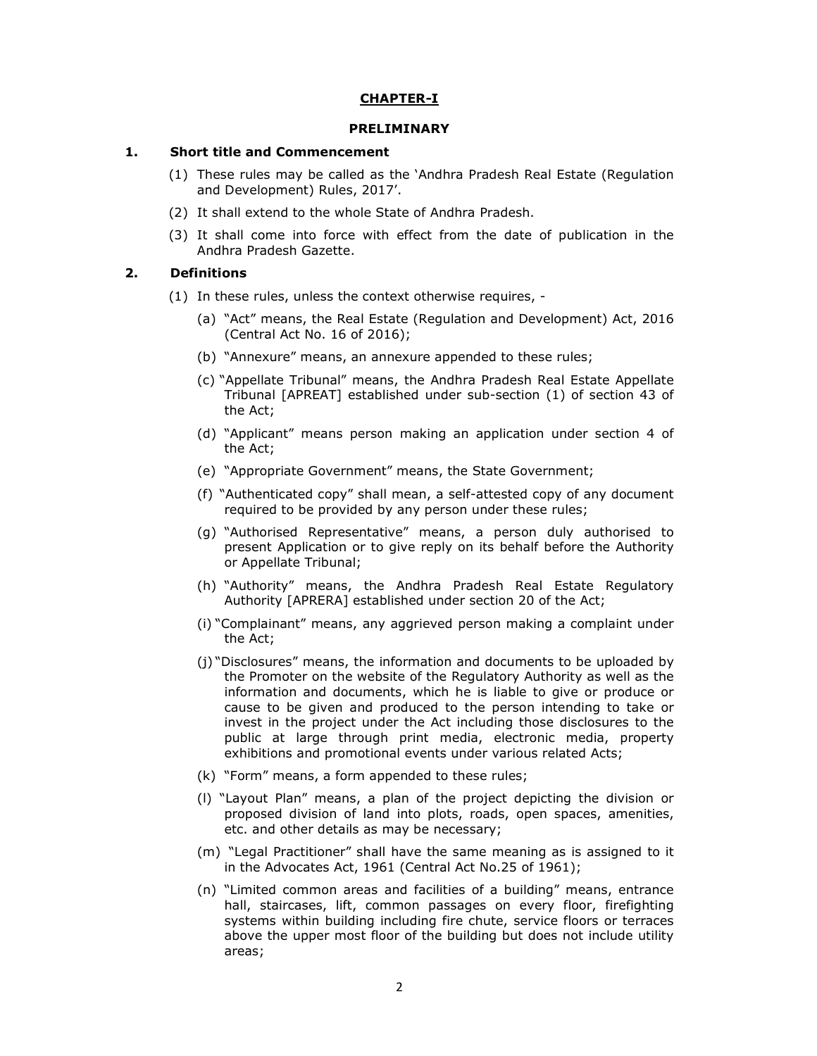### **CHAPTER-I**

#### **PRELIMINARY**

#### **1. Short title and Commencement**

- (1) These rules may be called as the 'Andhra Pradesh Real Estate (Regulation and Development) Rules, 2017'.
- (2) It shall extend to the whole State of Andhra Pradesh.
- (3) It shall come into force with effect from the date of publication in the Andhra Pradesh Gazette.

### **2. Definitions**

- (1) In these rules, unless the context otherwise requires,
	- (a) "Act" means, the Real Estate (Regulation and Development) Act, 2016 (Central Act No. 16 of 2016);
	- (b) "Annexure" means, an annexure appended to these rules;
	- (c) "Appellate Tribunal" means, the Andhra Pradesh Real Estate Appellate Tribunal [APREAT] established under sub-section (1) of section 43 of the Act;
	- (d) "Applicant" means person making an application under section 4 of the Act;
	- (e) "Appropriate Government" means, the State Government;
	- (f) "Authenticated copy" shall mean, a self-attested copy of any document required to be provided by any person under these rules;
	- (g) "Authorised Representative" means, a person duly authorised to present Application or to give reply on its behalf before the Authority or Appellate Tribunal;
	- (h) "Authority" means, the Andhra Pradesh Real Estate Regulatory Authority [APRERA] established under section 20 of the Act;
	- (i) "Complainant" means, any aggrieved person making a complaint under the Act;
	- (j) "Disclosures" means, the information and documents to be uploaded by the Promoter on the website of the Regulatory Authority as well as the information and documents, which he is liable to give or produce or cause to be given and produced to the person intending to take or invest in the project under the Act including those disclosures to the public at large through print media, electronic media, property exhibitions and promotional events under various related Acts;
	- (k) "Form" means, a form appended to these rules;
	- (l) "Layout Plan" means, a plan of the project depicting the division or proposed division of land into plots, roads, open spaces, amenities, etc. and other details as may be necessary;
	- (m) "Legal Practitioner" shall have the same meaning as is assigned to it in the Advocates Act, 1961 (Central Act No.25 of 1961);
	- (n) "Limited common areas and facilities of a building" means, entrance hall, staircases, lift, common passages on every floor, firefighting systems within building including fire chute, service floors or terraces above the upper most floor of the building but does not include utility areas;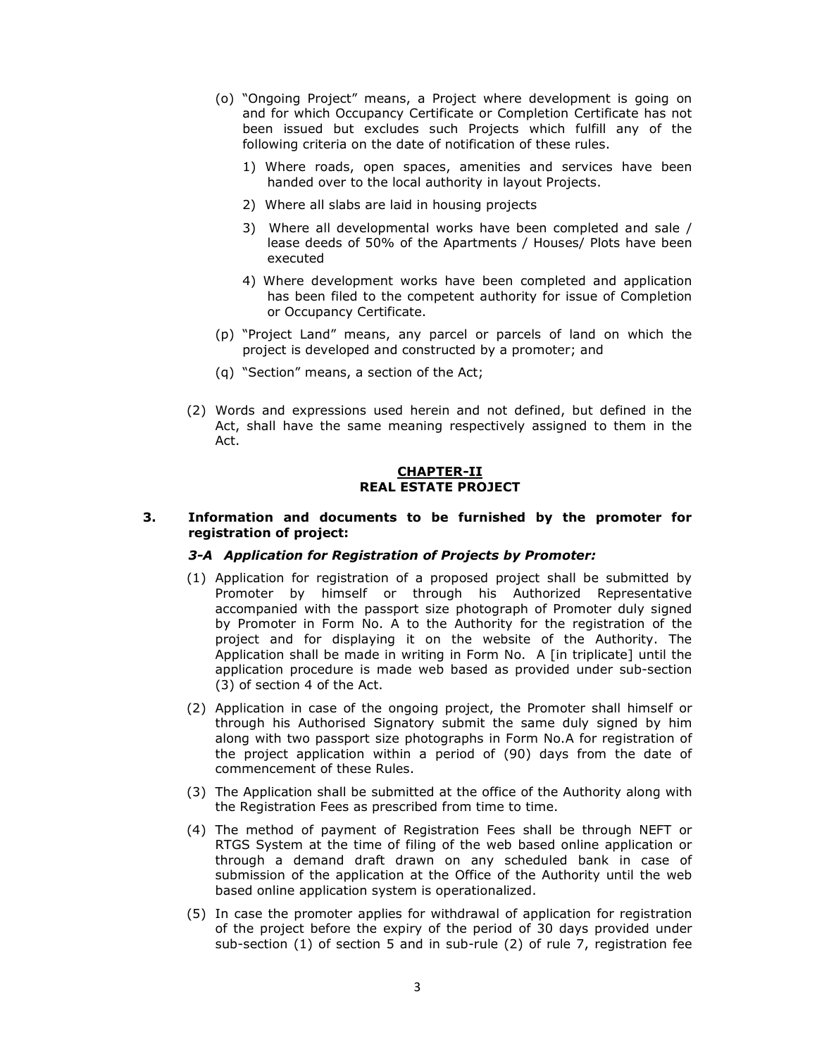- (o) "Ongoing Project" means, a Project where development is going on and for which Occupancy Certificate or Completion Certificate has not been issued but excludes such Projects which fulfill any of the following criteria on the date of notification of these rules.
	- 1) Where roads, open spaces, amenities and services have been handed over to the local authority in layout Projects.
	- 2) Where all slabs are laid in housing projects
	- 3) Where all developmental works have been completed and sale / lease deeds of 50% of the Apartments / Houses/ Plots have been executed
	- 4) Where development works have been completed and application has been filed to the competent authority for issue of Completion or Occupancy Certificate.
- (p) "Project Land" means, any parcel or parcels of land on which the project is developed and constructed by a promoter; and
- (q) "Section" means, a section of the Act;
- (2) Words and expressions used herein and not defined, but defined in the Act, shall have the same meaning respectively assigned to them in the Act.

### **CHAPTER-II REAL ESTATE PROJECT**

#### **3. Information and documents to be furnished by the promoter for registration of project:**

#### *3-A Application for Registration of Projects by Promoter:*

- (1) Application for registration of a proposed project shall be submitted by Promoter by himself or through his Authorized Representative accompanied with the passport size photograph of Promoter duly signed by Promoter in Form No. A to the Authority for the registration of the project and for displaying it on the website of the Authority. The Application shall be made in writing in Form No. A [in triplicate] until the application procedure is made web based as provided under sub-section (3) of section 4 of the Act.
- (2) Application in case of the ongoing project, the Promoter shall himself or through his Authorised Signatory submit the same duly signed by him along with two passport size photographs in Form No.A for registration of the project application within a period of (90) days from the date of commencement of these Rules.
- (3) The Application shall be submitted at the office of the Authority along with the Registration Fees as prescribed from time to time.
- (4) The method of payment of Registration Fees shall be through NEFT or RTGS System at the time of filing of the web based online application or through a demand draft drawn on any scheduled bank in case of submission of the application at the Office of the Authority until the web based online application system is operationalized.
- (5) In case the promoter applies for withdrawal of application for registration of the project before the expiry of the period of 30 days provided under sub-section (1) of section 5 and in sub-rule (2) of rule 7, registration fee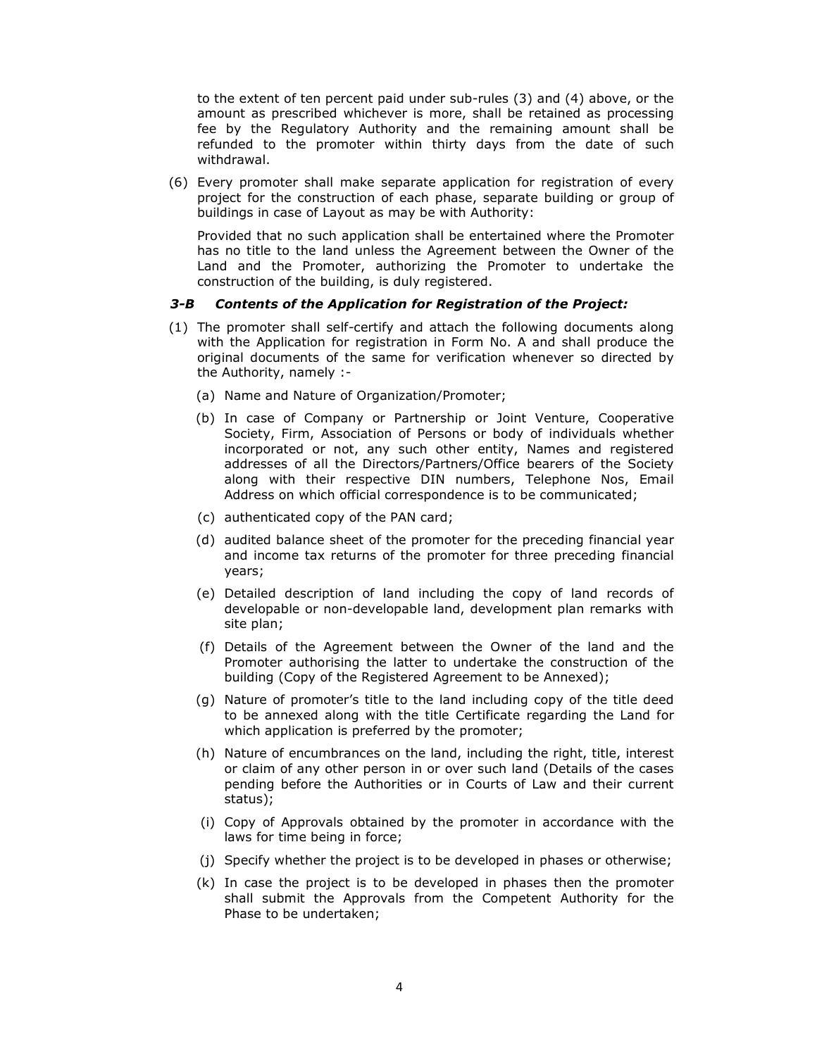to the extent of ten percent paid under sub-rules (3) and (4) above, or the amount as prescribed whichever is more, shall be retained as processing fee by the Regulatory Authority and the remaining amount shall be refunded to the promoter within thirty days from the date of such withdrawal.

(6) Every promoter shall make separate application for registration of every project for the construction of each phase, separate building or group of buildings in case of Layout as may be with Authority:

Provided that no such application shall be entertained where the Promoter has no title to the land unless the Agreement between the Owner of the Land and the Promoter, authorizing the Promoter to undertake the construction of the building, is duly registered.

### *3-B Contents of the Application for Registration of the Project:*

- (1) The promoter shall self-certify and attach the following documents along with the Application for registration in Form No. A and shall produce the original documents of the same for verification whenever so directed by the Authority, namely :-
	- (a) Name and Nature of Organization/Promoter;
	- (b) In case of Company or Partnership or Joint Venture, Cooperative Society, Firm, Association of Persons or body of individuals whether incorporated or not, any such other entity, Names and registered addresses of all the Directors/Partners/Office bearers of the Society along with their respective DIN numbers, Telephone Nos, Email Address on which official correspondence is to be communicated;
	- (c) authenticated copy of the PAN card;
	- (d) audited balance sheet of the promoter for the preceding financial year and income tax returns of the promoter for three preceding financial years;
	- (e) Detailed description of land including the copy of land records of developable or non-developable land, development plan remarks with site plan;
	- (f) Details of the Agreement between the Owner of the land and the Promoter authorising the latter to undertake the construction of the building (Copy of the Registered Agreement to be Annexed);
	- (g) Nature of promoter's title to the land including copy of the title deed to be annexed along with the title Certificate regarding the Land for which application is preferred by the promoter;
	- (h) Nature of encumbrances on the land, including the right, title, interest or claim of any other person in or over such land (Details of the cases pending before the Authorities or in Courts of Law and their current status);
	- (i) Copy of Approvals obtained by the promoter in accordance with the laws for time being in force;
	- (j) Specify whether the project is to be developed in phases or otherwise;
	- (k) In case the project is to be developed in phases then the promoter shall submit the Approvals from the Competent Authority for the Phase to be undertaken;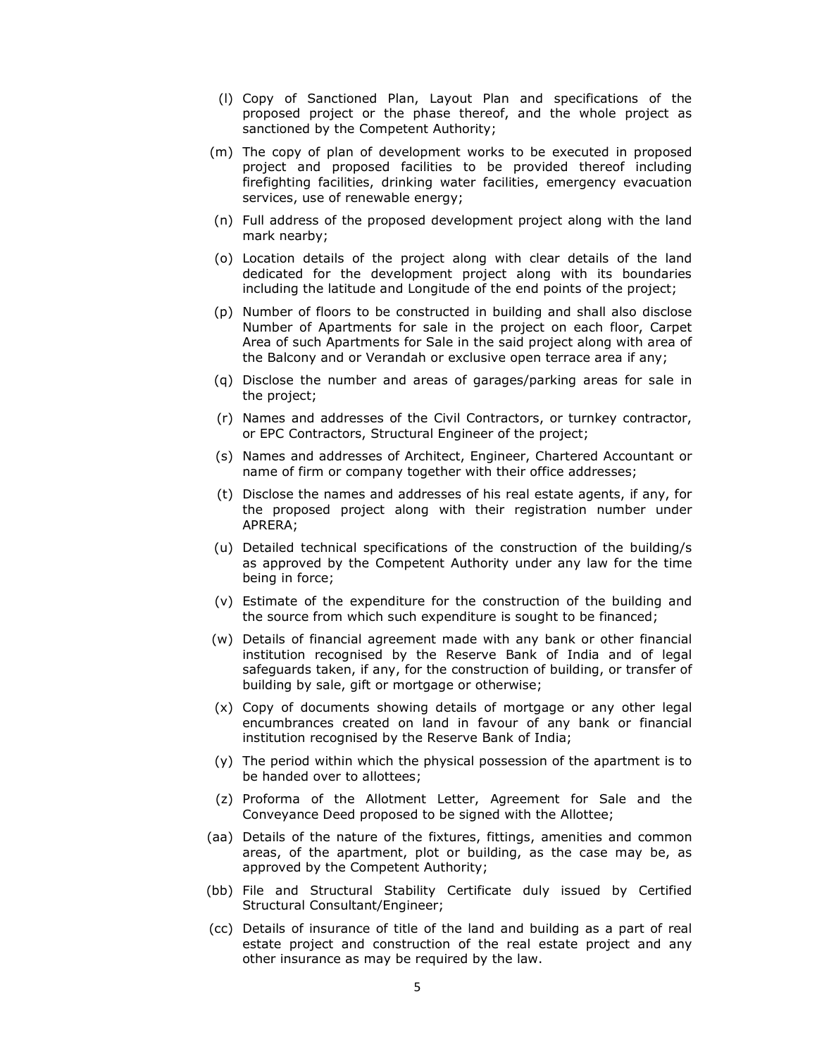- (l) Copy of Sanctioned Plan, Layout Plan and specifications of the proposed project or the phase thereof, and the whole project as sanctioned by the Competent Authority;
- (m) The copy of plan of development works to be executed in proposed project and proposed facilities to be provided thereof including firefighting facilities, drinking water facilities, emergency evacuation services, use of renewable energy;
- (n) Full address of the proposed development project along with the land mark nearby;
- (o) Location details of the project along with clear details of the land dedicated for the development project along with its boundaries including the latitude and Longitude of the end points of the project;
- (p) Number of floors to be constructed in building and shall also disclose Number of Apartments for sale in the project on each floor, Carpet Area of such Apartments for Sale in the said project along with area of the Balcony and or Verandah or exclusive open terrace area if any;
- (q) Disclose the number and areas of garages/parking areas for sale in the project;
- (r) Names and addresses of the Civil Contractors, or turnkey contractor, or EPC Contractors, Structural Engineer of the project;
- (s) Names and addresses of Architect, Engineer, Chartered Accountant or name of firm or company together with their office addresses;
- (t) Disclose the names and addresses of his real estate agents, if any, for the proposed project along with their registration number under APRERA;
- (u) Detailed technical specifications of the construction of the building/s as approved by the Competent Authority under any law for the time being in force;
- (v) Estimate of the expenditure for the construction of the building and the source from which such expenditure is sought to be financed;
- (w) Details of financial agreement made with any bank or other financial institution recognised by the Reserve Bank of India and of legal safeguards taken, if any, for the construction of building, or transfer of building by sale, gift or mortgage or otherwise;
- (x) Copy of documents showing details of mortgage or any other legal encumbrances created on land in favour of any bank or financial institution recognised by the Reserve Bank of India;
- (y) The period within which the physical possession of the apartment is to be handed over to allottees;
- (z) Proforma of the Allotment Letter, Agreement for Sale and the Conveyance Deed proposed to be signed with the Allottee;
- (aa) Details of the nature of the fixtures, fittings, amenities and common areas, of the apartment, plot or building, as the case may be, as approved by the Competent Authority;
- (bb) File and Structural Stability Certificate duly issued by Certified Structural Consultant/Engineer;
- (cc) Details of insurance of title of the land and building as a part of real estate project and construction of the real estate project and any other insurance as may be required by the law.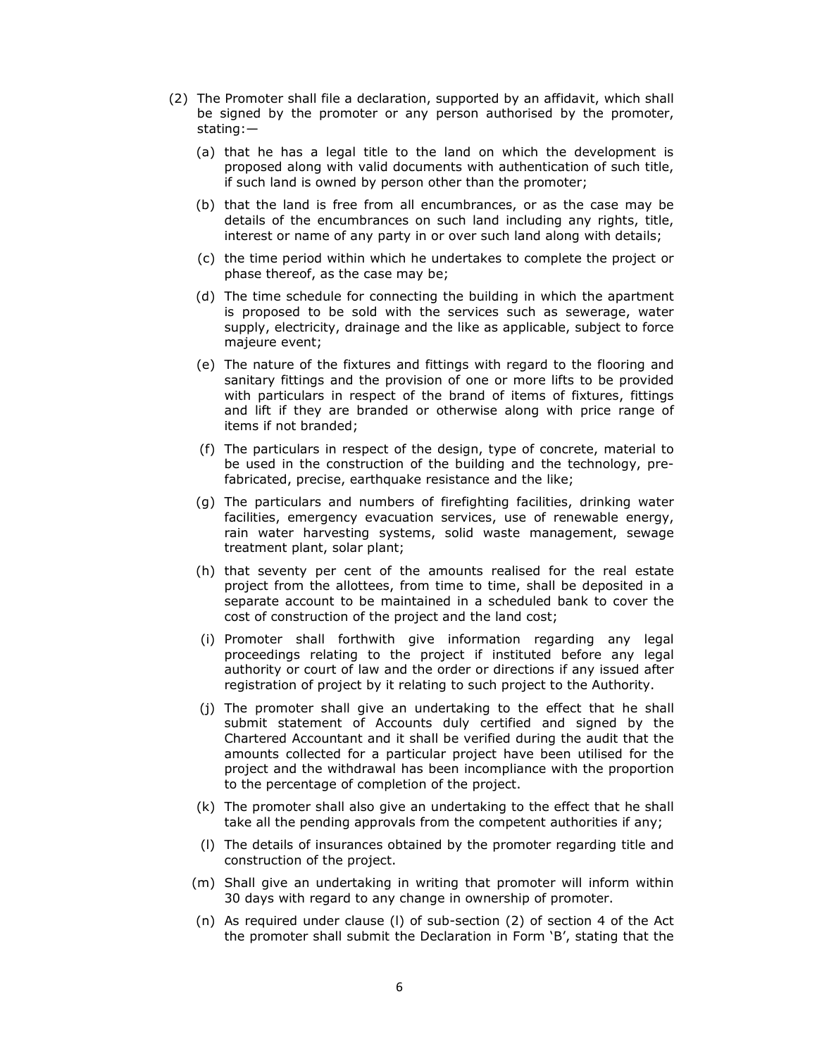- (2) The Promoter shall file a declaration, supported by an affidavit, which shall be signed by the promoter or any person authorised by the promoter, stating:—
	- (a) that he has a legal title to the land on which the development is proposed along with valid documents with authentication of such title, if such land is owned by person other than the promoter;
	- (b) that the land is free from all encumbrances, or as the case may be details of the encumbrances on such land including any rights, title, interest or name of any party in or over such land along with details;
	- (c) the time period within which he undertakes to complete the project or phase thereof, as the case may be;
	- (d) The time schedule for connecting the building in which the apartment is proposed to be sold with the services such as sewerage, water supply, electricity, drainage and the like as applicable, subject to force majeure event;
	- (e) The nature of the fixtures and fittings with regard to the flooring and sanitary fittings and the provision of one or more lifts to be provided with particulars in respect of the brand of items of fixtures, fittings and lift if they are branded or otherwise along with price range of items if not branded;
	- (f) The particulars in respect of the design, type of concrete, material to be used in the construction of the building and the technology, prefabricated, precise, earthquake resistance and the like;
	- (g) The particulars and numbers of firefighting facilities, drinking water facilities, emergency evacuation services, use of renewable energy, rain water harvesting systems, solid waste management, sewage treatment plant, solar plant;
	- (h) that seventy per cent of the amounts realised for the real estate project from the allottees, from time to time, shall be deposited in a separate account to be maintained in a scheduled bank to cover the cost of construction of the project and the land cost;
	- (i) Promoter shall forthwith give information regarding any legal proceedings relating to the project if instituted before any legal authority or court of law and the order or directions if any issued after registration of project by it relating to such project to the Authority.
	- (j) The promoter shall give an undertaking to the effect that he shall submit statement of Accounts duly certified and signed by the Chartered Accountant and it shall be verified during the audit that the amounts collected for a particular project have been utilised for the project and the withdrawal has been incompliance with the proportion to the percentage of completion of the project.
	- (k) The promoter shall also give an undertaking to the effect that he shall take all the pending approvals from the competent authorities if any;
	- (l) The details of insurances obtained by the promoter regarding title and construction of the project.
	- (m) Shall give an undertaking in writing that promoter will inform within 30 days with regard to any change in ownership of promoter.
	- (n) As required under clause (l) of sub-section (2) of section 4 of the Act the promoter shall submit the Declaration in Form 'B', stating that the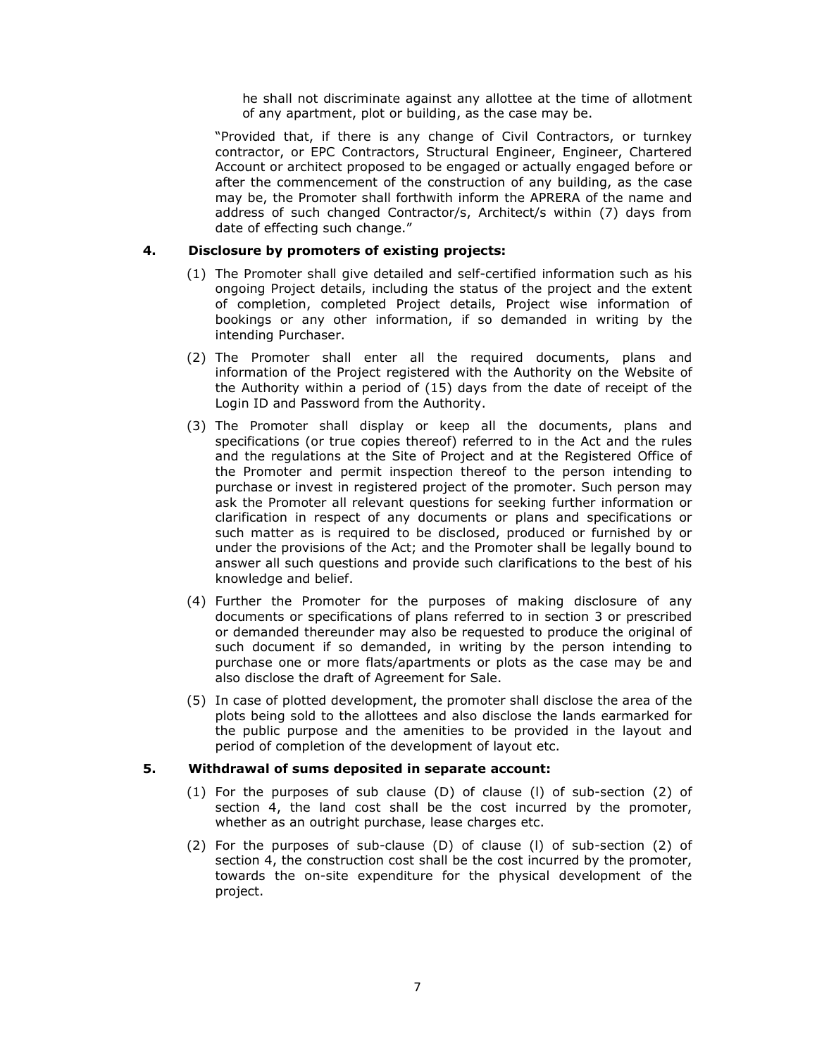he shall not discriminate against any allottee at the time of allotment of any apartment, plot or building, as the case may be.

"Provided that, if there is any change of Civil Contractors, or turnkey contractor, or EPC Contractors, Structural Engineer, Engineer, Chartered Account or architect proposed to be engaged or actually engaged before or after the commencement of the construction of any building, as the case may be, the Promoter shall forthwith inform the APRERA of the name and address of such changed Contractor/s, Architect/s within (7) days from date of effecting such change."

### **4. Disclosure by promoters of existing projects:**

- (1) The Promoter shall give detailed and self-certified information such as his ongoing Project details, including the status of the project and the extent of completion, completed Project details, Project wise information of bookings or any other information, if so demanded in writing by the intending Purchaser.
- (2) The Promoter shall enter all the required documents, plans and information of the Project registered with the Authority on the Website of the Authority within a period of (15) days from the date of receipt of the Login ID and Password from the Authority.
- (3) The Promoter shall display or keep all the documents, plans and specifications (or true copies thereof) referred to in the Act and the rules and the regulations at the Site of Project and at the Registered Office of the Promoter and permit inspection thereof to the person intending to purchase or invest in registered project of the promoter. Such person may ask the Promoter all relevant questions for seeking further information or clarification in respect of any documents or plans and specifications or such matter as is required to be disclosed, produced or furnished by or under the provisions of the Act; and the Promoter shall be legally bound to answer all such questions and provide such clarifications to the best of his knowledge and belief.
- (4) Further the Promoter for the purposes of making disclosure of any documents or specifications of plans referred to in section 3 or prescribed or demanded thereunder may also be requested to produce the original of such document if so demanded, in writing by the person intending to purchase one or more flats/apartments or plots as the case may be and also disclose the draft of Agreement for Sale.
- (5) In case of plotted development, the promoter shall disclose the area of the plots being sold to the allottees and also disclose the lands earmarked for the public purpose and the amenities to be provided in the layout and period of completion of the development of layout etc.

# **5. Withdrawal of sums deposited in separate account:**

- (1) For the purposes of sub clause (D) of clause (l) of sub-section (2) of section 4, the land cost shall be the cost incurred by the promoter, whether as an outright purchase, lease charges etc.
- (2) For the purposes of sub-clause (D) of clause (l) of sub-section (2) of section 4, the construction cost shall be the cost incurred by the promoter, towards the on-site expenditure for the physical development of the project.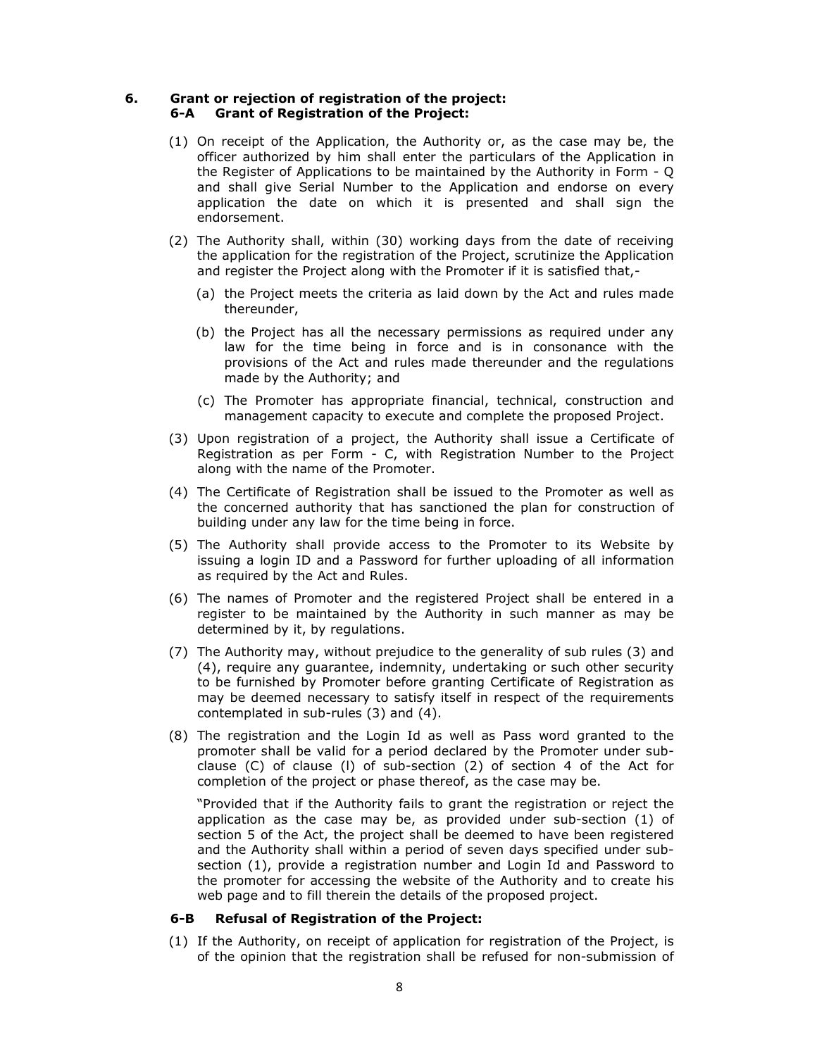### **6. Grant or rejection of registration of the project: 6-A Grant of Registration of the Project:**

- (1) On receipt of the Application, the Authority or, as the case may be, the officer authorized by him shall enter the particulars of the Application in the Register of Applications to be maintained by the Authority in Form - Q and shall give Serial Number to the Application and endorse on every application the date on which it is presented and shall sign the endorsement.
- (2) The Authority shall, within (30) working days from the date of receiving the application for the registration of the Project, scrutinize the Application and register the Project along with the Promoter if it is satisfied that,-
	- (a) the Project meets the criteria as laid down by the Act and rules made thereunder,
	- (b) the Project has all the necessary permissions as required under any law for the time being in force and is in consonance with the provisions of the Act and rules made thereunder and the regulations made by the Authority; and
	- (c) The Promoter has appropriate financial, technical, construction and management capacity to execute and complete the proposed Project.
- (3) Upon registration of a project, the Authority shall issue a Certificate of Registration as per Form - C, with Registration Number to the Project along with the name of the Promoter.
- (4) The Certificate of Registration shall be issued to the Promoter as well as the concerned authority that has sanctioned the plan for construction of building under any law for the time being in force.
- (5) The Authority shall provide access to the Promoter to its Website by issuing a login ID and a Password for further uploading of all information as required by the Act and Rules.
- (6) The names of Promoter and the registered Project shall be entered in a register to be maintained by the Authority in such manner as may be determined by it, by regulations.
- (7) The Authority may, without prejudice to the generality of sub rules (3) and (4), require any guarantee, indemnity, undertaking or such other security to be furnished by Promoter before granting Certificate of Registration as may be deemed necessary to satisfy itself in respect of the requirements contemplated in sub-rules (3) and (4).
- (8) The registration and the Login Id as well as Pass word granted to the promoter shall be valid for a period declared by the Promoter under subclause (C) of clause (l) of sub-section (2) of section 4 of the Act for completion of the project or phase thereof, as the case may be.

"Provided that if the Authority fails to grant the registration or reject the application as the case may be, as provided under sub-section (1) of section 5 of the Act, the project shall be deemed to have been registered and the Authority shall within a period of seven days specified under subsection (1), provide a registration number and Login Id and Password to the promoter for accessing the website of the Authority and to create his web page and to fill therein the details of the proposed project.

### **6-B Refusal of Registration of the Project:**

(1) If the Authority, on receipt of application for registration of the Project, is of the opinion that the registration shall be refused for non-submission of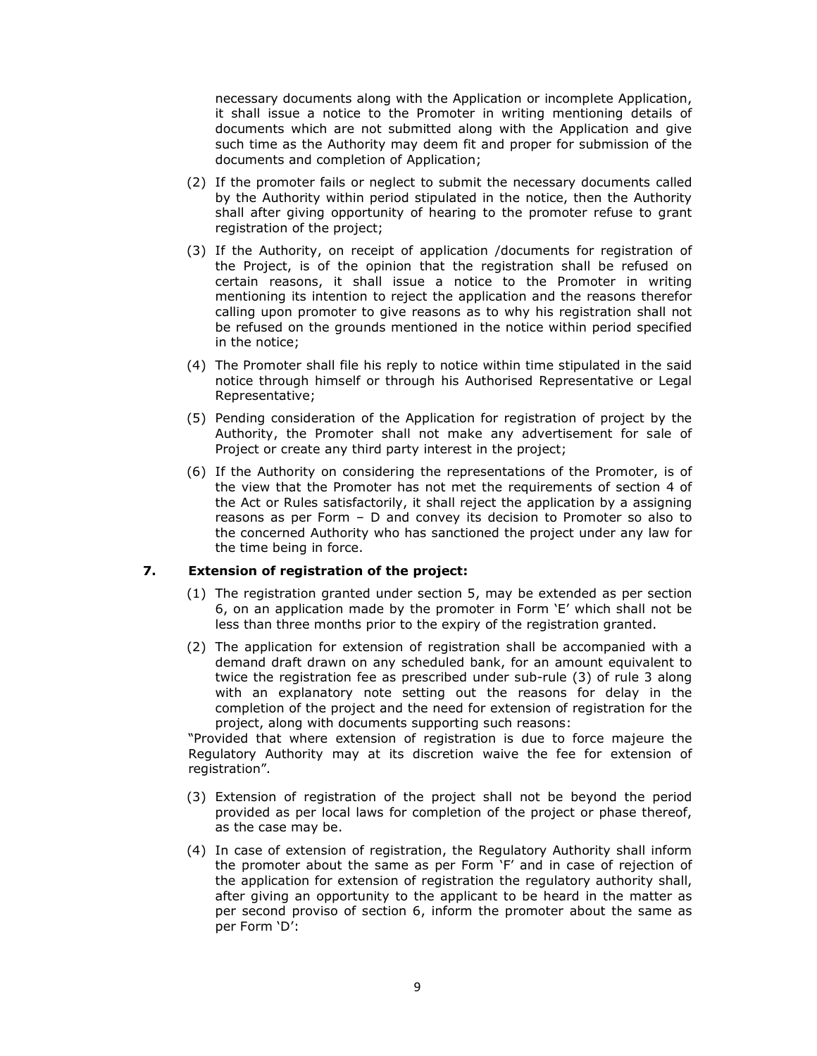necessary documents along with the Application or incomplete Application, it shall issue a notice to the Promoter in writing mentioning details of documents which are not submitted along with the Application and give such time as the Authority may deem fit and proper for submission of the documents and completion of Application;

- (2) If the promoter fails or neglect to submit the necessary documents called by the Authority within period stipulated in the notice, then the Authority shall after giving opportunity of hearing to the promoter refuse to grant registration of the project;
- (3) If the Authority, on receipt of application /documents for registration of the Project, is of the opinion that the registration shall be refused on certain reasons, it shall issue a notice to the Promoter in writing mentioning its intention to reject the application and the reasons therefor calling upon promoter to give reasons as to why his registration shall not be refused on the grounds mentioned in the notice within period specified in the notice;
- (4) The Promoter shall file his reply to notice within time stipulated in the said notice through himself or through his Authorised Representative or Legal Representative;
- (5) Pending consideration of the Application for registration of project by the Authority, the Promoter shall not make any advertisement for sale of Project or create any third party interest in the project;
- (6) If the Authority on considering the representations of the Promoter, is of the view that the Promoter has not met the requirements of section 4 of the Act or Rules satisfactorily, it shall reject the application by a assigning reasons as per Form – D and convey its decision to Promoter so also to the concerned Authority who has sanctioned the project under any law for the time being in force.

# **7. Extension of registration of the project:**

- (1) The registration granted under section 5, may be extended as per section 6, on an application made by the promoter in Form 'E' which shall not be less than three months prior to the expiry of the registration granted.
- (2) The application for extension of registration shall be accompanied with a demand draft drawn on any scheduled bank, for an amount equivalent to twice the registration fee as prescribed under sub-rule (3) of rule 3 along with an explanatory note setting out the reasons for delay in the completion of the project and the need for extension of registration for the project, along with documents supporting such reasons:

"Provided that where extension of registration is due to force majeure the Regulatory Authority may at its discretion waive the fee for extension of registration".

- (3) Extension of registration of the project shall not be beyond the period provided as per local laws for completion of the project or phase thereof, as the case may be.
- (4) In case of extension of registration, the Regulatory Authority shall inform the promoter about the same as per Form 'F' and in case of rejection of the application for extension of registration the regulatory authority shall, after giving an opportunity to the applicant to be heard in the matter as per second proviso of section 6, inform the promoter about the same as per Form 'D':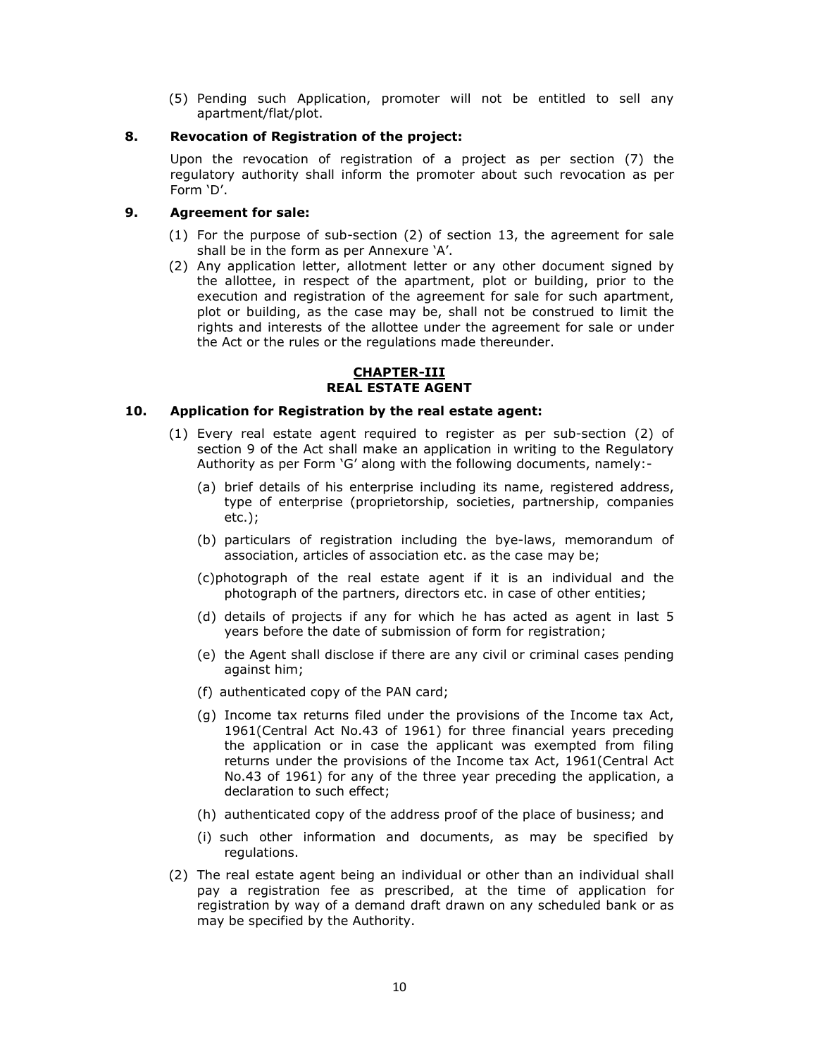(5) Pending such Application, promoter will not be entitled to sell any apartment/flat/plot.

### **8. Revocation of Registration of the project:**

Upon the revocation of registration of a project as per section (7) the regulatory authority shall inform the promoter about such revocation as per Form 'D'.

# **9. Agreement for sale:**

- (1) For the purpose of sub-section (2) of section 13, the agreement for sale shall be in the form as per Annexure 'A'.
- (2) Any application letter, allotment letter or any other document signed by the allottee, in respect of the apartment, plot or building, prior to the execution and registration of the agreement for sale for such apartment, plot or building, as the case may be, shall not be construed to limit the rights and interests of the allottee under the agreement for sale or under the Act or the rules or the regulations made thereunder.

### **CHAPTER-III REAL ESTATE AGENT**

# **10. Application for Registration by the real estate agent:**

- (1) Every real estate agent required to register as per sub-section (2) of section 9 of the Act shall make an application in writing to the Regulatory Authority as per Form 'G' along with the following documents, namely:-
	- (a) brief details of his enterprise including its name, registered address, type of enterprise (proprietorship, societies, partnership, companies etc.);
	- (b) particulars of registration including the bye-laws, memorandum of association, articles of association etc. as the case may be;
	- (c)photograph of the real estate agent if it is an individual and the photograph of the partners, directors etc. in case of other entities;
	- (d) details of projects if any for which he has acted as agent in last 5 years before the date of submission of form for registration;
	- (e) the Agent shall disclose if there are any civil or criminal cases pending against him;
	- (f) authenticated copy of the PAN card;
	- (g) Income tax returns filed under the provisions of the Income tax Act, 1961(Central Act No.43 of 1961) for three financial years preceding the application or in case the applicant was exempted from filing returns under the provisions of the Income tax Act, 1961(Central Act No.43 of 1961) for any of the three year preceding the application, a declaration to such effect;
	- (h) authenticated copy of the address proof of the place of business; and
	- (i) such other information and documents, as may be specified by regulations.
- (2) The real estate agent being an individual or other than an individual shall pay a registration fee as prescribed, at the time of application for registration by way of a demand draft drawn on any scheduled bank or as may be specified by the Authority.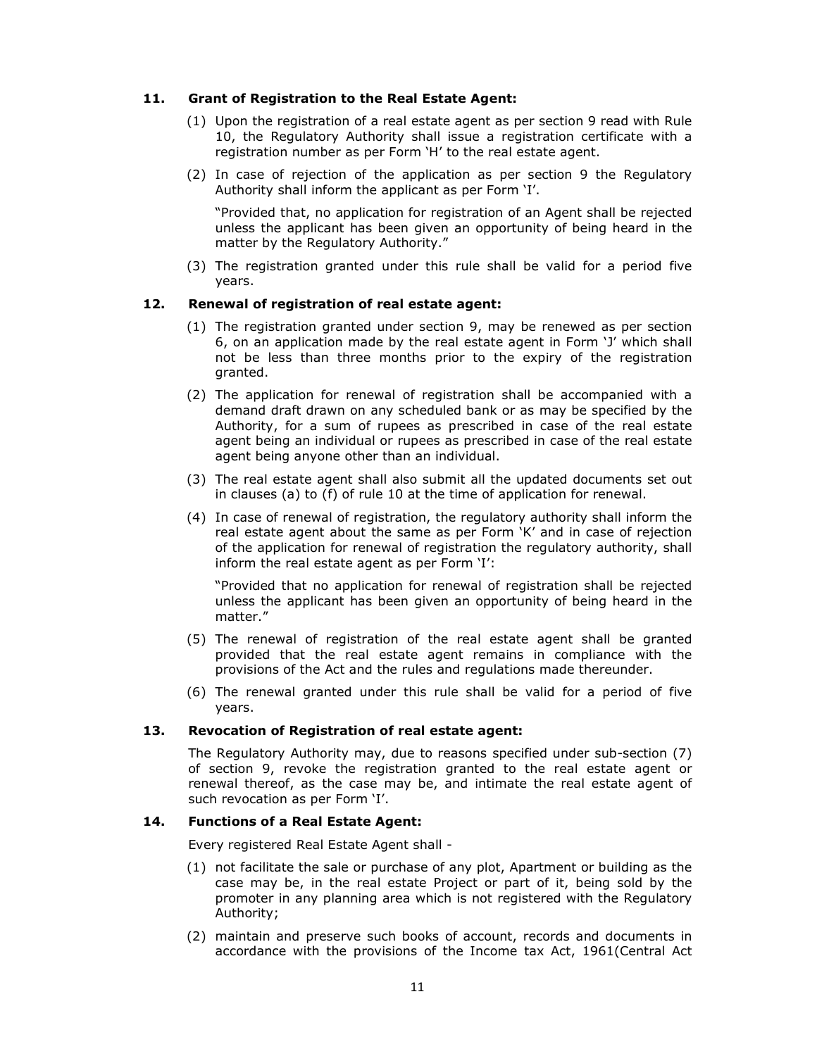### **11. Grant of Registration to the Real Estate Agent:**

- (1) Upon the registration of a real estate agent as per section 9 read with Rule 10, the Regulatory Authority shall issue a registration certificate with a registration number as per Form 'H' to the real estate agent.
- (2) In case of rejection of the application as per section 9 the Regulatory Authority shall inform the applicant as per Form 'I'.

"Provided that, no application for registration of an Agent shall be rejected unless the applicant has been given an opportunity of being heard in the matter by the Regulatory Authority."

(3) The registration granted under this rule shall be valid for a period five years.

# **12. Renewal of registration of real estate agent:**

- (1) The registration granted under section 9, may be renewed as per section 6, on an application made by the real estate agent in Form 'J' which shall not be less than three months prior to the expiry of the registration granted.
- (2) The application for renewal of registration shall be accompanied with a demand draft drawn on any scheduled bank or as may be specified by the Authority, for a sum of rupees as prescribed in case of the real estate agent being an individual or rupees as prescribed in case of the real estate agent being anyone other than an individual.
- (3) The real estate agent shall also submit all the updated documents set out in clauses (a) to (f) of rule 10 at the time of application for renewal.
- (4) In case of renewal of registration, the regulatory authority shall inform the real estate agent about the same as per Form 'K' and in case of rejection of the application for renewal of registration the regulatory authority, shall inform the real estate agent as per Form 'I':

"Provided that no application for renewal of registration shall be rejected unless the applicant has been given an opportunity of being heard in the matter."

- (5) The renewal of registration of the real estate agent shall be granted provided that the real estate agent remains in compliance with the provisions of the Act and the rules and regulations made thereunder.
- (6) The renewal granted under this rule shall be valid for a period of five years.

### **13. Revocation of Registration of real estate agent:**

The Regulatory Authority may, due to reasons specified under sub-section (7) of section 9, revoke the registration granted to the real estate agent or renewal thereof, as the case may be, and intimate the real estate agent of such revocation as per Form 'I'.

### **14. Functions of a Real Estate Agent:**

Every registered Real Estate Agent shall -

- (1) not facilitate the sale or purchase of any plot, Apartment or building as the case may be, in the real estate Project or part of it, being sold by the promoter in any planning area which is not registered with the Regulatory Authority;
- (2) maintain and preserve such books of account, records and documents in accordance with the provisions of the Income tax Act, 1961(Central Act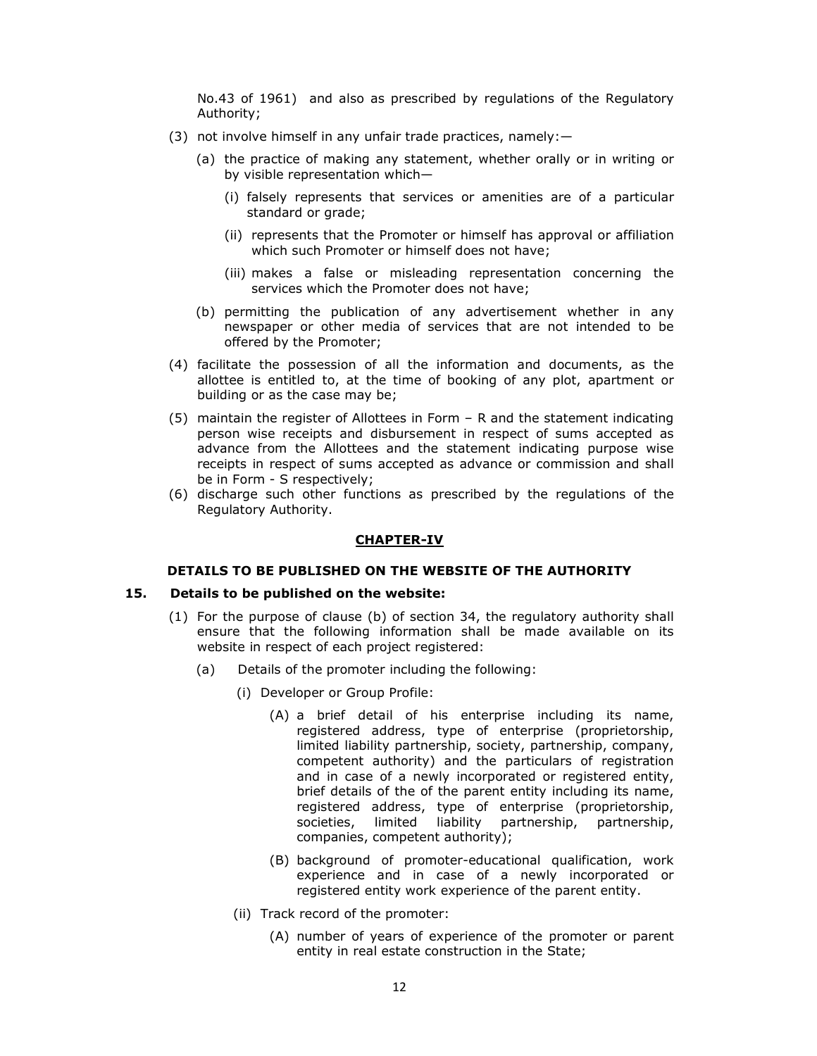No.43 of 1961) and also as prescribed by regulations of the Regulatory Authority;

- (3) not involve himself in any unfair trade practices, namely:—
	- (a) the practice of making any statement, whether orally or in writing or by visible representation which—
		- (i) falsely represents that services or amenities are of a particular standard or grade;
		- (ii) represents that the Promoter or himself has approval or affiliation which such Promoter or himself does not have;
		- (iii) makes a false or misleading representation concerning the services which the Promoter does not have;
	- (b) permitting the publication of any advertisement whether in any newspaper or other media of services that are not intended to be offered by the Promoter;
- (4) facilitate the possession of all the information and documents, as the allottee is entitled to, at the time of booking of any plot, apartment or building or as the case may be;
- (5) maintain the register of Allottees in Form R and the statement indicating person wise receipts and disbursement in respect of sums accepted as advance from the Allottees and the statement indicating purpose wise receipts in respect of sums accepted as advance or commission and shall be in Form - S respectively;
- (6) discharge such other functions as prescribed by the regulations of the Regulatory Authority.

#### **CHAPTER-IV**

#### **DETAILS TO BE PUBLISHED ON THE WEBSITE OF THE AUTHORITY**

### **15. Details to be published on the website:**

- (1) For the purpose of clause (b) of section 34, the regulatory authority shall ensure that the following information shall be made available on its website in respect of each project registered:
	- (a) Details of the promoter including the following:
		- (i) Developer or Group Profile:
			- (A) a brief detail of his enterprise including its name, registered address, type of enterprise (proprietorship, limited liability partnership, society, partnership, company, competent authority) and the particulars of registration and in case of a newly incorporated or registered entity, brief details of the of the parent entity including its name, registered address, type of enterprise (proprietorship, societies, limited liability partnership, partnership, companies, competent authority);
			- (B) background of promoter-educational qualification, work experience and in case of a newly incorporated or registered entity work experience of the parent entity.
		- (ii) Track record of the promoter:
			- (A) number of years of experience of the promoter or parent entity in real estate construction in the State;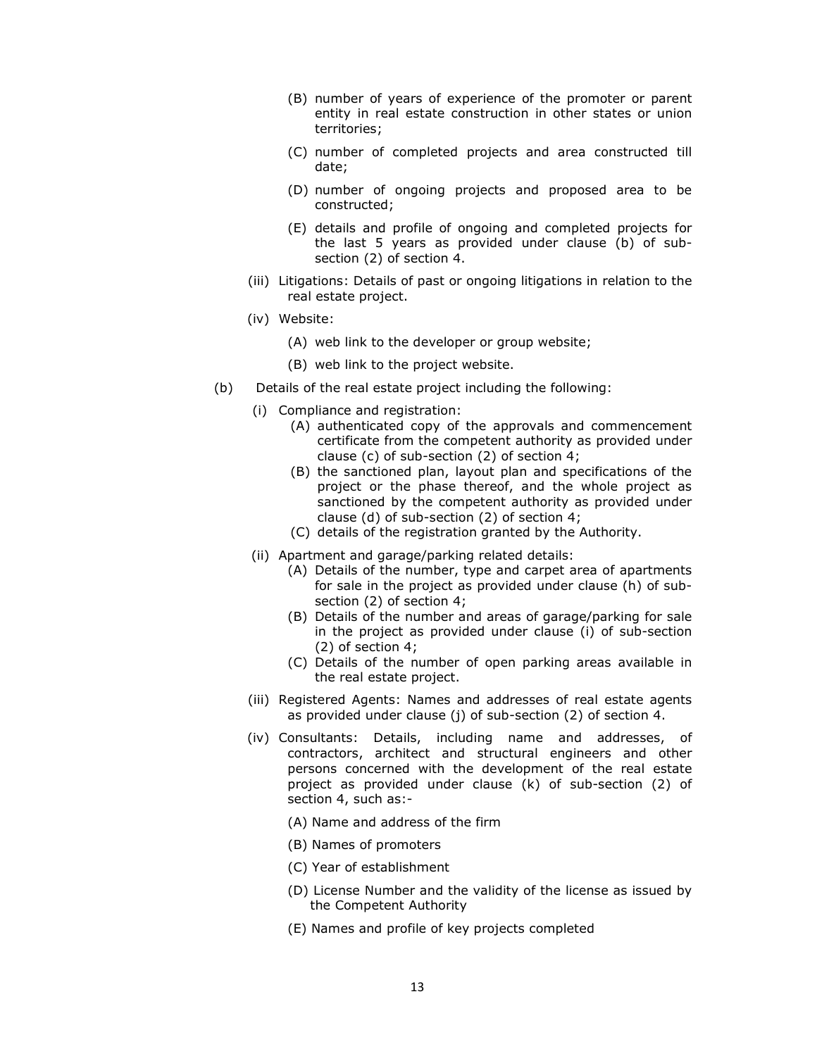- (B) number of years of experience of the promoter or parent entity in real estate construction in other states or union territories;
- (C) number of completed projects and area constructed till date;
- (D) number of ongoing projects and proposed area to be constructed;
- (E) details and profile of ongoing and completed projects for the last 5 years as provided under clause (b) of subsection (2) of section 4.
- (iii) Litigations: Details of past or ongoing litigations in relation to the real estate project.
- (iv) Website:
	- (A) web link to the developer or group website;
	- (B) web link to the project website.
- (b) Details of the real estate project including the following:
	- (i) Compliance and registration:
		- (A) authenticated copy of the approvals and commencement certificate from the competent authority as provided under clause (c) of sub-section (2) of section 4;
		- (B) the sanctioned plan, layout plan and specifications of the project or the phase thereof, and the whole project as sanctioned by the competent authority as provided under clause (d) of sub-section (2) of section 4;
		- (C) details of the registration granted by the Authority.
	- (ii) Apartment and garage/parking related details:
		- (A) Details of the number, type and carpet area of apartments for sale in the project as provided under clause (h) of subsection (2) of section 4;
		- (B) Details of the number and areas of garage/parking for sale in the project as provided under clause (i) of sub-section (2) of section 4;
		- (C) Details of the number of open parking areas available in the real estate project.
	- (iii) Registered Agents: Names and addresses of real estate agents as provided under clause (j) of sub-section (2) of section 4.
	- (iv) Consultants: Details, including name and addresses, of contractors, architect and structural engineers and other persons concerned with the development of the real estate project as provided under clause (k) of sub-section (2) of section 4, such as:-
		- (A) Name and address of the firm
		- (B) Names of promoters
		- (C) Year of establishment
		- (D) License Number and the validity of the license as issued by the Competent Authority
		- (E) Names and profile of key projects completed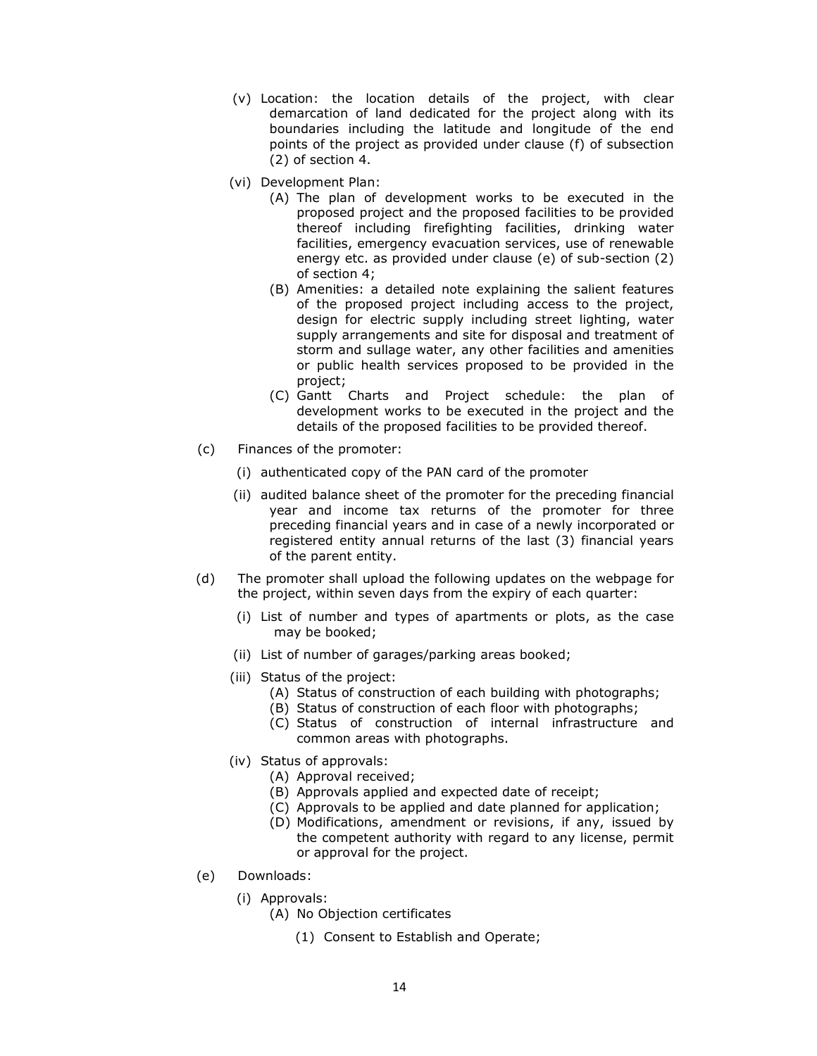- (v) Location: the location details of the project, with clear demarcation of land dedicated for the project along with its boundaries including the latitude and longitude of the end points of the project as provided under clause (f) of subsection (2) of section 4.
- (vi) Development Plan:
	- (A) The plan of development works to be executed in the proposed project and the proposed facilities to be provided thereof including firefighting facilities, drinking water facilities, emergency evacuation services, use of renewable energy etc. as provided under clause (e) of sub-section (2) of section 4;
	- (B) Amenities: a detailed note explaining the salient features of the proposed project including access to the project, design for electric supply including street lighting, water supply arrangements and site for disposal and treatment of storm and sullage water, any other facilities and amenities or public health services proposed to be provided in the project;
	- (C) Gantt Charts and Project schedule: the plan of development works to be executed in the project and the details of the proposed facilities to be provided thereof.
- (c) Finances of the promoter:
	- (i) authenticated copy of the PAN card of the promoter
	- (ii) audited balance sheet of the promoter for the preceding financial year and income tax returns of the promoter for three preceding financial years and in case of a newly incorporated or registered entity annual returns of the last (3) financial years of the parent entity.
- (d) The promoter shall upload the following updates on the webpage for the project, within seven days from the expiry of each quarter:
	- (i) List of number and types of apartments or plots, as the case may be booked;
	- (ii) List of number of garages/parking areas booked;
	- (iii) Status of the project:
		- (A) Status of construction of each building with photographs;
		- (B) Status of construction of each floor with photographs;
		- (C) Status of construction of internal infrastructure and common areas with photographs.
	- (iv) Status of approvals:
		- (A) Approval received;
		- (B) Approvals applied and expected date of receipt;
		- (C) Approvals to be applied and date planned for application;
		- (D) Modifications, amendment or revisions, if any, issued by the competent authority with regard to any license, permit or approval for the project.
- (e) Downloads:
	- (i) Approvals:
		- (A) No Objection certificates
			- (1) Consent to Establish and Operate;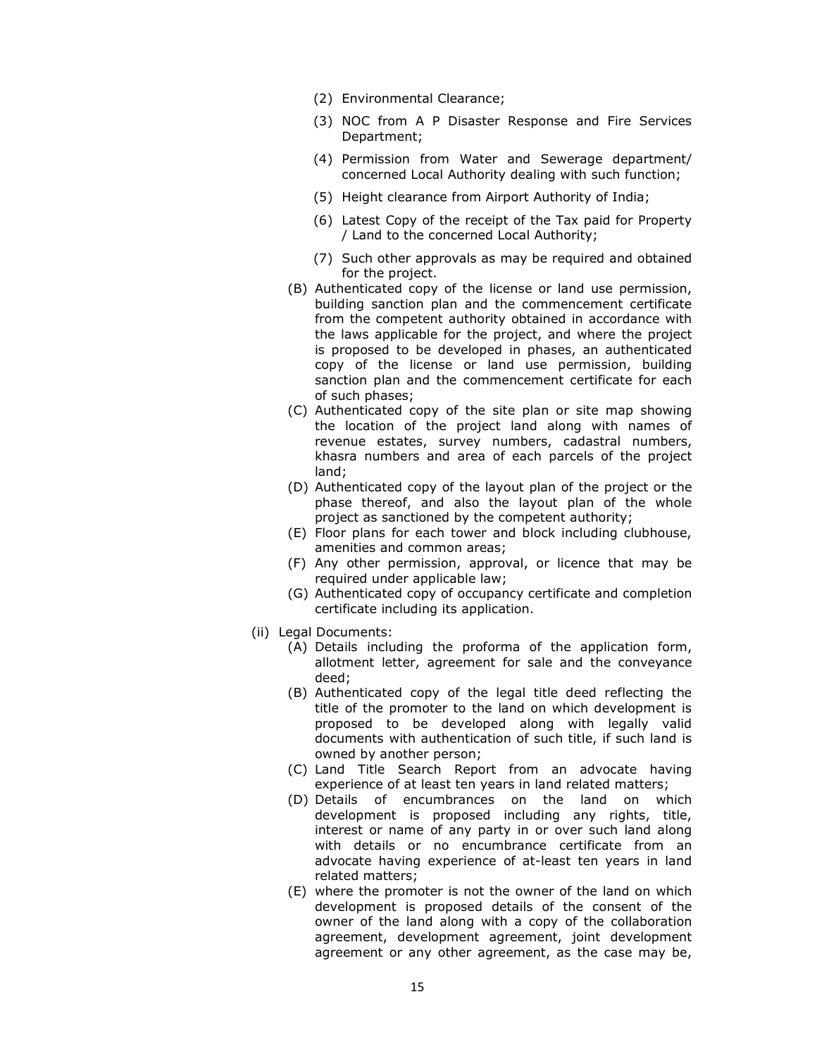- (2) Environmental Clearance;
- (3) NOC from A P Disaster Response and Fire Services Department;
- (4) Permission from Water and Sewerage department/ concerned Local Authority dealing with such function;
- (5) Height clearance from Airport Authority of India;
- (6) Latest Copy of the receipt of the Tax paid for Property / Land to the concerned Local Authority;
- (7) Such other approvals as may be required and obtained for the project.
- (B) Authenticated copy of the license or land use permission, building sanction plan and the commencement certificate from the competent authority obtained in accordance with the laws applicable for the project, and where the project is proposed to be developed in phases, an authenticated copy of the license or land use permission, building sanction plan and the commencement certificate for each of such phases;
- (C) Authenticated copy of the site plan or site map showing the location of the project land along with names of revenue estates, survey numbers, cadastral numbers, khasra numbers and area of each parcels of the project land;
- (D) Authenticated copy of the layout plan of the project or the phase thereof, and also the layout plan of the whole project as sanctioned by the competent authority;
- (E) Floor plans for each tower and block including clubhouse, amenities and common areas;
- (F) Any other permission, approval, or licence that may be required under applicable law;
- (G) Authenticated copy of occupancy certificate and completion certificate including its application.
- (ii) Legal Documents:
	- (A) Details including the proforma of the application form, allotment letter, agreement for sale and the conveyance deed;
	- (B) Authenticated copy of the legal title deed reflecting the title of the promoter to the land on which development is proposed to be developed along with legally valid documents with authentication of such title, if such land is owned by another person;
	- (C) Land Title Search Report from an advocate having experience of at least ten years in land related matters;
	- (D) Details of encumbrances on the land on which development is proposed including any rights, title, interest or name of any party in or over such land along with details or no encumbrance certificate from an advocate having experience of at-least ten years in land related matters;
	- (E) where the promoter is not the owner of the land on which development is proposed details of the consent of the owner of the land along with a copy of the collaboration agreement, development agreement, joint development agreement or any other agreement, as the case may be,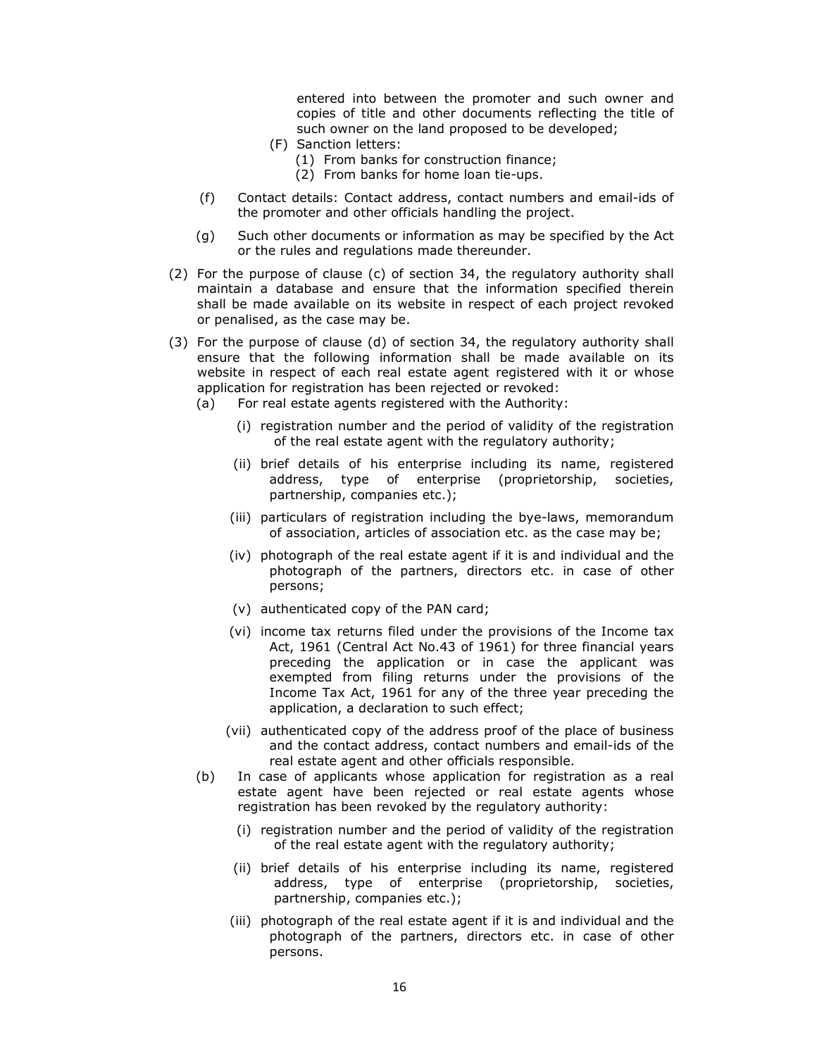entered into between the promoter and such owner and copies of title and other documents reflecting the title of such owner on the land proposed to be developed;

- (F) Sanction letters:
	- (1) From banks for construction finance;
	- (2) From banks for home loan tie-ups.
- (f) Contact details: Contact address, contact numbers and email-ids of the promoter and other officials handling the project.
- (g) Such other documents or information as may be specified by the Act or the rules and regulations made thereunder.
- (2) For the purpose of clause (c) of section 34, the regulatory authority shall maintain a database and ensure that the information specified therein shall be made available on its website in respect of each project revoked or penalised, as the case may be.
- (3) For the purpose of clause (d) of section 34, the regulatory authority shall ensure that the following information shall be made available on its website in respect of each real estate agent registered with it or whose application for registration has been rejected or revoked:
	- (a) For real estate agents registered with the Authority:
		- (i) registration number and the period of validity of the registration of the real estate agent with the regulatory authority;
		- (ii) brief details of his enterprise including its name, registered address, type of enterprise (proprietorship, societies, partnership, companies etc.);
		- (iii) particulars of registration including the bye-laws, memorandum of association, articles of association etc. as the case may be;
		- (iv) photograph of the real estate agent if it is and individual and the photograph of the partners, directors etc. in case of other persons;
		- (v) authenticated copy of the PAN card;
		- (vi) income tax returns filed under the provisions of the Income tax Act, 1961 (Central Act No.43 of 1961) for three financial years preceding the application or in case the applicant was exempted from filing returns under the provisions of the Income Tax Act, 1961 for any of the three year preceding the application, a declaration to such effect;
		- (vii) authenticated copy of the address proof of the place of business and the contact address, contact numbers and email-ids of the real estate agent and other officials responsible.
	- (b) In case of applicants whose application for registration as a real estate agent have been rejected or real estate agents whose registration has been revoked by the regulatory authority:
		- (i) registration number and the period of validity of the registration of the real estate agent with the regulatory authority;
		- (ii) brief details of his enterprise including its name, registered address, type of enterprise (proprietorship, societies, partnership, companies etc.);
		- (iii) photograph of the real estate agent if it is and individual and the photograph of the partners, directors etc. in case of other persons.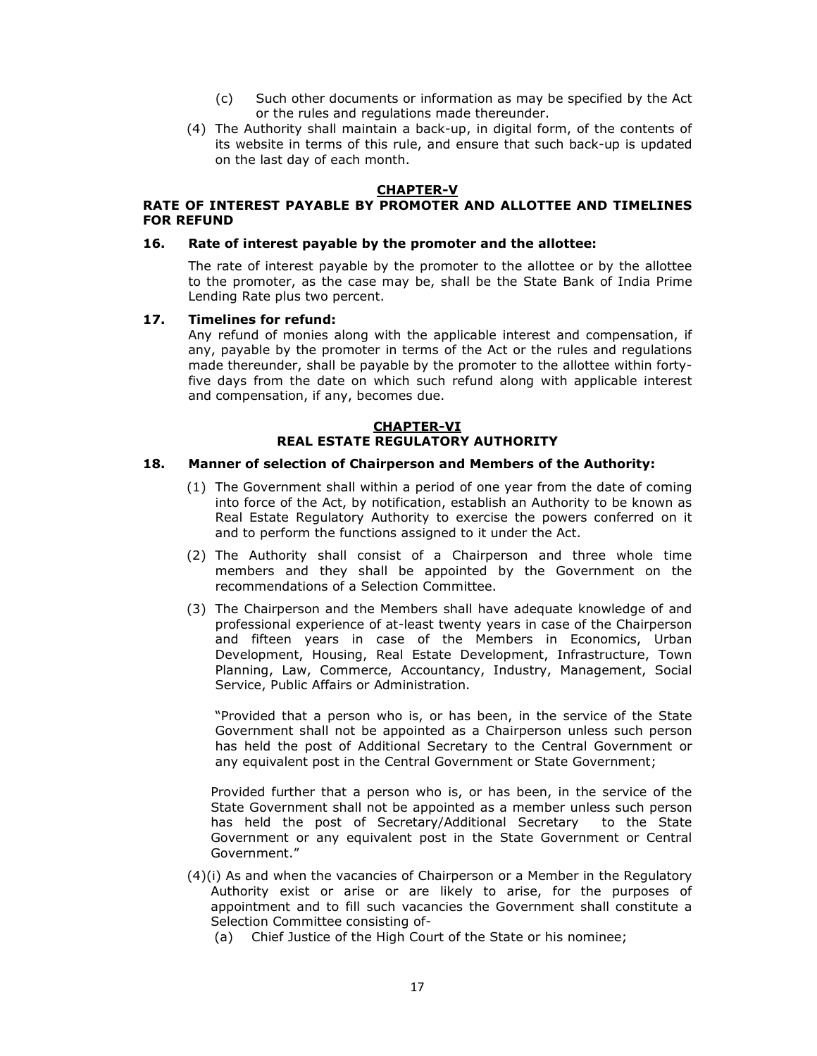- (c) Such other documents or information as may be specified by the Act or the rules and regulations made thereunder.
- (4) The Authority shall maintain a back-up, in digital form, of the contents of its website in terms of this rule, and ensure that such back-up is updated on the last day of each month.

# **CHAPTER-V**

### **RATE OF INTEREST PAYABLE BY PROMOTER AND ALLOTTEE AND TIMELINES FOR REFUND**

#### **16. Rate of interest payable by the promoter and the allottee:**

The rate of interest payable by the promoter to the allottee or by the allottee to the promoter, as the case may be, shall be the State Bank of India Prime Lending Rate plus two percent.

#### **17. Timelines for refund:**

Any refund of monies along with the applicable interest and compensation, if any, payable by the promoter in terms of the Act or the rules and regulations made thereunder, shall be payable by the promoter to the allottee within fortyfive days from the date on which such refund along with applicable interest and compensation, if any, becomes due.

# **CHAPTER-VI REAL ESTATE REGULATORY AUTHORITY**

#### **18. Manner of selection of Chairperson and Members of the Authority:**

- (1) The Government shall within a period of one year from the date of coming into force of the Act, by notification, establish an Authority to be known as Real Estate Regulatory Authority to exercise the powers conferred on it and to perform the functions assigned to it under the Act.
- (2) The Authority shall consist of a Chairperson and three whole time members and they shall be appointed by the Government on the recommendations of a Selection Committee.
- (3) The Chairperson and the Members shall have adequate knowledge of and professional experience of at-least twenty years in case of the Chairperson and fifteen years in case of the Members in Economics, Urban Development, Housing, Real Estate Development, Infrastructure, Town Planning, Law, Commerce, Accountancy, Industry, Management, Social Service, Public Affairs or Administration.

"Provided that a person who is, or has been, in the service of the State Government shall not be appointed as a Chairperson unless such person has held the post of Additional Secretary to the Central Government or any equivalent post in the Central Government or State Government;

Provided further that a person who is, or has been, in the service of the State Government shall not be appointed as a member unless such person has held the post of Secretary/Additional Secretary to the State Government or any equivalent post in the State Government or Central Government."

(4)(i) As and when the vacancies of Chairperson or a Member in the Regulatory Authority exist or arise or are likely to arise, for the purposes of appointment and to fill such vacancies the Government shall constitute a Selection Committee consisting of-

(a) Chief Justice of the High Court of the State or his nominee;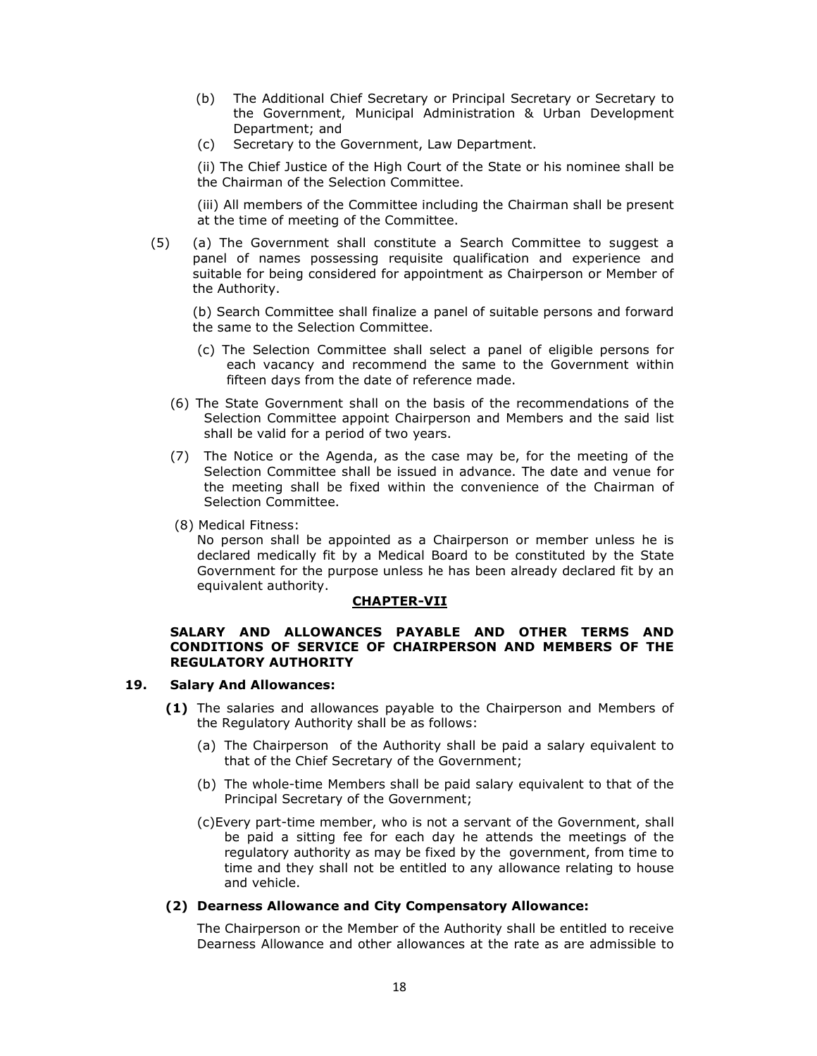- (b) The Additional Chief Secretary or Principal Secretary or Secretary to the Government, Municipal Administration & Urban Development Department; and
- (c) Secretary to the Government, Law Department.

(ii) The Chief Justice of the High Court of the State or his nominee shall be the Chairman of the Selection Committee.

(iii) All members of the Committee including the Chairman shall be present at the time of meeting of the Committee.

(5) (a) The Government shall constitute a Search Committee to suggest a panel of names possessing requisite qualification and experience and suitable for being considered for appointment as Chairperson or Member of the Authority.

(b) Search Committee shall finalize a panel of suitable persons and forward the same to the Selection Committee.

- (c) The Selection Committee shall select a panel of eligible persons for each vacancy and recommend the same to the Government within fifteen days from the date of reference made.
- (6) The State Government shall on the basis of the recommendations of the Selection Committee appoint Chairperson and Members and the said list shall be valid for a period of two years.
- (7) The Notice or the Agenda, as the case may be, for the meeting of the Selection Committee shall be issued in advance. The date and venue for the meeting shall be fixed within the convenience of the Chairman of Selection Committee.
- (8) Medical Fitness:

No person shall be appointed as a Chairperson or member unless he is declared medically fit by a Medical Board to be constituted by the State Government for the purpose unless he has been already declared fit by an equivalent authority.

#### **CHAPTER-VII**

### **SALARY AND ALLOWANCES PAYABLE AND OTHER TERMS AND CONDITIONS OF SERVICE OF CHAIRPERSON AND MEMBERS OF THE REGULATORY AUTHORITY**

### **19. Salary And Allowances:**

- **(1)** The salaries and allowances payable to the Chairperson and Members of the Regulatory Authority shall be as follows:
	- (a) The Chairperson of the Authority shall be paid a salary equivalent to that of the Chief Secretary of the Government;
	- (b) The whole-time Members shall be paid salary equivalent to that of the Principal Secretary of the Government;
	- (c)Every part-time member, who is not a servant of the Government, shall be paid a sitting fee for each day he attends the meetings of the regulatory authority as may be fixed by the government, from time to time and they shall not be entitled to any allowance relating to house and vehicle.

### **(2) Dearness Allowance and City Compensatory Allowance:**

The Chairperson or the Member of the Authority shall be entitled to receive Dearness Allowance and other allowances at the rate as are admissible to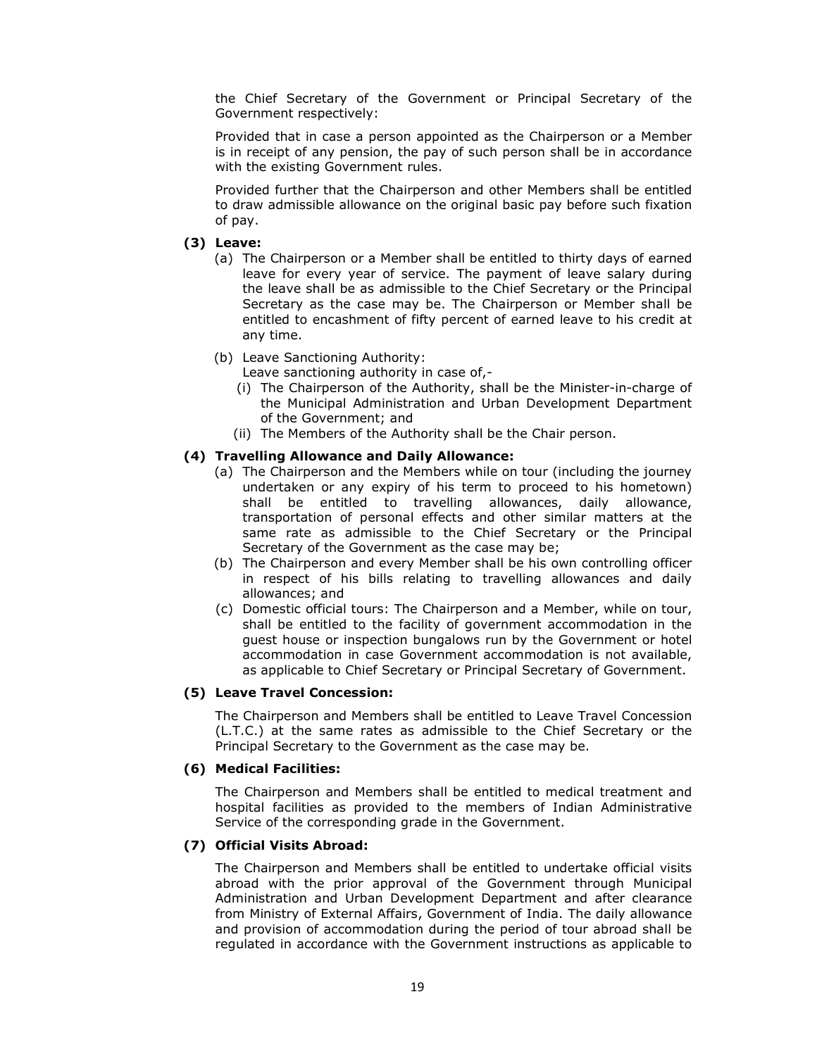the Chief Secretary of the Government or Principal Secretary of the Government respectively:

Provided that in case a person appointed as the Chairperson or a Member is in receipt of any pension, the pay of such person shall be in accordance with the existing Government rules.

Provided further that the Chairperson and other Members shall be entitled to draw admissible allowance on the original basic pay before such fixation of pay.

### **(3) Leave:**

- (a) The Chairperson or a Member shall be entitled to thirty days of earned leave for every year of service. The payment of leave salary during the leave shall be as admissible to the Chief Secretary or the Principal Secretary as the case may be. The Chairperson or Member shall be entitled to encashment of fifty percent of earned leave to his credit at any time.
- (b) Leave Sanctioning Authority:

Leave sanctioning authority in case of,-

- (i) The Chairperson of the Authority, shall be the Minister-in-charge of the Municipal Administration and Urban Development Department of the Government; and
- (ii) The Members of the Authority shall be the Chair person.

### **(4) Travelling Allowance and Daily Allowance:**

- (a) The Chairperson and the Members while on tour (including the journey undertaken or any expiry of his term to proceed to his hometown) shall be entitled to travelling allowances, daily allowance, transportation of personal effects and other similar matters at the same rate as admissible to the Chief Secretary or the Principal Secretary of the Government as the case may be;
- (b) The Chairperson and every Member shall be his own controlling officer in respect of his bills relating to travelling allowances and daily allowances; and
- (c) Domestic official tours: The Chairperson and a Member, while on tour, shall be entitled to the facility of government accommodation in the guest house or inspection bungalows run by the Government or hotel accommodation in case Government accommodation is not available, as applicable to Chief Secretary or Principal Secretary of Government.

### **(5) Leave Travel Concession:**

The Chairperson and Members shall be entitled to Leave Travel Concession (L.T.C.) at the same rates as admissible to the Chief Secretary or the Principal Secretary to the Government as the case may be.

### **(6) Medical Facilities:**

The Chairperson and Members shall be entitled to medical treatment and hospital facilities as provided to the members of Indian Administrative Service of the corresponding grade in the Government.

### **(7) Official Visits Abroad:**

The Chairperson and Members shall be entitled to undertake official visits abroad with the prior approval of the Government through Municipal Administration and Urban Development Department and after clearance from Ministry of External Affairs, Government of India. The daily allowance and provision of accommodation during the period of tour abroad shall be regulated in accordance with the Government instructions as applicable to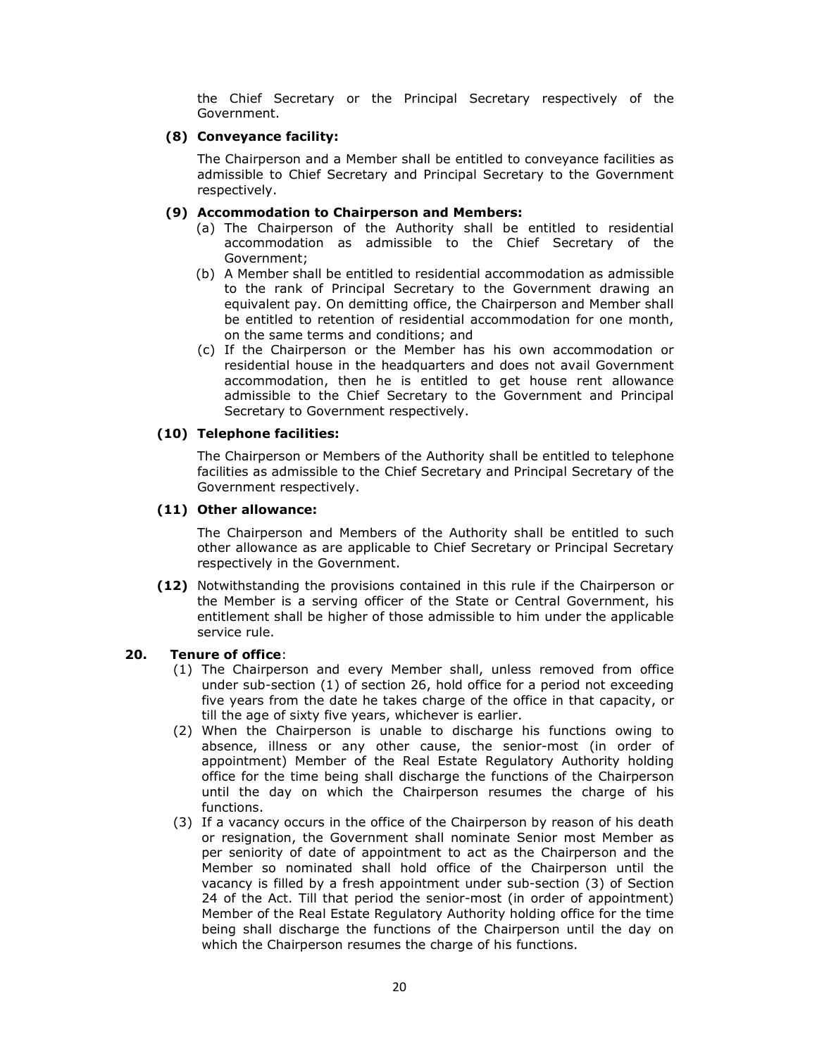the Chief Secretary or the Principal Secretary respectively of the Government.

### **(8) Conveyance facility:**

The Chairperson and a Member shall be entitled to conveyance facilities as admissible to Chief Secretary and Principal Secretary to the Government respectively.

### **(9) Accommodation to Chairperson and Members:**

- (a) The Chairperson of the Authority shall be entitled to residential accommodation as admissible to the Chief Secretary of the Government;
- (b) A Member shall be entitled to residential accommodation as admissible to the rank of Principal Secretary to the Government drawing an equivalent pay. On demitting office, the Chairperson and Member shall be entitled to retention of residential accommodation for one month, on the same terms and conditions; and
- (c) If the Chairperson or the Member has his own accommodation or residential house in the headquarters and does not avail Government accommodation, then he is entitled to get house rent allowance admissible to the Chief Secretary to the Government and Principal Secretary to Government respectively.

# **(10) Telephone facilities:**

The Chairperson or Members of the Authority shall be entitled to telephone facilities as admissible to the Chief Secretary and Principal Secretary of the Government respectively.

# **(11) Other allowance:**

The Chairperson and Members of the Authority shall be entitled to such other allowance as are applicable to Chief Secretary or Principal Secretary respectively in the Government.

**(12)** Notwithstanding the provisions contained in this rule if the Chairperson or the Member is a serving officer of the State or Central Government, his entitlement shall be higher of those admissible to him under the applicable service rule.

### **20. Tenure of office**:

- (1) The Chairperson and every Member shall, unless removed from office under sub-section (1) of section 26, hold office for a period not exceeding five years from the date he takes charge of the office in that capacity, or till the age of sixty five years, whichever is earlier.
- (2) When the Chairperson is unable to discharge his functions owing to absence, illness or any other cause, the senior-most (in order of appointment) Member of the Real Estate Regulatory Authority holding office for the time being shall discharge the functions of the Chairperson until the day on which the Chairperson resumes the charge of his functions.
- (3) If a vacancy occurs in the office of the Chairperson by reason of his death or resignation, the Government shall nominate Senior most Member as per seniority of date of appointment to act as the Chairperson and the Member so nominated shall hold office of the Chairperson until the vacancy is filled by a fresh appointment under sub-section (3) of Section 24 of the Act. Till that period the senior-most (in order of appointment) Member of the Real Estate Regulatory Authority holding office for the time being shall discharge the functions of the Chairperson until the day on which the Chairperson resumes the charge of his functions.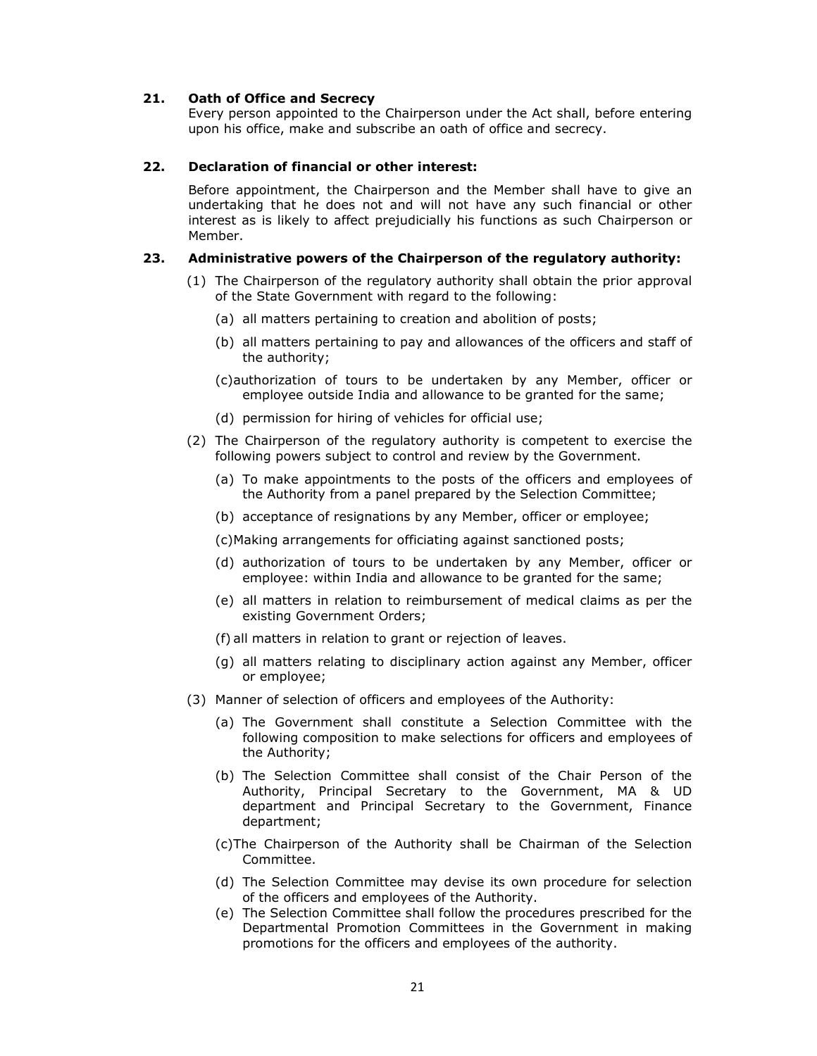### **21. Oath of Office and Secrecy**

Every person appointed to the Chairperson under the Act shall, before entering upon his office, make and subscribe an oath of office and secrecy.

### **22. Declaration of financial or other interest:**

Before appointment, the Chairperson and the Member shall have to give an undertaking that he does not and will not have any such financial or other interest as is likely to affect prejudicially his functions as such Chairperson or Member.

### **23. Administrative powers of the Chairperson of the regulatory authority:**

- (1) The Chairperson of the regulatory authority shall obtain the prior approval of the State Government with regard to the following:
	- (a) all matters pertaining to creation and abolition of posts;
	- (b) all matters pertaining to pay and allowances of the officers and staff of the authority;
	- (c)authorization of tours to be undertaken by any Member, officer or employee outside India and allowance to be granted for the same;
	- (d) permission for hiring of vehicles for official use;
- (2) The Chairperson of the regulatory authority is competent to exercise the following powers subject to control and review by the Government.
	- (a) To make appointments to the posts of the officers and employees of the Authority from a panel prepared by the Selection Committee;
	- (b) acceptance of resignations by any Member, officer or employee;

(c)Making arrangements for officiating against sanctioned posts;

- (d) authorization of tours to be undertaken by any Member, officer or employee: within India and allowance to be granted for the same;
- (e) all matters in relation to reimbursement of medical claims as per the existing Government Orders;
- (f) all matters in relation to grant or rejection of leaves.
- (g) all matters relating to disciplinary action against any Member, officer or employee;
- (3) Manner of selection of officers and employees of the Authority:
	- (a) The Government shall constitute a Selection Committee with the following composition to make selections for officers and employees of the Authority;
	- (b) The Selection Committee shall consist of the Chair Person of the Authority, Principal Secretary to the Government, MA & UD department and Principal Secretary to the Government, Finance department;
	- (c)The Chairperson of the Authority shall be Chairman of the Selection Committee.
	- (d) The Selection Committee may devise its own procedure for selection of the officers and employees of the Authority.
	- (e) The Selection Committee shall follow the procedures prescribed for the Departmental Promotion Committees in the Government in making promotions for the officers and employees of the authority.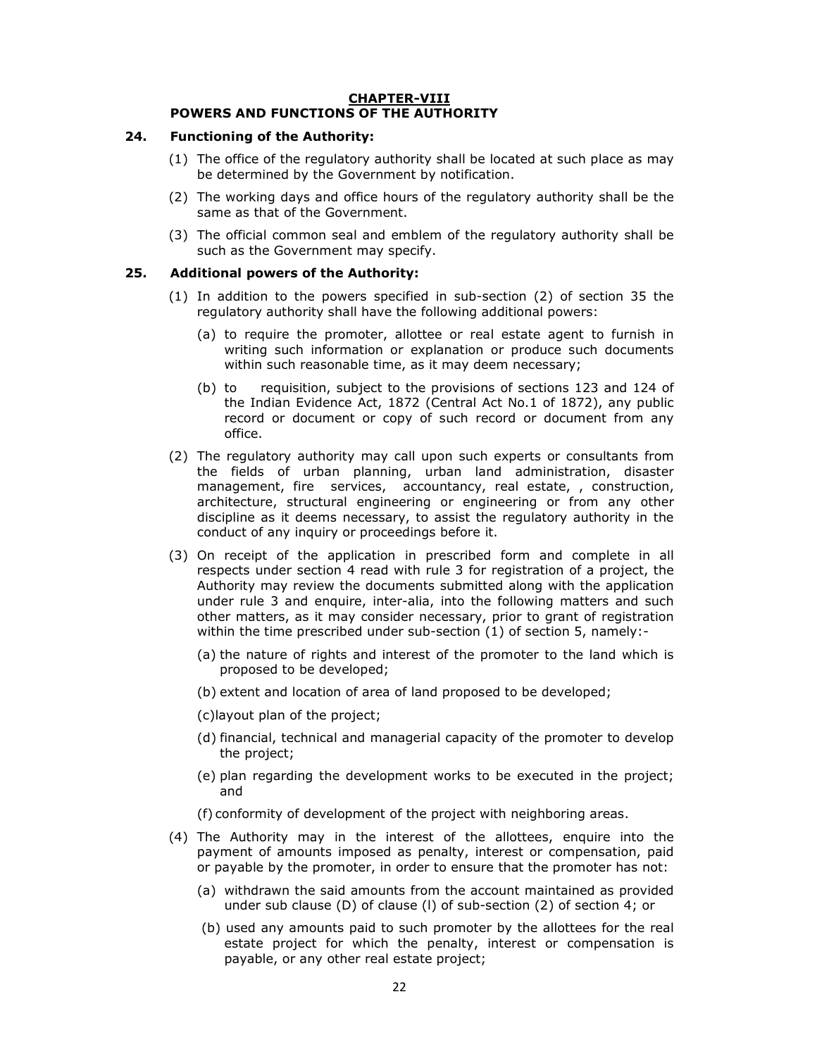### **CHAPTER-VIII POWERS AND FUNCTIONS OF THE AUTHORITY**

### **24. Functioning of the Authority:**

- (1) The office of the regulatory authority shall be located at such place as may be determined by the Government by notification.
- (2) The working days and office hours of the regulatory authority shall be the same as that of the Government.
- (3) The official common seal and emblem of the regulatory authority shall be such as the Government may specify.

# **25. Additional powers of the Authority:**

- (1) In addition to the powers specified in sub-section (2) of section 35 the regulatory authority shall have the following additional powers:
	- (a) to require the promoter, allottee or real estate agent to furnish in writing such information or explanation or produce such documents within such reasonable time, as it may deem necessary;
	- (b) to requisition, subject to the provisions of sections 123 and 124 of the Indian Evidence Act, 1872 (Central Act No.1 of 1872), any public record or document or copy of such record or document from any office.
- (2) The regulatory authority may call upon such experts or consultants from the fields of urban planning, urban land administration, disaster management, fire services, accountancy, real estate, , construction, architecture, structural engineering or engineering or from any other discipline as it deems necessary, to assist the regulatory authority in the conduct of any inquiry or proceedings before it.
- (3) On receipt of the application in prescribed form and complete in all respects under section 4 read with rule 3 for registration of a project, the Authority may review the documents submitted along with the application under rule 3 and enquire, inter-alia, into the following matters and such other matters, as it may consider necessary, prior to grant of registration within the time prescribed under sub-section (1) of section 5, namely:-
	- (a) the nature of rights and interest of the promoter to the land which is proposed to be developed;
	- (b) extent and location of area of land proposed to be developed;
	- (c)layout plan of the project;
	- (d) financial, technical and managerial capacity of the promoter to develop the project;
	- (e) plan regarding the development works to be executed in the project; and
	- (f) conformity of development of the project with neighboring areas.
- (4) The Authority may in the interest of the allottees, enquire into the payment of amounts imposed as penalty, interest or compensation, paid or payable by the promoter, in order to ensure that the promoter has not:
	- (a) withdrawn the said amounts from the account maintained as provided under sub clause (D) of clause (l) of sub-section (2) of section 4; or
	- (b) used any amounts paid to such promoter by the allottees for the real estate project for which the penalty, interest or compensation is payable, or any other real estate project;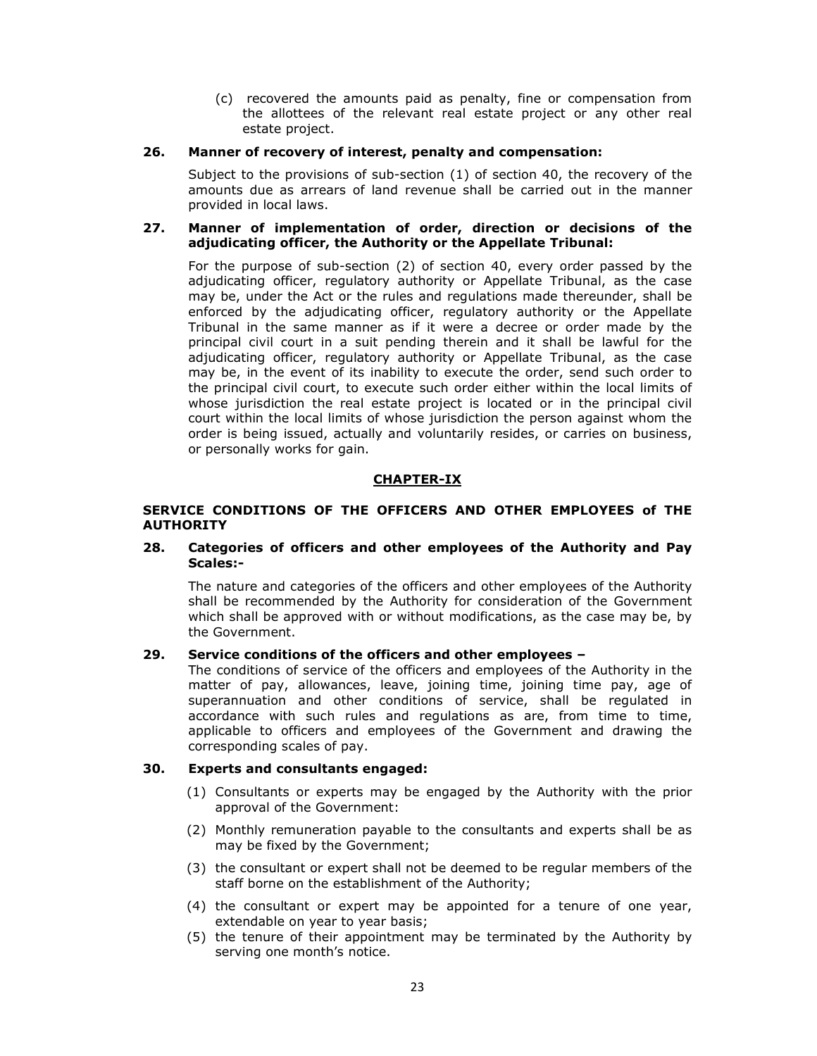(c) recovered the amounts paid as penalty, fine or compensation from the allottees of the relevant real estate project or any other real estate project.

### **26. Manner of recovery of interest, penalty and compensation:**

Subject to the provisions of sub-section (1) of section 40, the recovery of the amounts due as arrears of land revenue shall be carried out in the manner provided in local laws.

### **27. Manner of implementation of order, direction or decisions of the adjudicating officer, the Authority or the Appellate Tribunal:**

For the purpose of sub-section (2) of section 40, every order passed by the adjudicating officer, regulatory authority or Appellate Tribunal, as the case may be, under the Act or the rules and regulations made thereunder, shall be enforced by the adjudicating officer, regulatory authority or the Appellate Tribunal in the same manner as if it were a decree or order made by the principal civil court in a suit pending therein and it shall be lawful for the adjudicating officer, regulatory authority or Appellate Tribunal, as the case may be, in the event of its inability to execute the order, send such order to the principal civil court, to execute such order either within the local limits of whose jurisdiction the real estate project is located or in the principal civil court within the local limits of whose jurisdiction the person against whom the order is being issued, actually and voluntarily resides, or carries on business, or personally works for gain.

### **CHAPTER-IX**

### **SERVICE CONDITIONS OF THE OFFICERS AND OTHER EMPLOYEES of THE AUTHORITY**

### **28. Categories of officers and other employees of the Authority and Pay Scales:-**

The nature and categories of the officers and other employees of the Authority shall be recommended by the Authority for consideration of the Government which shall be approved with or without modifications, as the case may be, by the Government.

### **29. Service conditions of the officers and other employees –**

The conditions of service of the officers and employees of the Authority in the matter of pay, allowances, leave, joining time, joining time pay, age of superannuation and other conditions of service, shall be regulated in accordance with such rules and regulations as are, from time to time, applicable to officers and employees of the Government and drawing the corresponding scales of pay.

# **30. Experts and consultants engaged:**

- (1) Consultants or experts may be engaged by the Authority with the prior approval of the Government:
- (2) Monthly remuneration payable to the consultants and experts shall be as may be fixed by the Government;
- (3) the consultant or expert shall not be deemed to be regular members of the staff borne on the establishment of the Authority;
- (4) the consultant or expert may be appointed for a tenure of one year, extendable on year to year basis;
- (5) the tenure of their appointment may be terminated by the Authority by serving one month's notice.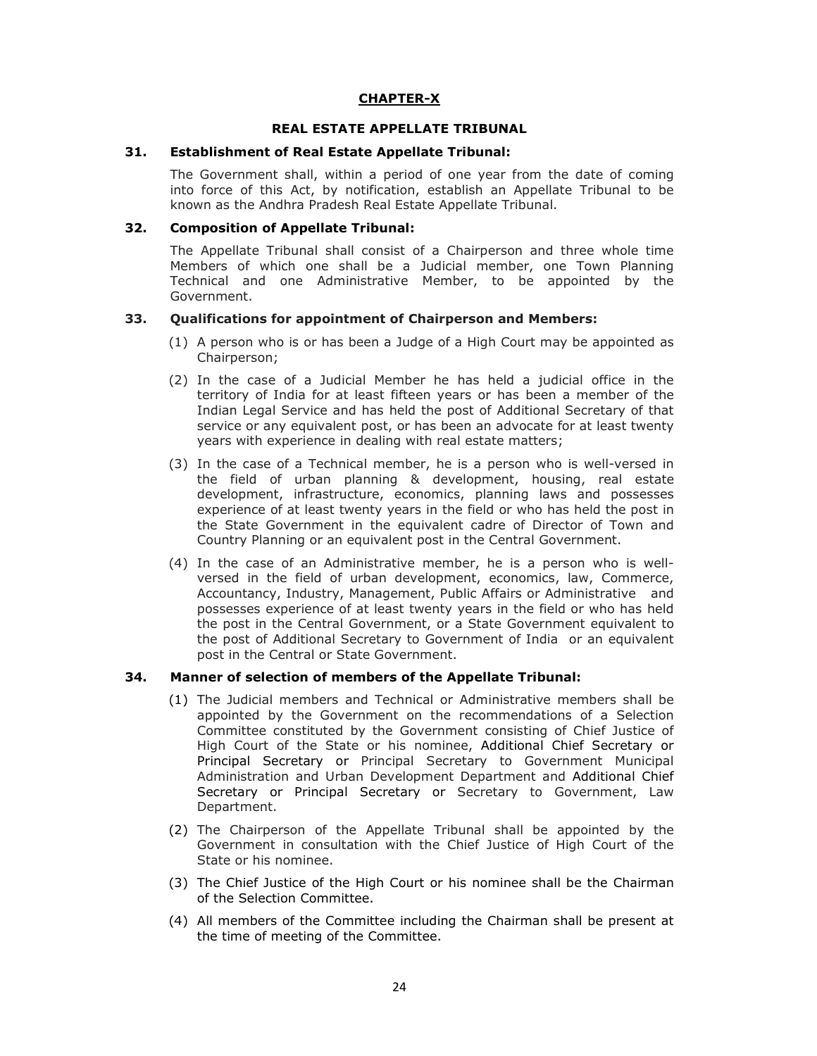# **CHAPTER-X**

### **REAL ESTATE APPELLATE TRIBUNAL**

#### **31. Establishment of Real Estate Appellate Tribunal:**

The Government shall, within a period of one year from the date of coming into force of this Act, by notification, establish an Appellate Tribunal to be known as the Andhra Pradesh Real Estate Appellate Tribunal.

### **32. Composition of Appellate Tribunal:**

The Appellate Tribunal shall consist of a Chairperson and three whole time Members of which one shall be a Judicial member, one Town Planning Technical and one Administrative Member, to be appointed by the Government.

#### **33. Qualifications for appointment of Chairperson and Members:**

- (1) A person who is or has been a Judge of a High Court may be appointed as Chairperson;
- (2) In the case of a Judicial Member he has held a judicial office in the territory of India for at least fifteen years or has been a member of the Indian Legal Service and has held the post of Additional Secretary of that service or any equivalent post, or has been an advocate for at least twenty years with experience in dealing with real estate matters;
- (3) In the case of a Technical member, he is a person who is well-versed in the field of urban planning & development, housing, real estate development, infrastructure, economics, planning laws and possesses experience of at least twenty years in the field or who has held the post in the State Government in the equivalent cadre of Director of Town and Country Planning or an equivalent post in the Central Government.
- (4) In the case of an Administrative member, he is a person who is wellversed in the field of urban development, economics, law, Commerce, Accountancy, Industry, Management, Public Affairs or Administrative and possesses experience of at least twenty years in the field or who has held the post in the Central Government, or a State Government equivalent to the post of Additional Secretary to Government of India or an equivalent post in the Central or State Government.

### **34. Manner of selection of members of the Appellate Tribunal:**

- (1) The Judicial members and Technical or Administrative members shall be appointed by the Government on the recommendations of a Selection Committee constituted by the Government consisting of Chief Justice of High Court of the State or his nominee, Additional Chief Secretary or Principal Secretary or Principal Secretary to Government Municipal Administration and Urban Development Department and Additional Chief Secretary or Principal Secretary or Secretary to Government, Law Department.
- (2) The Chairperson of the Appellate Tribunal shall be appointed by the Government in consultation with the Chief Justice of High Court of the State or his nominee.
- (3) The Chief Justice of the High Court or his nominee shall be the Chairman of the Selection Committee.
- (4) All members of the Committee including the Chairman shall be present at the time of meeting of the Committee.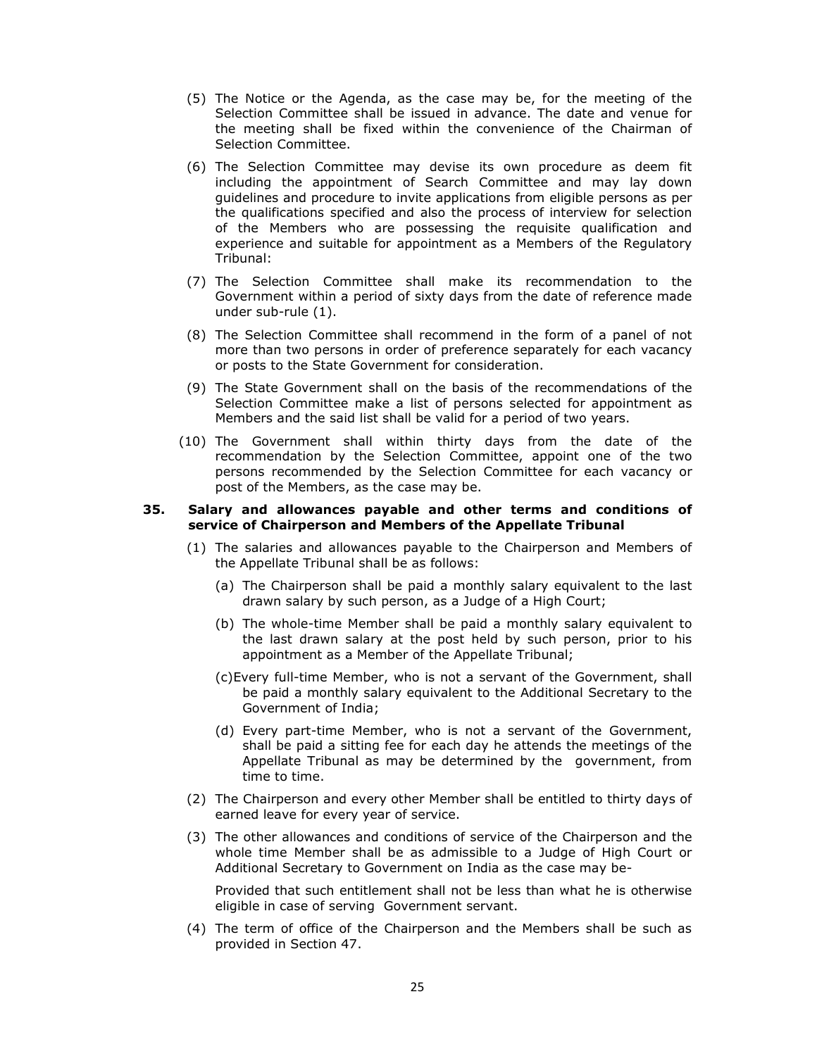- (5) The Notice or the Agenda, as the case may be, for the meeting of the Selection Committee shall be issued in advance. The date and venue for the meeting shall be fixed within the convenience of the Chairman of Selection Committee.
- (6) The Selection Committee may devise its own procedure as deem fit including the appointment of Search Committee and may lay down guidelines and procedure to invite applications from eligible persons as per the qualifications specified and also the process of interview for selection of the Members who are possessing the requisite qualification and experience and suitable for appointment as a Members of the Regulatory Tribunal:
- (7) The Selection Committee shall make its recommendation to the Government within a period of sixty days from the date of reference made under sub-rule (1).
- (8) The Selection Committee shall recommend in the form of a panel of not more than two persons in order of preference separately for each vacancy or posts to the State Government for consideration.
- (9) The State Government shall on the basis of the recommendations of the Selection Committee make a list of persons selected for appointment as Members and the said list shall be valid for a period of two years.
- (10) The Government shall within thirty days from the date of the recommendation by the Selection Committee, appoint one of the two persons recommended by the Selection Committee for each vacancy or post of the Members, as the case may be.

#### **35. Salary and allowances payable and other terms and conditions of service of Chairperson and Members of the Appellate Tribunal**

- (1) The salaries and allowances payable to the Chairperson and Members of the Appellate Tribunal shall be as follows:
	- (a) The Chairperson shall be paid a monthly salary equivalent to the last drawn salary by such person, as a Judge of a High Court;
	- (b) The whole-time Member shall be paid a monthly salary equivalent to the last drawn salary at the post held by such person, prior to his appointment as a Member of the Appellate Tribunal;
	- (c)Every full-time Member, who is not a servant of the Government, shall be paid a monthly salary equivalent to the Additional Secretary to the Government of India;
	- (d) Every part-time Member, who is not a servant of the Government, shall be paid a sitting fee for each day he attends the meetings of the Appellate Tribunal as may be determined by the government, from time to time.
- (2) The Chairperson and every other Member shall be entitled to thirty days of earned leave for every year of service.
- (3) The other allowances and conditions of service of the Chairperson and the whole time Member shall be as admissible to a Judge of High Court or Additional Secretary to Government on India as the case may be-

Provided that such entitlement shall not be less than what he is otherwise eligible in case of serving Government servant.

(4) The term of office of the Chairperson and the Members shall be such as provided in Section 47.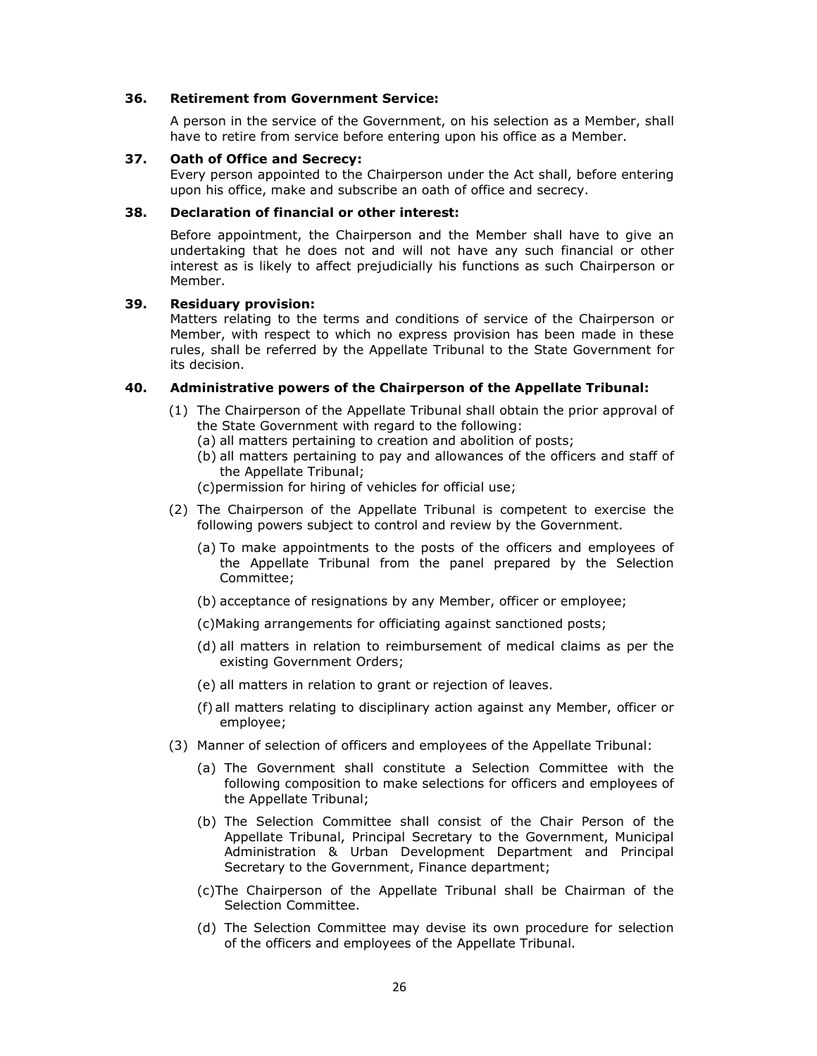### **36. Retirement from Government Service:**

A person in the service of the Government, on his selection as a Member, shall have to retire from service before entering upon his office as a Member.

#### **37. Oath of Office and Secrecy:**

Every person appointed to the Chairperson under the Act shall, before entering upon his office, make and subscribe an oath of office and secrecy.

### **38. Declaration of financial or other interest:**

Before appointment, the Chairperson and the Member shall have to give an undertaking that he does not and will not have any such financial or other interest as is likely to affect prejudicially his functions as such Chairperson or Member.

### **39. Residuary provision:**

Matters relating to the terms and conditions of service of the Chairperson or Member, with respect to which no express provision has been made in these rules, shall be referred by the Appellate Tribunal to the State Government for its decision.

### **40. Administrative powers of the Chairperson of the Appellate Tribunal:**

- (1) The Chairperson of the Appellate Tribunal shall obtain the prior approval of the State Government with regard to the following:
	- (a) all matters pertaining to creation and abolition of posts;
	- (b) all matters pertaining to pay and allowances of the officers and staff of the Appellate Tribunal;

(c)permission for hiring of vehicles for official use;

- (2) The Chairperson of the Appellate Tribunal is competent to exercise the following powers subject to control and review by the Government.
	- (a) To make appointments to the posts of the officers and employees of the Appellate Tribunal from the panel prepared by the Selection Committee;
	- (b) acceptance of resignations by any Member, officer or employee;
	- (c)Making arrangements for officiating against sanctioned posts;
	- (d) all matters in relation to reimbursement of medical claims as per the existing Government Orders;
	- (e) all matters in relation to grant or rejection of leaves.
	- (f) all matters relating to disciplinary action against any Member, officer or employee;
- (3) Manner of selection of officers and employees of the Appellate Tribunal:
	- (a) The Government shall constitute a Selection Committee with the following composition to make selections for officers and employees of the Appellate Tribunal;
	- (b) The Selection Committee shall consist of the Chair Person of the Appellate Tribunal, Principal Secretary to the Government, Municipal Administration & Urban Development Department and Principal Secretary to the Government, Finance department;
	- (c)The Chairperson of the Appellate Tribunal shall be Chairman of the Selection Committee.
	- (d) The Selection Committee may devise its own procedure for selection of the officers and employees of the Appellate Tribunal.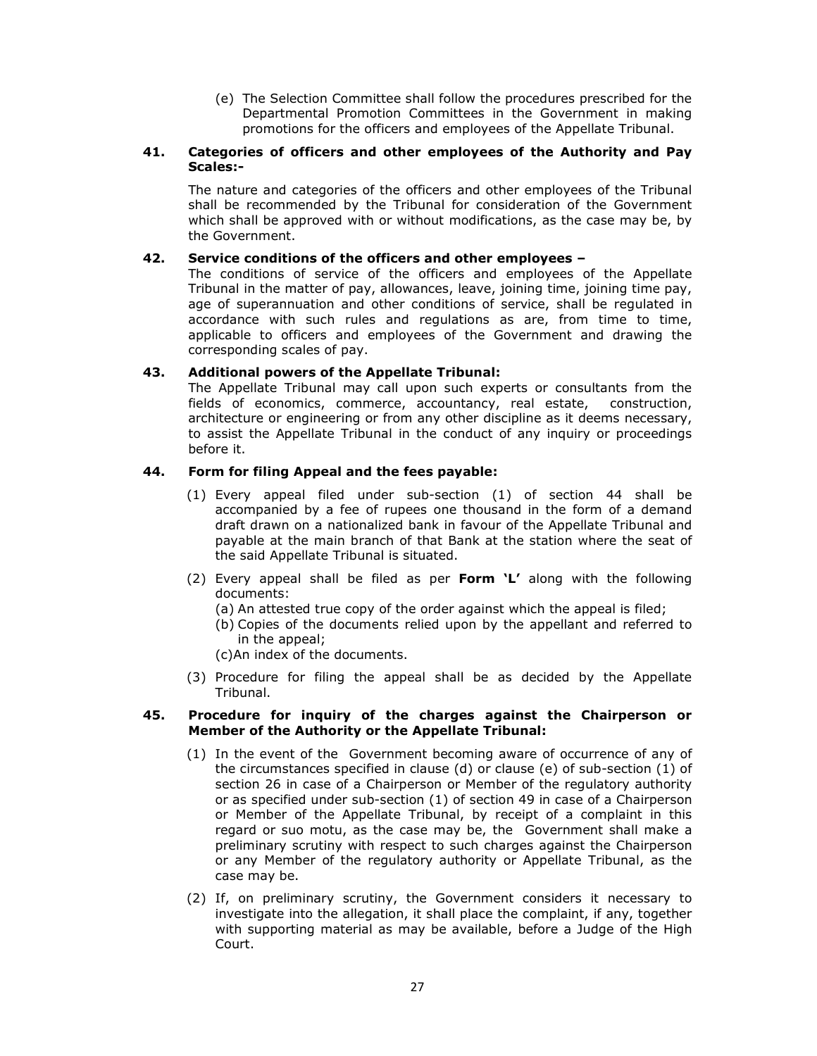(e) The Selection Committee shall follow the procedures prescribed for the Departmental Promotion Committees in the Government in making promotions for the officers and employees of the Appellate Tribunal.

# **41. Categories of officers and other employees of the Authority and Pay Scales:-**

The nature and categories of the officers and other employees of the Tribunal shall be recommended by the Tribunal for consideration of the Government which shall be approved with or without modifications, as the case may be, by the Government.

### **42. Service conditions of the officers and other employees –**

The conditions of service of the officers and employees of the Appellate Tribunal in the matter of pay, allowances, leave, joining time, joining time pay, age of superannuation and other conditions of service, shall be regulated in accordance with such rules and regulations as are, from time to time, applicable to officers and employees of the Government and drawing the corresponding scales of pay.

# **43. Additional powers of the Appellate Tribunal:**

The Appellate Tribunal may call upon such experts or consultants from the fields of economics, commerce, accountancy, real estate, construction, architecture or engineering or from any other discipline as it deems necessary, to assist the Appellate Tribunal in the conduct of any inquiry or proceedings before it.

# **44. Form for filing Appeal and the fees payable:**

- (1) Every appeal filed under sub-section (1) of section 44 shall be accompanied by a fee of rupees one thousand in the form of a demand draft drawn on a nationalized bank in favour of the Appellate Tribunal and payable at the main branch of that Bank at the station where the seat of the said Appellate Tribunal is situated.
- (2) Every appeal shall be filed as per **Form 'L'** along with the following documents:
	- (a) An attested true copy of the order against which the appeal is filed;
	- (b) Copies of the documents relied upon by the appellant and referred to in the appeal;
	- (c)An index of the documents.
- (3) Procedure for filing the appeal shall be as decided by the Appellate Tribunal.

### **45. Procedure for inquiry of the charges against the Chairperson or Member of the Authority or the Appellate Tribunal:**

- (1) In the event of the Government becoming aware of occurrence of any of the circumstances specified in clause (d) or clause (e) of sub-section (1) of section 26 in case of a Chairperson or Member of the regulatory authority or as specified under sub-section (1) of section 49 in case of a Chairperson or Member of the Appellate Tribunal, by receipt of a complaint in this regard or suo motu, as the case may be, the Government shall make a preliminary scrutiny with respect to such charges against the Chairperson or any Member of the regulatory authority or Appellate Tribunal, as the case may be.
- (2) If, on preliminary scrutiny, the Government considers it necessary to investigate into the allegation, it shall place the complaint, if any, together with supporting material as may be available, before a Judge of the High Court.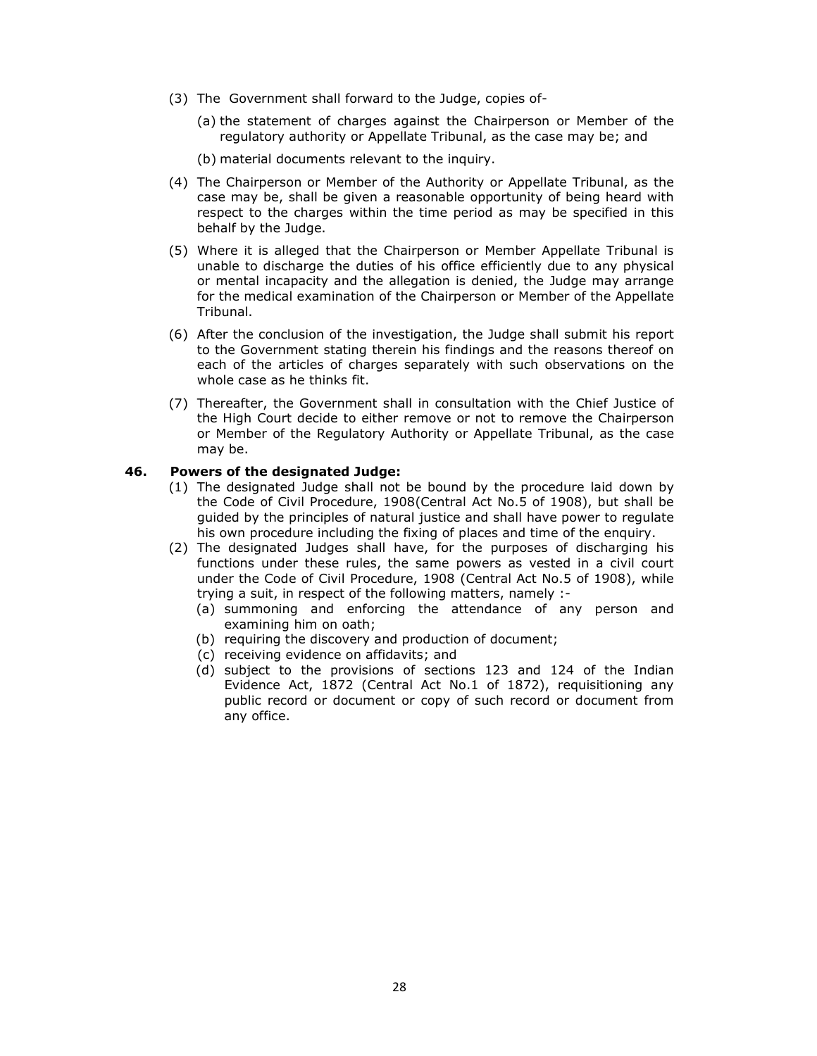- (3) The Government shall forward to the Judge, copies of-
	- (a) the statement of charges against the Chairperson or Member of the regulatory authority or Appellate Tribunal, as the case may be; and
	- (b) material documents relevant to the inquiry.
- (4) The Chairperson or Member of the Authority or Appellate Tribunal, as the case may be, shall be given a reasonable opportunity of being heard with respect to the charges within the time period as may be specified in this behalf by the Judge.
- (5) Where it is alleged that the Chairperson or Member Appellate Tribunal is unable to discharge the duties of his office efficiently due to any physical or mental incapacity and the allegation is denied, the Judge may arrange for the medical examination of the Chairperson or Member of the Appellate Tribunal.
- (6) After the conclusion of the investigation, the Judge shall submit his report to the Government stating therein his findings and the reasons thereof on each of the articles of charges separately with such observations on the whole case as he thinks fit.
- (7) Thereafter, the Government shall in consultation with the Chief Justice of the High Court decide to either remove or not to remove the Chairperson or Member of the Regulatory Authority or Appellate Tribunal, as the case may be.

### **46. Powers of the designated Judge:**

- (1) The designated Judge shall not be bound by the procedure laid down by the Code of Civil Procedure, 1908(Central Act No.5 of 1908), but shall be guided by the principles of natural justice and shall have power to regulate his own procedure including the fixing of places and time of the enquiry.
- (2) The designated Judges shall have, for the purposes of discharging his functions under these rules, the same powers as vested in a civil court under the Code of Civil Procedure, 1908 (Central Act No.5 of 1908), while trying a suit, in respect of the following matters, namely :-
	- (a) summoning and enforcing the attendance of any person and examining him on oath;
	- (b) requiring the discovery and production of document;
	- (c) receiving evidence on affidavits; and
	- (d) subject to the provisions of sections 123 and 124 of the Indian Evidence Act, 1872 (Central Act No.1 of 1872), requisitioning any public record or document or copy of such record or document from any office.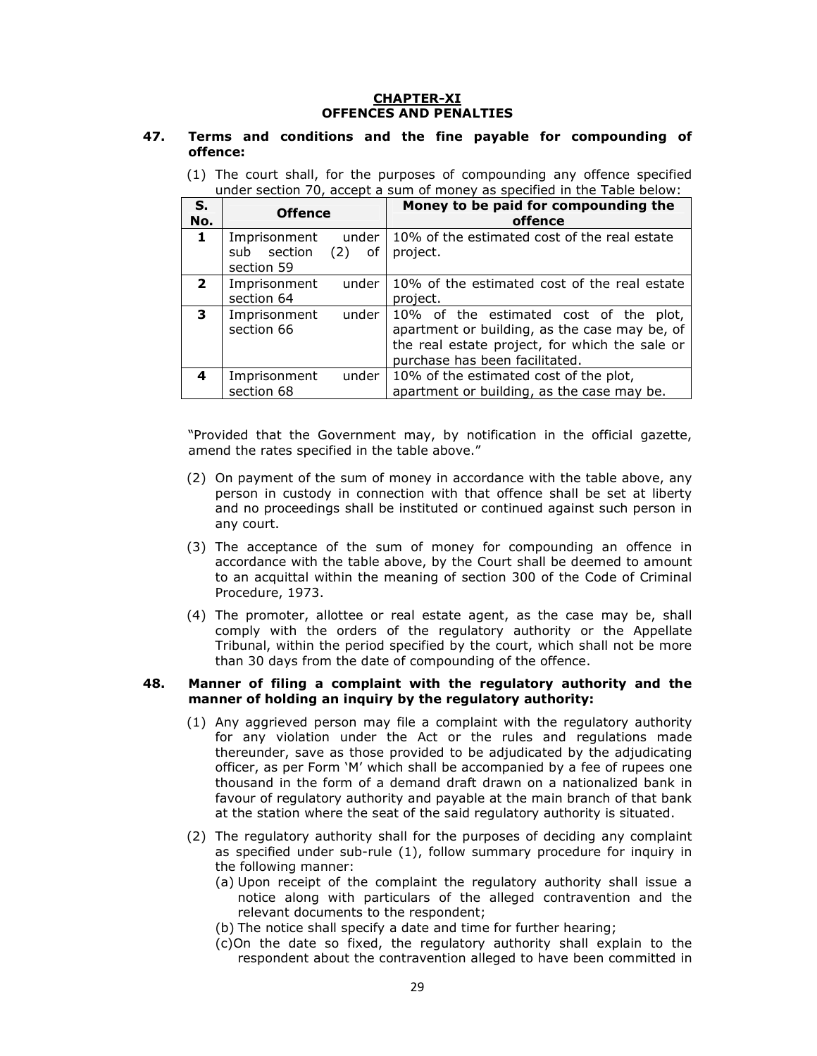### **CHAPTER-XI OFFENCES AND PENALTIES**

### **47. Terms and conditions and the fine payable for compounding of offence:**

|  |  | (1) The court shall, for the purposes of compounding any offence specified |
|--|--|----------------------------------------------------------------------------|
|  |  | under section 70, accept a sum of money as specified in the Table below:   |

| S.<br>No.    | <b>Offence</b>                                                    | Money to be paid for compounding the<br>offence                                                                                                                             |  |
|--------------|-------------------------------------------------------------------|-----------------------------------------------------------------------------------------------------------------------------------------------------------------------------|--|
| 1            | Imprisonment<br>under<br>section<br>sub<br>$(2)$ of<br>section 59 | 10% of the estimated cost of the real estate<br>project.                                                                                                                    |  |
| $\mathbf{2}$ | Imprisonment<br>under<br>section 64                               | 10% of the estimated cost of the real estate<br>project.                                                                                                                    |  |
| 3            | under<br>Imprisonment<br>section 66                               | 10% of the estimated cost of the plot,<br>apartment or building, as the case may be, of<br>the real estate project, for which the sale or<br>purchase has been facilitated. |  |
| 4            | Imprisonment<br>under<br>section 68                               | 10% of the estimated cost of the plot,<br>apartment or building, as the case may be.                                                                                        |  |

"Provided that the Government may, by notification in the official gazette, amend the rates specified in the table above."

- (2) On payment of the sum of money in accordance with the table above, any person in custody in connection with that offence shall be set at liberty and no proceedings shall be instituted or continued against such person in any court.
- (3) The acceptance of the sum of money for compounding an offence in accordance with the table above, by the Court shall be deemed to amount to an acquittal within the meaning of section 300 of the Code of Criminal Procedure, 1973.
- (4) The promoter, allottee or real estate agent, as the case may be, shall comply with the orders of the regulatory authority or the Appellate Tribunal, within the period specified by the court, which shall not be more than 30 days from the date of compounding of the offence.

#### **48. Manner of filing a complaint with the regulatory authority and the manner of holding an inquiry by the regulatory authority:**

- (1) Any aggrieved person may file a complaint with the regulatory authority for any violation under the Act or the rules and regulations made thereunder, save as those provided to be adjudicated by the adjudicating officer, as per Form 'M' which shall be accompanied by a fee of rupees one thousand in the form of a demand draft drawn on a nationalized bank in favour of regulatory authority and payable at the main branch of that bank at the station where the seat of the said regulatory authority is situated.
- (2) The regulatory authority shall for the purposes of deciding any complaint as specified under sub-rule (1), follow summary procedure for inquiry in the following manner:
	- (a) Upon receipt of the complaint the regulatory authority shall issue a notice along with particulars of the alleged contravention and the relevant documents to the respondent;
	- (b) The notice shall specify a date and time for further hearing;
	- (c)On the date so fixed, the regulatory authority shall explain to the respondent about the contravention alleged to have been committed in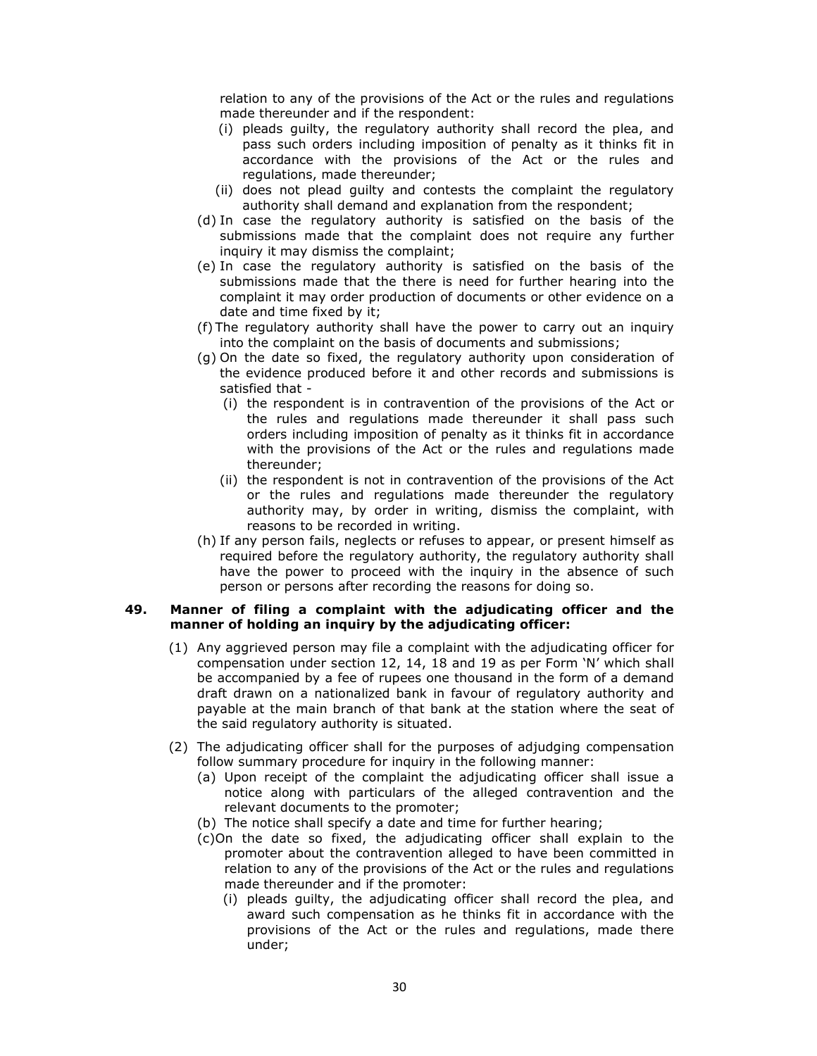relation to any of the provisions of the Act or the rules and regulations made thereunder and if the respondent:

- (i) pleads guilty, the regulatory authority shall record the plea, and pass such orders including imposition of penalty as it thinks fit in accordance with the provisions of the Act or the rules and regulations, made thereunder;
- (ii) does not plead guilty and contests the complaint the regulatory authority shall demand and explanation from the respondent;
- (d) In case the regulatory authority is satisfied on the basis of the submissions made that the complaint does not require any further inquiry it may dismiss the complaint;
- (e) In case the regulatory authority is satisfied on the basis of the submissions made that the there is need for further hearing into the complaint it may order production of documents or other evidence on a date and time fixed by it;
- (f) The regulatory authority shall have the power to carry out an inquiry into the complaint on the basis of documents and submissions;
- (g) On the date so fixed, the regulatory authority upon consideration of the evidence produced before it and other records and submissions is satisfied that -
	- (i) the respondent is in contravention of the provisions of the Act or the rules and regulations made thereunder it shall pass such orders including imposition of penalty as it thinks fit in accordance with the provisions of the Act or the rules and regulations made thereunder;
	- (ii) the respondent is not in contravention of the provisions of the Act or the rules and regulations made thereunder the regulatory authority may, by order in writing, dismiss the complaint, with reasons to be recorded in writing.
- (h) If any person fails, neglects or refuses to appear, or present himself as required before the regulatory authority, the regulatory authority shall have the power to proceed with the inquiry in the absence of such person or persons after recording the reasons for doing so.

### **49. Manner of filing a complaint with the adjudicating officer and the manner of holding an inquiry by the adjudicating officer:**

- (1) Any aggrieved person may file a complaint with the adjudicating officer for compensation under section 12, 14, 18 and 19 as per Form 'N' which shall be accompanied by a fee of rupees one thousand in the form of a demand draft drawn on a nationalized bank in favour of regulatory authority and payable at the main branch of that bank at the station where the seat of the said regulatory authority is situated.
- (2) The adjudicating officer shall for the purposes of adjudging compensation follow summary procedure for inquiry in the following manner:
	- (a) Upon receipt of the complaint the adjudicating officer shall issue a notice along with particulars of the alleged contravention and the relevant documents to the promoter;
	- (b) The notice shall specify a date and time for further hearing;
	- (c)On the date so fixed, the adjudicating officer shall explain to the promoter about the contravention alleged to have been committed in relation to any of the provisions of the Act or the rules and regulations made thereunder and if the promoter:
		- (i) pleads guilty, the adjudicating officer shall record the plea, and award such compensation as he thinks fit in accordance with the provisions of the Act or the rules and regulations, made there under;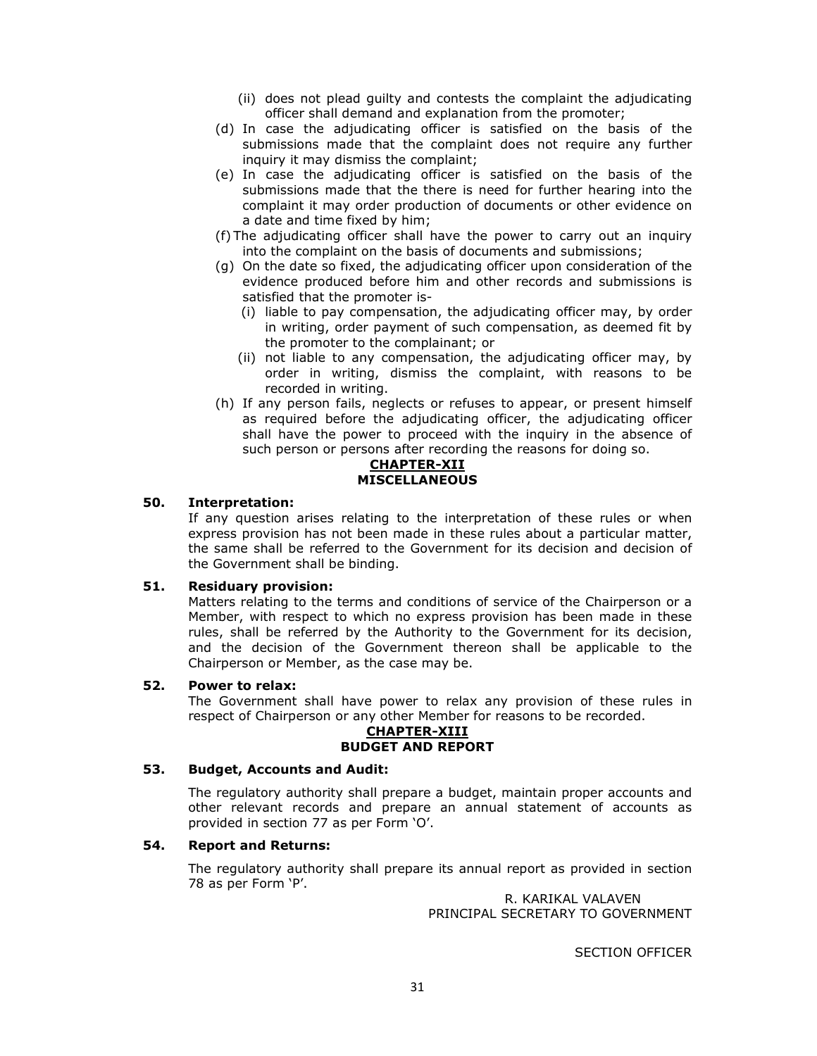- (ii) does not plead guilty and contests the complaint the adjudicating officer shall demand and explanation from the promoter;
- (d) In case the adjudicating officer is satisfied on the basis of the submissions made that the complaint does not require any further inquiry it may dismiss the complaint;
- (e) In case the adjudicating officer is satisfied on the basis of the submissions made that the there is need for further hearing into the complaint it may order production of documents or other evidence on a date and time fixed by him;
- (f) The adjudicating officer shall have the power to carry out an inquiry into the complaint on the basis of documents and submissions;
- (g) On the date so fixed, the adjudicating officer upon consideration of the evidence produced before him and other records and submissions is satisfied that the promoter is-
	- (i) liable to pay compensation, the adjudicating officer may, by order in writing, order payment of such compensation, as deemed fit by the promoter to the complainant; or
	- (ii) not liable to any compensation, the adjudicating officer may, by order in writing, dismiss the complaint, with reasons to be recorded in writing.
- (h) If any person fails, neglects or refuses to appear, or present himself as required before the adjudicating officer, the adjudicating officer shall have the power to proceed with the inquiry in the absence of such person or persons after recording the reasons for doing so.

#### **CHAPTER-XII MISCELLANEOUS**

# **50. Interpretation:**

If any question arises relating to the interpretation of these rules or when express provision has not been made in these rules about a particular matter, the same shall be referred to the Government for its decision and decision of the Government shall be binding.

### **51. Residuary provision:**

Matters relating to the terms and conditions of service of the Chairperson or a Member, with respect to which no express provision has been made in these rules, shall be referred by the Authority to the Government for its decision, and the decision of the Government thereon shall be applicable to the Chairperson or Member, as the case may be.

### **52. Power to relax:**

The Government shall have power to relax any provision of these rules in respect of Chairperson or any other Member for reasons to be recorded.

#### **CHAPTER-XIII BUDGET AND REPORT**

# **53. Budget, Accounts and Audit:**

The regulatory authority shall prepare a budget, maintain proper accounts and other relevant records and prepare an annual statement of accounts as provided in section 77 as per Form 'O'.

### **54. Report and Returns:**

The regulatory authority shall prepare its annual report as provided in section 78 as per Form 'P'.

> R. KARIKAL VALAVEN PRINCIPAL SECRETARY TO GOVERNMENT

> > SECTION OFFICER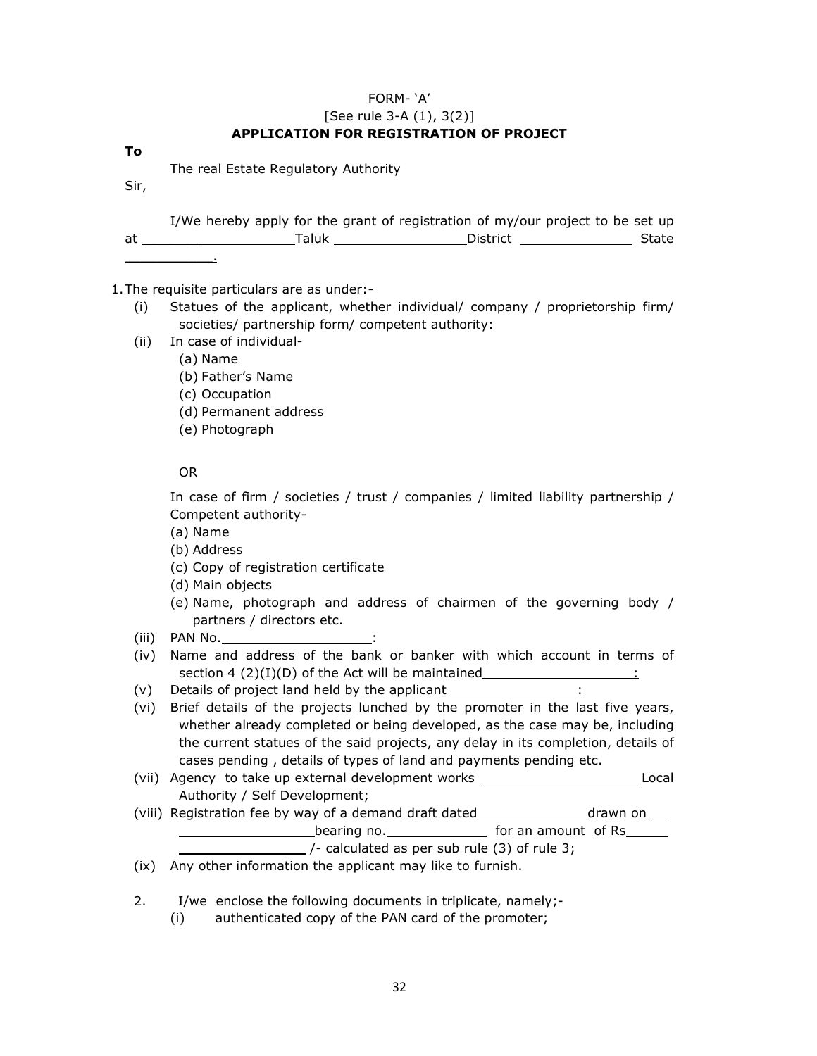# FORM- 'A' [See rule 3-A (1), 3(2)] **APPLICATION FOR REGISTRATION OF PROJECT**

**To** 

The real Estate Regulatory Authority

Sir,

|    |       | I/We hereby apply for the grant of registration of my/our project to be set up |       |
|----|-------|--------------------------------------------------------------------------------|-------|
| at | Taluk | District                                                                       | State |
|    |       |                                                                                |       |

- 1.The requisite particulars are as under:- (i) Statues of the applicant, whether individual/ company / proprietorship firm/ societies/ partnership form/ competent authority:
	- (ii) In case of individual-
		- (a) Name
		- (b) Father's Name
		- (c) Occupation
		- (d) Permanent address
		- (e) Photograph

OR

In case of firm / societies / trust / companies / limited liability partnership / Competent authority-

(a) Name

- (b) Address
- (c) Copy of registration certificate
- (d) Main objects
- (e) Name, photograph and address of chairmen of the governing body / partners / directors etc.
- (iii) PAN No.
- (iv) Name and address of the bank or banker with which account in terms of section 4 (2)(I)(D) of the Act will be maintained  $\frac{1}{2}$
- (v) Details of project land held by the applicant  $\frac{1}{1-\frac{1}{2}}$
- (vi) Brief details of the projects lunched by the promoter in the last five years, whether already completed or being developed, as the case may be, including the current statues of the said projects, any delay in its completion, details of cases pending , details of types of land and payments pending etc.
- (vii) Agency to take up external development works \_\_\_\_\_\_\_\_\_\_\_\_\_\_\_\_\_\_\_\_\_\_\_\_\_\_\_\_Local Authority / Self Development;
- (viii) Registration fee by way of a demand draft dated \_\_\_\_\_\_\_\_\_\_\_\_\_\_\_\_\_\_\_\_\_\_\_\_\_ drawn on \_\_\_ bearing no. The same of the for an amount of Rs /- calculated as per sub rule (3) of rule 3;

(ix) Any other information the applicant may like to furnish.

2. I/we enclose the following documents in triplicate, namely;-

(i) authenticated copy of the PAN card of the promoter;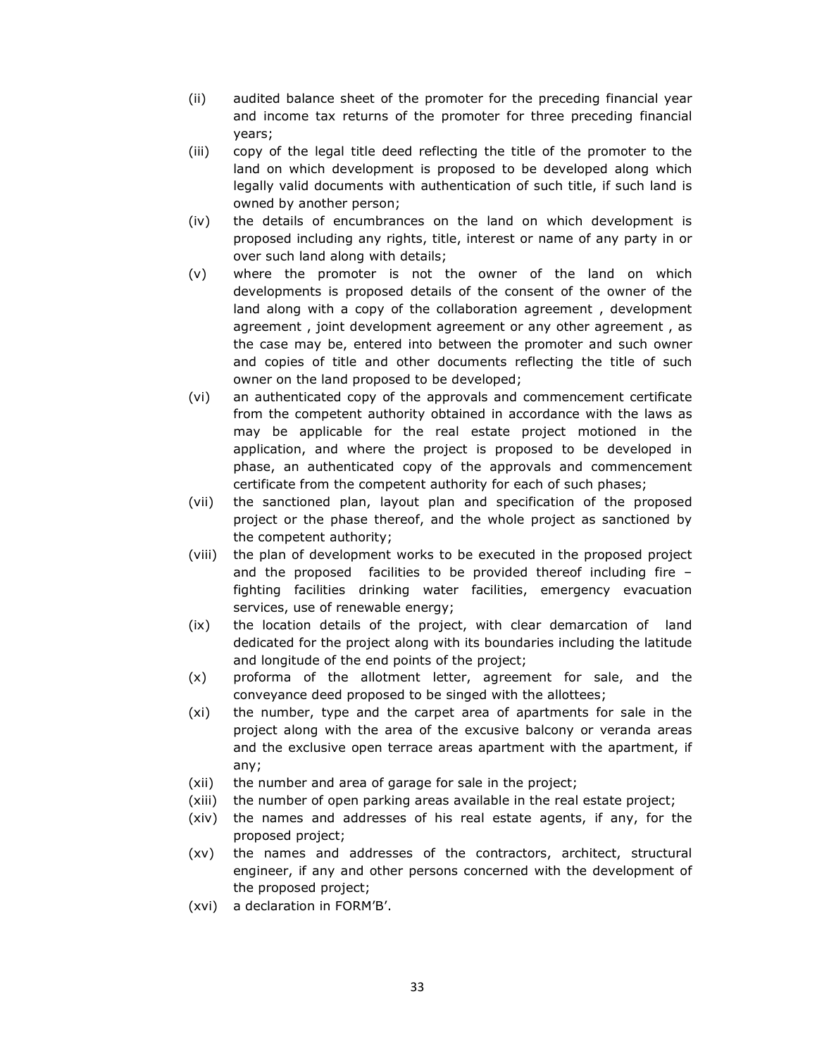- (ii) audited balance sheet of the promoter for the preceding financial year and income tax returns of the promoter for three preceding financial years;
- (iii) copy of the legal title deed reflecting the title of the promoter to the land on which development is proposed to be developed along which legally valid documents with authentication of such title, if such land is owned by another person;
- (iv) the details of encumbrances on the land on which development is proposed including any rights, title, interest or name of any party in or over such land along with details;
- (v) where the promoter is not the owner of the land on which developments is proposed details of the consent of the owner of the land along with a copy of the collaboration agreement , development agreement , joint development agreement or any other agreement , as the case may be, entered into between the promoter and such owner and copies of title and other documents reflecting the title of such owner on the land proposed to be developed;
- (vi) an authenticated copy of the approvals and commencement certificate from the competent authority obtained in accordance with the laws as may be applicable for the real estate project motioned in the application, and where the project is proposed to be developed in phase, an authenticated copy of the approvals and commencement certificate from the competent authority for each of such phases;
- (vii) the sanctioned plan, layout plan and specification of the proposed project or the phase thereof, and the whole project as sanctioned by the competent authority;
- (viii) the plan of development works to be executed in the proposed project and the proposed facilities to be provided thereof including fire – fighting facilities drinking water facilities, emergency evacuation services, use of renewable energy;
- (ix) the location details of the project, with clear demarcation of land dedicated for the project along with its boundaries including the latitude and longitude of the end points of the project;
- (x) proforma of the allotment letter, agreement for sale, and the conveyance deed proposed to be singed with the allottees;
- (xi) the number, type and the carpet area of apartments for sale in the project along with the area of the excusive balcony or veranda areas and the exclusive open terrace areas apartment with the apartment, if any;
- (xii) the number and area of garage for sale in the project;
- (xiii) the number of open parking areas available in the real estate project;
- (xiv) the names and addresses of his real estate agents, if any, for the proposed project;
- (xv) the names and addresses of the contractors, architect, structural engineer, if any and other persons concerned with the development of the proposed project;
- (xvi) a declaration in FORM'B'.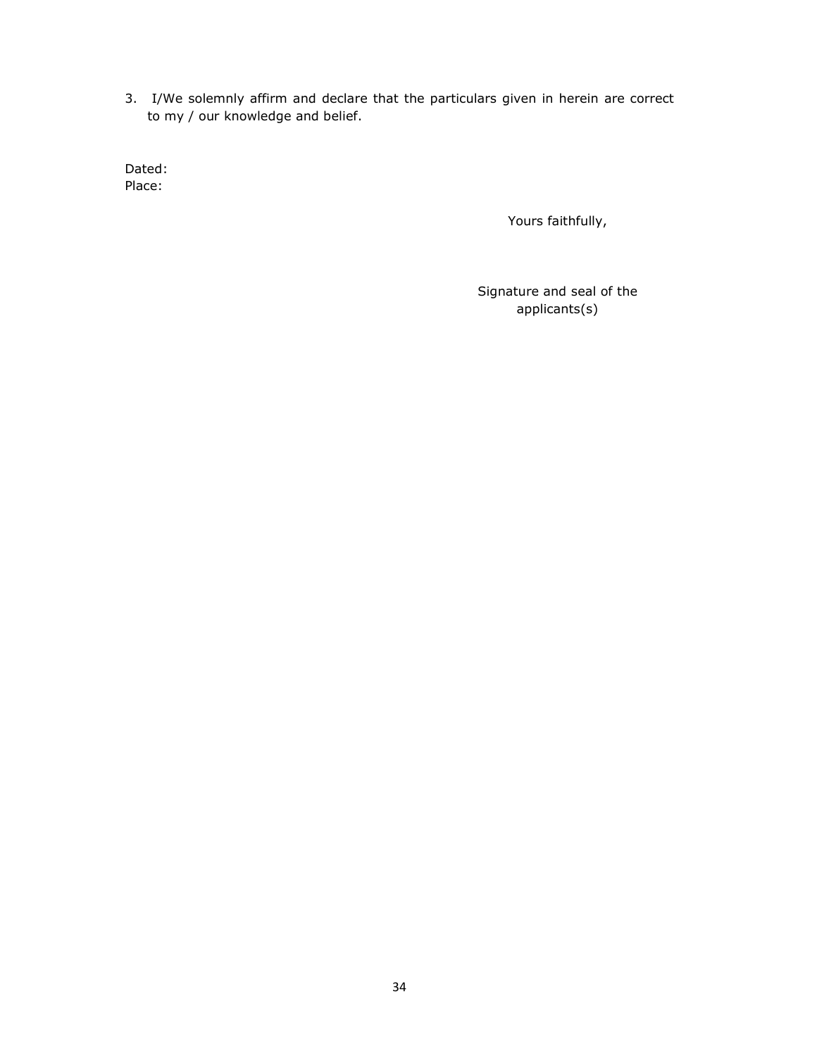3. I/We solemnly affirm and declare that the particulars given in herein are correct to my / our knowledge and belief.

Dated: Place:

Yours faithfully,

Signature and seal of the applicants(s)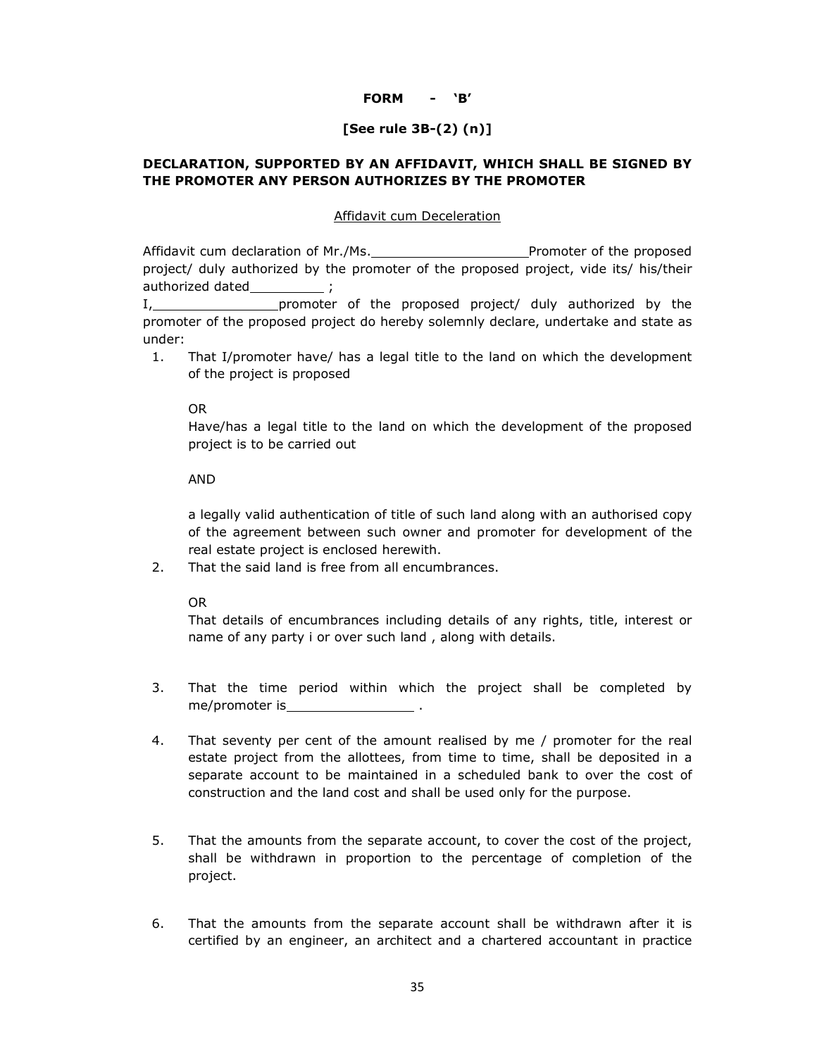# **FORM - 'B'**

# **[See rule 3B-(2) (n)]**

# **DECLARATION, SUPPORTED BY AN AFFIDAVIT, WHICH SHALL BE SIGNED BY THE PROMOTER ANY PERSON AUTHORIZES BY THE PROMOTER**

### Affidavit cum Deceleration

Affidavit cum declaration of Mr./Ms. example 20 Promoter of the proposed project/ duly authorized by the promoter of the proposed project, vide its/ his/their authorized dated \_\_\_\_\_\_\_\_\_;

I, 1. promoter of the proposed project/ duly authorized by the promoter of the proposed project do hereby solemnly declare, undertake and state as under:

1. That I/promoter have/ has a legal title to the land on which the development of the project is proposed

#### OR

Have/has a legal title to the land on which the development of the proposed project is to be carried out

### AND

a legally valid authentication of title of such land along with an authorised copy of the agreement between such owner and promoter for development of the real estate project is enclosed herewith.

2. That the said land is free from all encumbrances.

OR

That details of encumbrances including details of any rights, title, interest or name of any party i or over such land , along with details.

- 3. That the time period within which the project shall be completed by me/promoter is .
- 4. That seventy per cent of the amount realised by me / promoter for the real estate project from the allottees, from time to time, shall be deposited in a separate account to be maintained in a scheduled bank to over the cost of construction and the land cost and shall be used only for the purpose.
- 5. That the amounts from the separate account, to cover the cost of the project, shall be withdrawn in proportion to the percentage of completion of the project.
- 6. That the amounts from the separate account shall be withdrawn after it is certified by an engineer, an architect and a chartered accountant in practice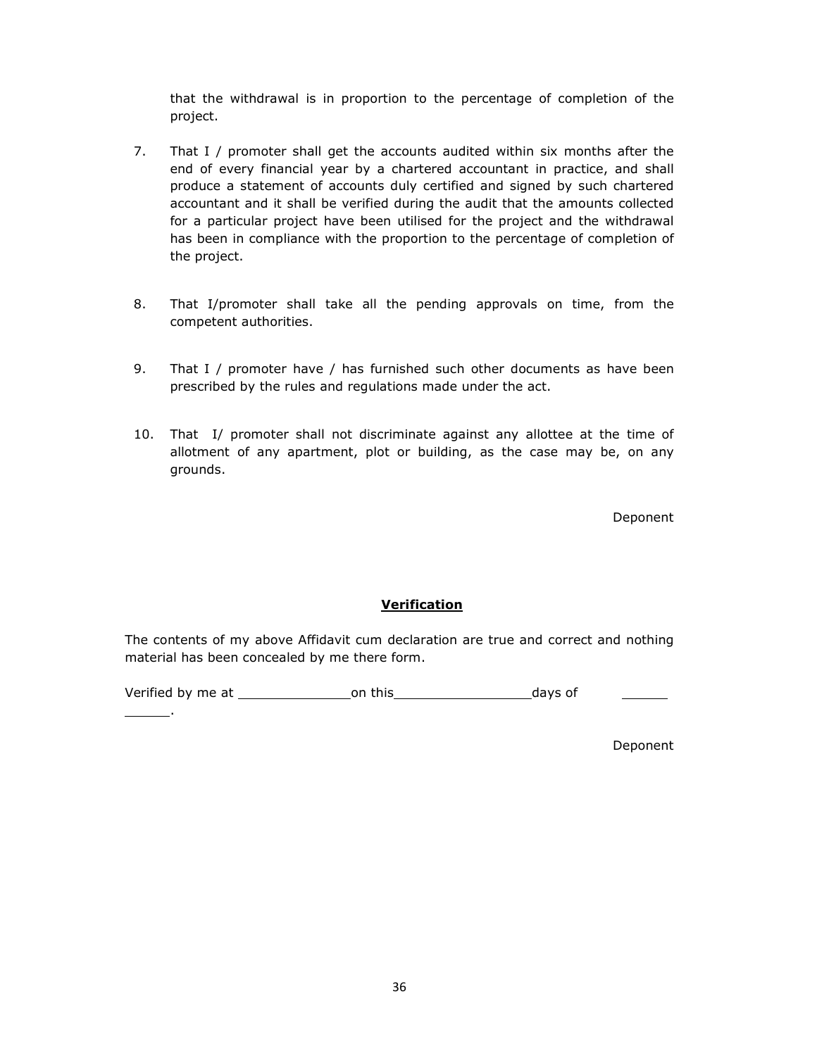that the withdrawal is in proportion to the percentage of completion of the project.

- 7. That I / promoter shall get the accounts audited within six months after the end of every financial year by a chartered accountant in practice, and shall produce a statement of accounts duly certified and signed by such chartered accountant and it shall be verified during the audit that the amounts collected for a particular project have been utilised for the project and the withdrawal has been in compliance with the proportion to the percentage of completion of the project.
- 8. That I/promoter shall take all the pending approvals on time, from the competent authorities.
- 9. That I / promoter have / has furnished such other documents as have been prescribed by the rules and regulations made under the act.
- 10. That I/ promoter shall not discriminate against any allottee at the time of allotment of any apartment, plot or building, as the case may be, on any grounds.

Deponent

# **Verification**

The contents of my above Affidavit cum declaration are true and correct and nothing material has been concealed by me there form.

Verified by me at **on this** and the days of

.

Deponent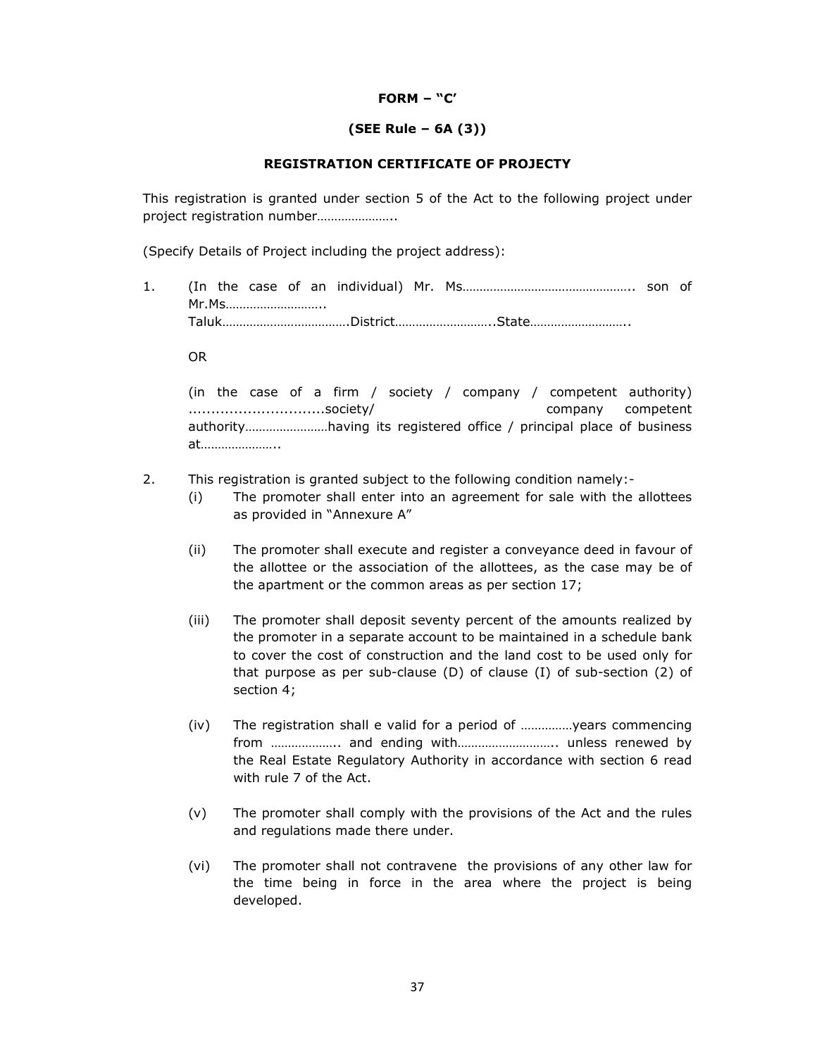### **FORM – "C'**

## **(SEE Rule – 6A (3))**

### **REGISTRATION CERTIFICATE OF PROJECTY**

This registration is granted under section 5 of the Act to the following project under project registration number…………………..

(Specify Details of Project including the project address):

1. (In the case of an individual) Mr. Ms………………………………………….. son of Mr.Ms……………………….. Taluk……………………………….District………………………..State………………………..

OR

(in the case of a firm / society / company / competent authority) ..............................society/ company competent authority……………………having its registered office / principal place of business at…………………..

- 2. This registration is granted subject to the following condition namely:-
	- (i) The promoter shall enter into an agreement for sale with the allottees as provided in "Annexure A"
	- (ii) The promoter shall execute and register a conveyance deed in favour of the allottee or the association of the allottees, as the case may be of the apartment or the common areas as per section 17;
	- (iii) The promoter shall deposit seventy percent of the amounts realized by the promoter in a separate account to be maintained in a schedule bank to cover the cost of construction and the land cost to be used only for that purpose as per sub-clause (D) of clause (I) of sub-section (2) of section 4;
	- (iv) The registration shall e valid for a period of ……………years commencing from ……………….. and ending with……………………….. unless renewed by the Real Estate Regulatory Authority in accordance with section 6 read with rule 7 of the Act.
	- (v) The promoter shall comply with the provisions of the Act and the rules and regulations made there under.
	- (vi) The promoter shall not contravene the provisions of any other law for the time being in force in the area where the project is being developed.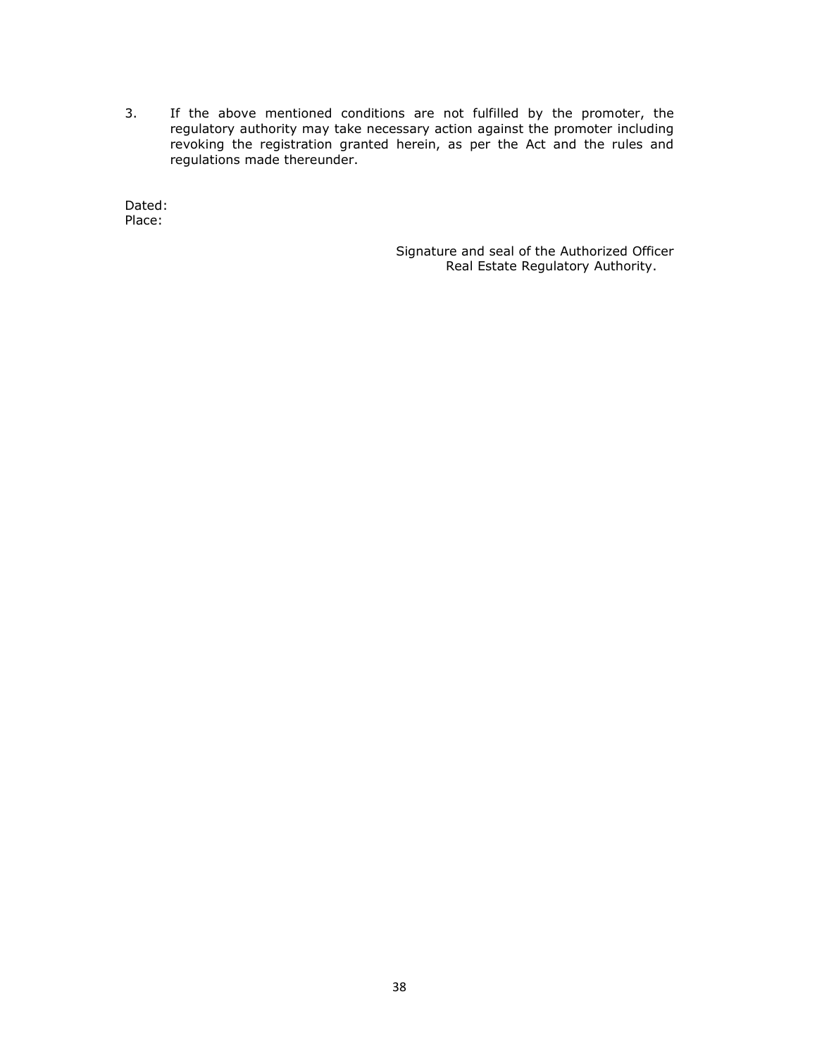3. If the above mentioned conditions are not fulfilled by the promoter, the regulatory authority may take necessary action against the promoter including revoking the registration granted herein, as per the Act and the rules and regulations made thereunder.

Dated: Place:

> Signature and seal of the Authorized Officer Real Estate Regulatory Authority.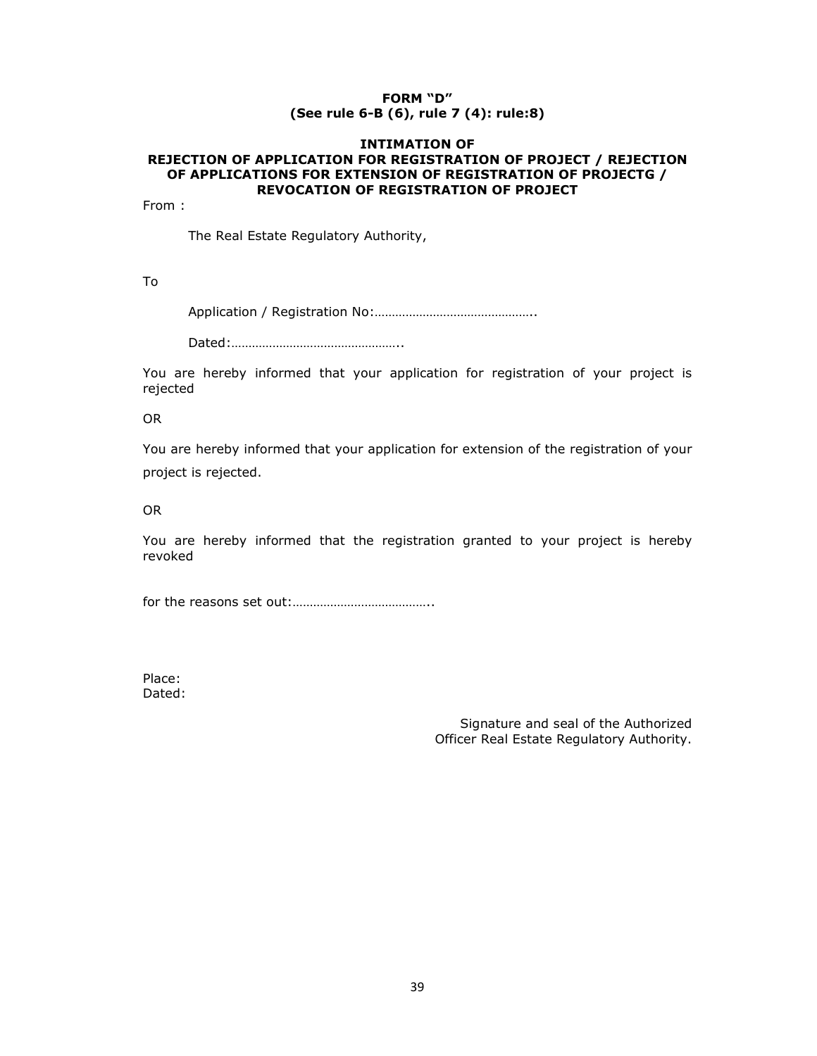## **FORM "D" (See rule 6-B (6), rule 7 (4): rule:8)**

### **INTIMATION OF REJECTION OF APPLICATION FOR REGISTRATION OF PROJECT / REJECTION OF APPLICATIONS FOR EXTENSION OF REGISTRATION OF PROJECTG / REVOCATION OF REGISTRATION OF PROJECT**

From :

The Real Estate Regulatory Authority,

To

Application / Registration No:………………………………………..

Dated:…………………………………………..

You are hereby informed that your application for registration of your project is rejected

OR

You are hereby informed that your application for extension of the registration of your project is rejected.

OR

You are hereby informed that the registration granted to your project is hereby revoked

for the reasons set out:…………………………………..

Place: Dated:

> Signature and seal of the Authorized Officer Real Estate Regulatory Authority.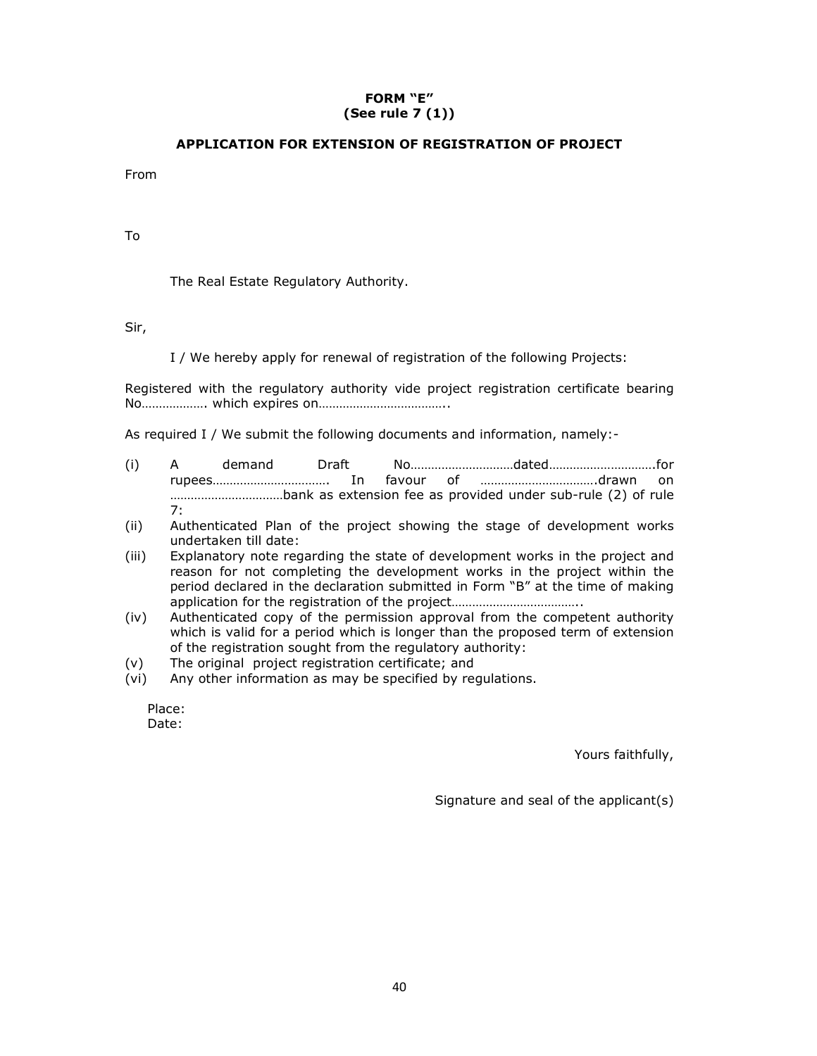## **FORM "E" (See rule 7 (1))**

## **APPLICATION FOR EXTENSION OF REGISTRATION OF PROJECT**

From

To

The Real Estate Regulatory Authority.

Sir,

I / We hereby apply for renewal of registration of the following Projects:

Registered with the regulatory authority vide project registration certificate bearing No………………. which expires on………………………………..

As required I / We submit the following documents and information, namely:-

- (i) A demand Draft No…………………………dated………………………….for rupees……………………………. In favour of …………………………….drawn on ……………………………bank as extension fee as provided under sub-rule (2) of rule 7:
- (ii) Authenticated Plan of the project showing the stage of development works undertaken till date:
- (iii) Explanatory note regarding the state of development works in the project and reason for not completing the development works in the project within the period declared in the declaration submitted in Form "B" at the time of making application for the registration of the project..................................
- (iv) Authenticated copy of the permission approval from the competent authority which is valid for a period which is longer than the proposed term of extension of the registration sought from the regulatory authority:
- (v) The original project registration certificate; and
- (vi) Any other information as may be specified by regulations.

Place: Date:

Yours faithfully,

Signature and seal of the applicant(s)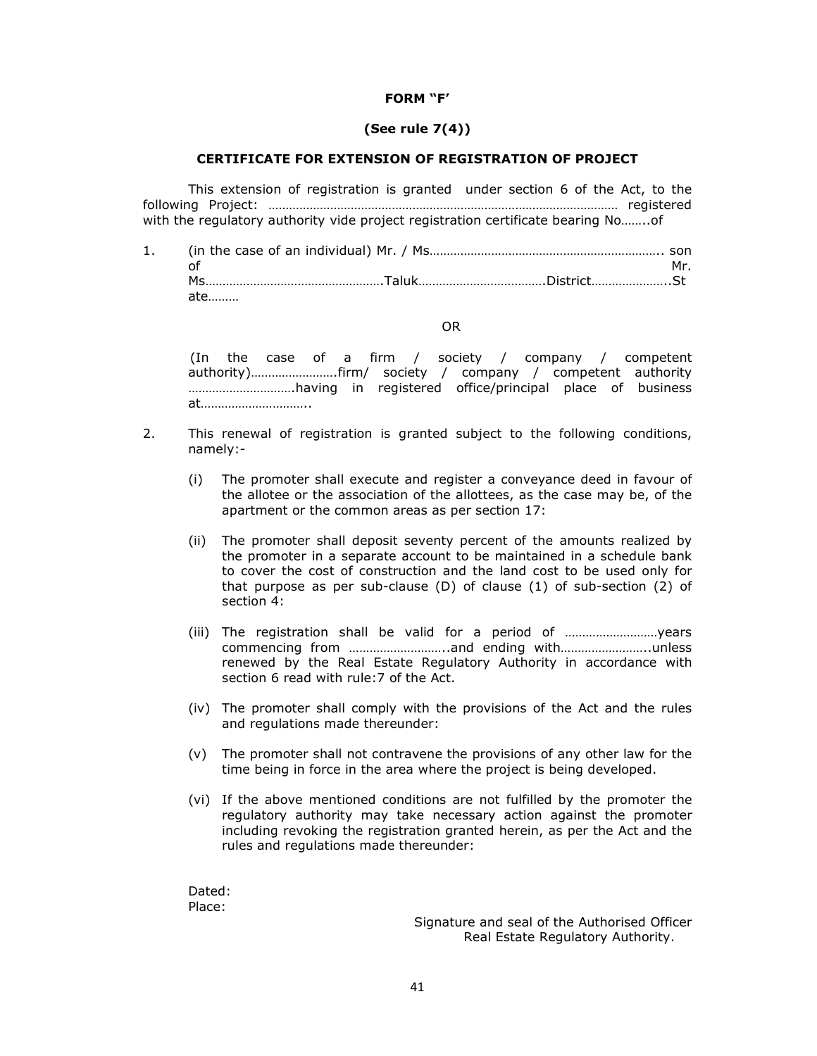### **FORM "F'**

### **(See rule 7(4))**

### **CERTIFICATE FOR EXTENSION OF REGISTRATION OF PROJECT**

 This extension of registration is granted under section 6 of the Act, to the following Project: ………………………………………………………………………………………… registered with the regulatory authority vide project registration certificate bearing No……..of

1. (in the case of an individual) Mr. / Ms………………………………………………………….. son of  $Mr$ . Ms…………………………………………….Taluk……………………………….District…………………..St ate………

### OR

(In the case of a firm / society / company / competent authority)…………………….firm/ society / company / competent authority ………………………….having in registered office/principal place of business at…………………………..

- 2. This renewal of registration is granted subject to the following conditions, namely:-
	- (i) The promoter shall execute and register a conveyance deed in favour of the allotee or the association of the allottees, as the case may be, of the apartment or the common areas as per section 17:
	- (ii) The promoter shall deposit seventy percent of the amounts realized by the promoter in a separate account to be maintained in a schedule bank to cover the cost of construction and the land cost to be used only for that purpose as per sub-clause (D) of clause (1) of sub-section (2) of section 4:
	- (iii) The registration shall be valid for a period of ………………………years commencing from ………………………..and ending with……………………..unless renewed by the Real Estate Regulatory Authority in accordance with section 6 read with rule:7 of the Act.
	- (iv) The promoter shall comply with the provisions of the Act and the rules and regulations made thereunder:
	- (v) The promoter shall not contravene the provisions of any other law for the time being in force in the area where the project is being developed.
	- (vi) If the above mentioned conditions are not fulfilled by the promoter the regulatory authority may take necessary action against the promoter including revoking the registration granted herein, as per the Act and the rules and regulations made thereunder:

Dated: Place:

> Signature and seal of the Authorised Officer Real Estate Regulatory Authority.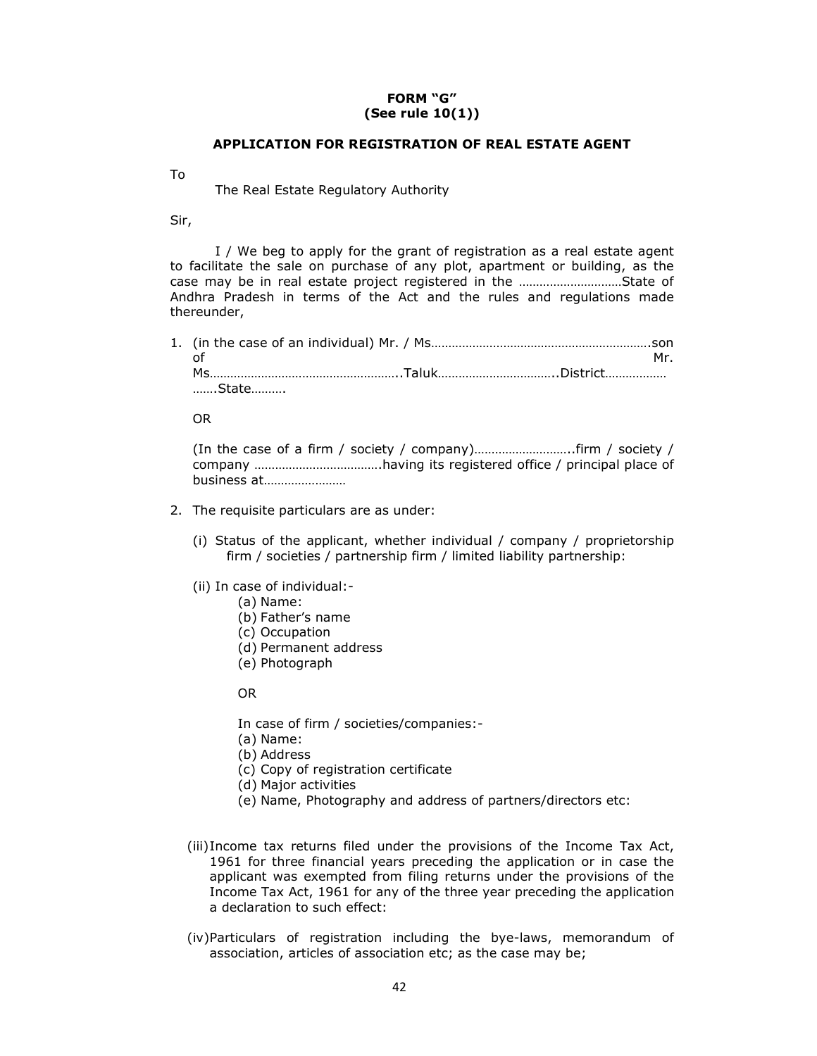## **FORM "G" (See rule 10(1))**

### **APPLICATION FOR REGISTRATION OF REAL ESTATE AGENT**

To

The Real Estate Regulatory Authority

Sir,

 I / We beg to apply for the grant of registration as a real estate agent to facilitate the sale on purchase of any plot, apartment or building, as the case may be in real estate project registered in the …………………………State of Andhra Pradesh in terms of the Act and the rules and regulations made thereunder,

| ∩f           | Mr |
|--------------|----|
|              |    |
| …….State………. |    |

OR

(In the case of a firm / society / company)………………………..firm / society / company ……………………………….having its registered office / principal place of business at……………………

- 2. The requisite particulars are as under:
	- (i) Status of the applicant, whether individual / company / proprietorship firm / societies / partnership firm / limited liability partnership:
	- (ii) In case of individual:-
		- (a) Name:
		- (b) Father's name
		- (c) Occupation
		- (d) Permanent address
		- (e) Photograph

OR

In case of firm / societies/companies:-

- (a) Name:
- (b) Address
- (c) Copy of registration certificate
- (d) Major activities
- (e) Name, Photography and address of partners/directors etc:
- (iii)Income tax returns filed under the provisions of the Income Tax Act, 1961 for three financial years preceding the application or in case the applicant was exempted from filing returns under the provisions of the Income Tax Act, 1961 for any of the three year preceding the application a declaration to such effect:
- (iv)Particulars of registration including the bye-laws, memorandum of association, articles of association etc; as the case may be;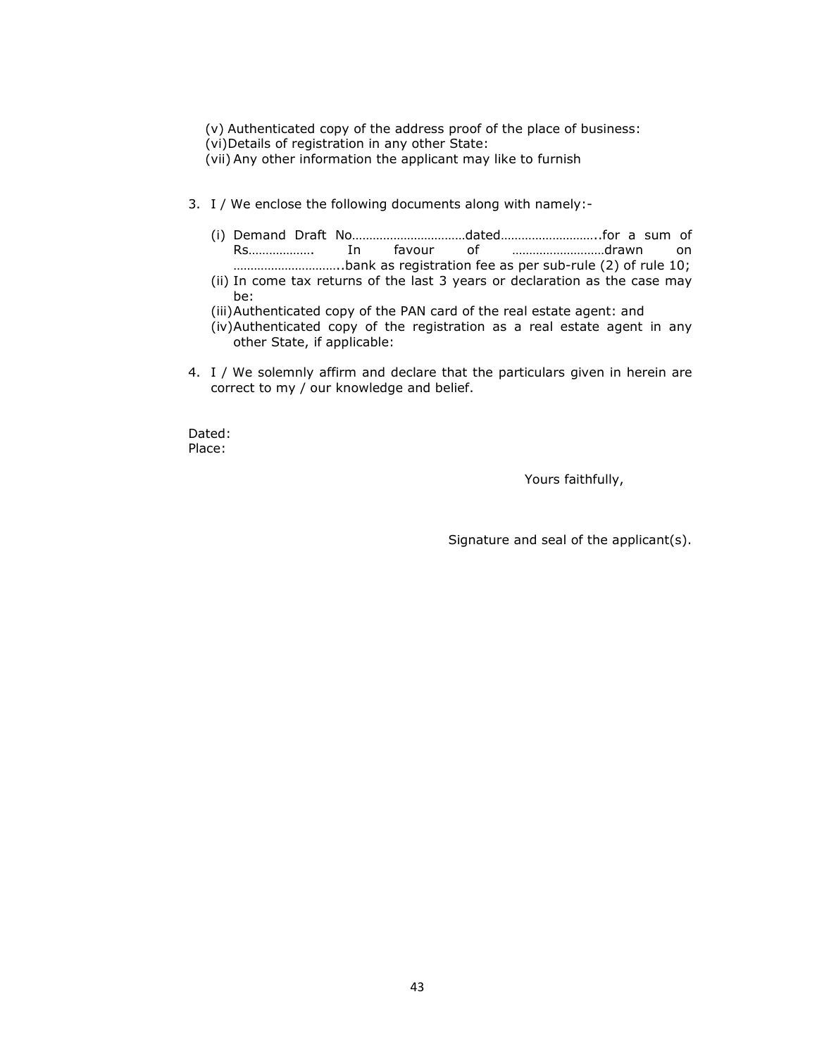- (v) Authenticated copy of the address proof of the place of business:
- (vi)Details of registration in any other State:
- (vii) Any other information the applicant may like to furnish
- 3. I / We enclose the following documents along with namely:-
	- (i) Demand Draft No……………………………dated………………………..for a sum of Rs………………. In favour of ………………………drawn on …………………………..bank as registration fee as per sub-rule (2) of rule 10;
	- (ii) In come tax returns of the last 3 years or declaration as the case may be:
	- (iii)Authenticated copy of the PAN card of the real estate agent: and
	- (iv)Authenticated copy of the registration as a real estate agent in any other State, if applicable:
- 4. I / We solemnly affirm and declare that the particulars given in herein are correct to my / our knowledge and belief.

Dated: Place:

Yours faithfully,

Signature and seal of the applicant(s).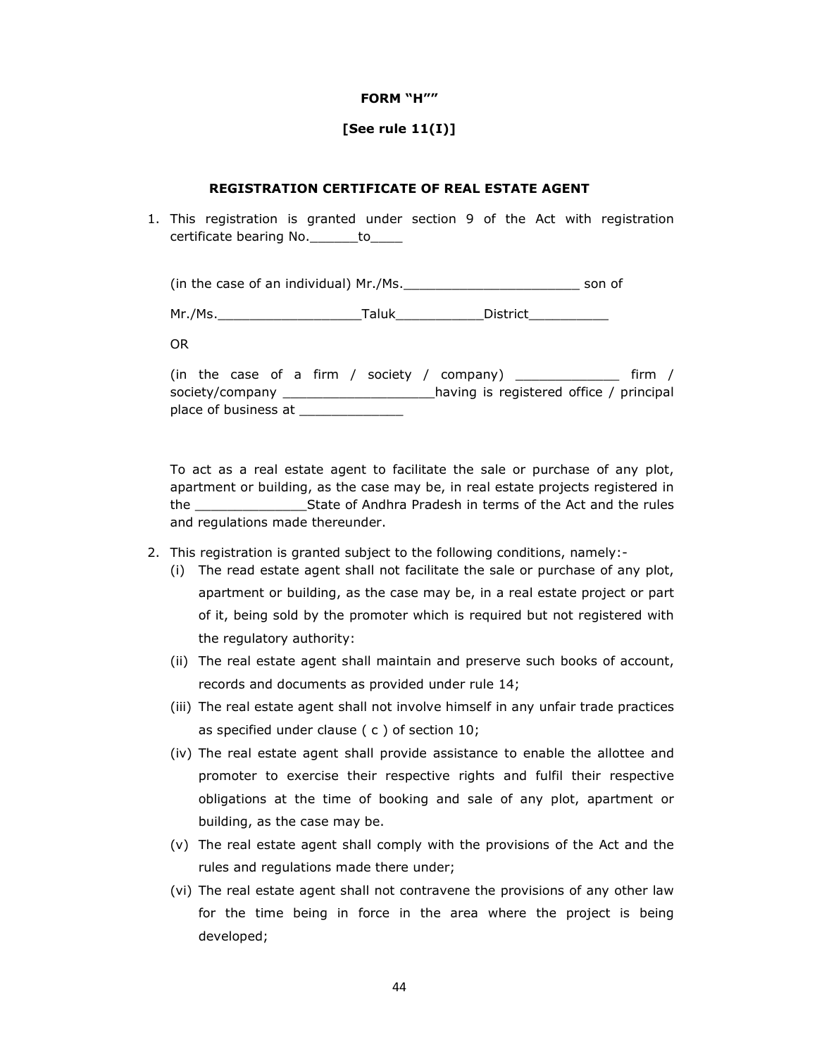### **FORM "H""**

### **[See rule 11(I)]**

### **REGISTRATION CERTIFICATE OF REAL ESTATE AGENT**

1. This registration is granted under section 9 of the Act with registration certificate bearing No.\_\_\_\_\_\_\_to\_

(in the case of an individual) Mr./Ms.\_\_\_\_\_\_\_\_\_\_\_\_\_\_\_\_\_\_\_\_\_\_ son of

Mr./Ms.\_\_\_\_\_\_\_\_\_\_\_\_\_\_\_\_\_\_Taluk\_\_\_\_\_\_\_\_\_\_\_District\_\_\_\_\_\_\_\_\_\_

OR

|  |                      |  |  |  | (in the case of a firm / society / company) $\overline{\phantom{a}}$ | firm / |
|--|----------------------|--|--|--|----------------------------------------------------------------------|--------|
|  | society/company __   |  |  |  | having is registered office / principal                              |        |
|  | place of business at |  |  |  |                                                                      |        |

To act as a real estate agent to facilitate the sale or purchase of any plot, apartment or building, as the case may be, in real estate projects registered in the \_\_\_\_\_\_\_\_\_\_\_\_\_\_State of Andhra Pradesh in terms of the Act and the rules and regulations made thereunder.

- 2. This registration is granted subject to the following conditions, namely:-
	- (i) The read estate agent shall not facilitate the sale or purchase of any plot, apartment or building, as the case may be, in a real estate project or part of it, being sold by the promoter which is required but not registered with the regulatory authority:
	- (ii) The real estate agent shall maintain and preserve such books of account, records and documents as provided under rule 14;
	- (iii) The real estate agent shall not involve himself in any unfair trade practices as specified under clause ( c ) of section 10;
	- (iv) The real estate agent shall provide assistance to enable the allottee and promoter to exercise their respective rights and fulfil their respective obligations at the time of booking and sale of any plot, apartment or building, as the case may be.
	- (v) The real estate agent shall comply with the provisions of the Act and the rules and regulations made there under;
	- (vi) The real estate agent shall not contravene the provisions of any other law for the time being in force in the area where the project is being developed;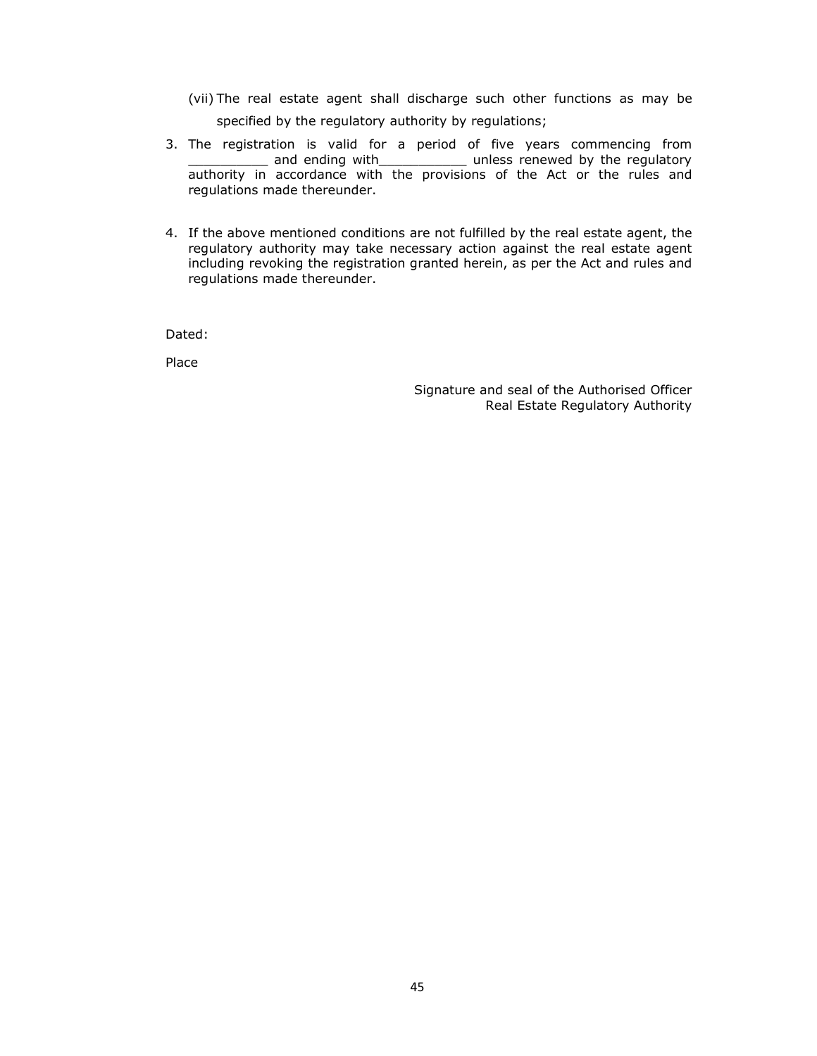- (vii) The real estate agent shall discharge such other functions as may be specified by the regulatory authority by regulations;
- 3. The registration is valid for a period of five years commencing from \_\_\_\_\_\_\_\_\_\_ and ending with\_\_\_\_\_\_\_\_\_\_\_ unless renewed by the regulatory authority in accordance with the provisions of the Act or the rules and regulations made thereunder.
- 4. If the above mentioned conditions are not fulfilled by the real estate agent, the regulatory authority may take necessary action against the real estate agent including revoking the registration granted herein, as per the Act and rules and regulations made thereunder.

Dated:

Place

Signature and seal of the Authorised Officer Real Estate Regulatory Authority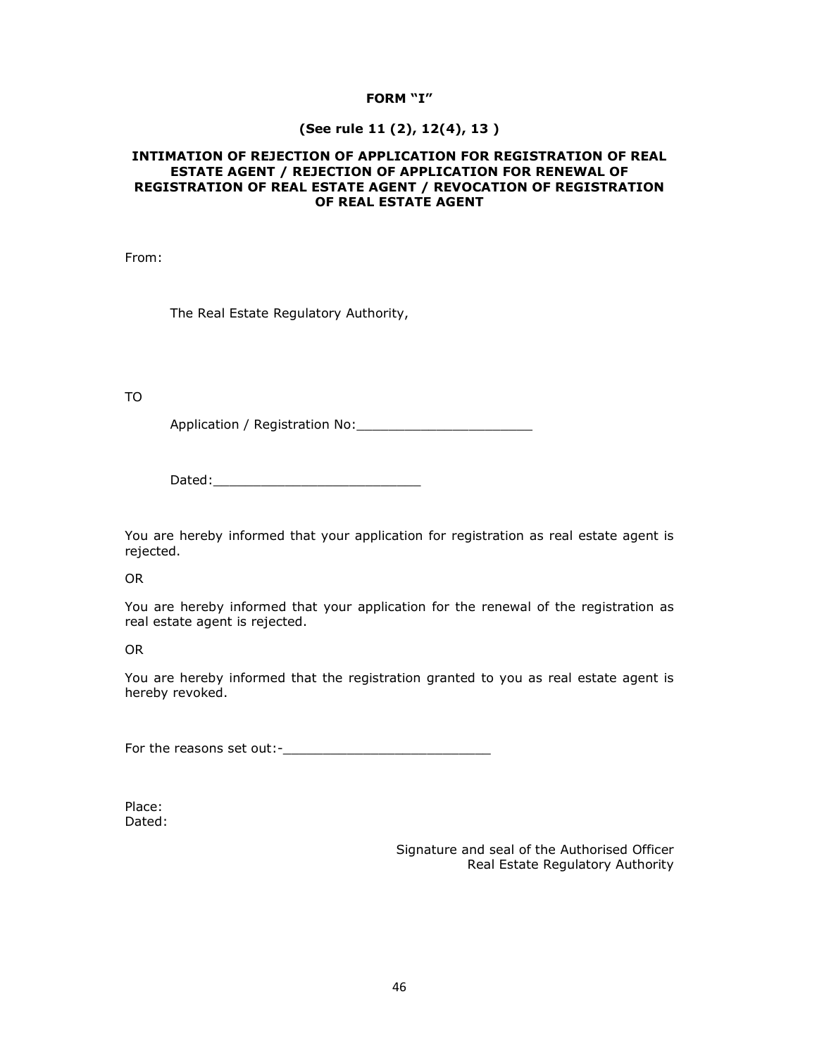## **FORM "I"**

## **(See rule 11 (2), 12(4), 13 )**

### **INTIMATION OF REJECTION OF APPLICATION FOR REGISTRATION OF REAL ESTATE AGENT / REJECTION OF APPLICATION FOR RENEWAL OF REGISTRATION OF REAL ESTATE AGENT / REVOCATION OF REGISTRATION OF REAL ESTATE AGENT**

From:

The Real Estate Regulatory Authority,

TO

Application / Registration No:\_\_\_\_\_\_\_\_\_\_\_\_\_\_\_\_\_\_\_\_\_\_

Dated:

You are hereby informed that your application for registration as real estate agent is rejected.

OR

You are hereby informed that your application for the renewal of the registration as real estate agent is rejected.

OR

You are hereby informed that the registration granted to you as real estate agent is hereby revoked.

For the reasons set out:-\_\_\_\_\_\_\_\_\_\_\_\_\_\_\_\_\_\_\_\_\_\_\_\_\_\_

Place: Dated:

> Signature and seal of the Authorised Officer Real Estate Regulatory Authority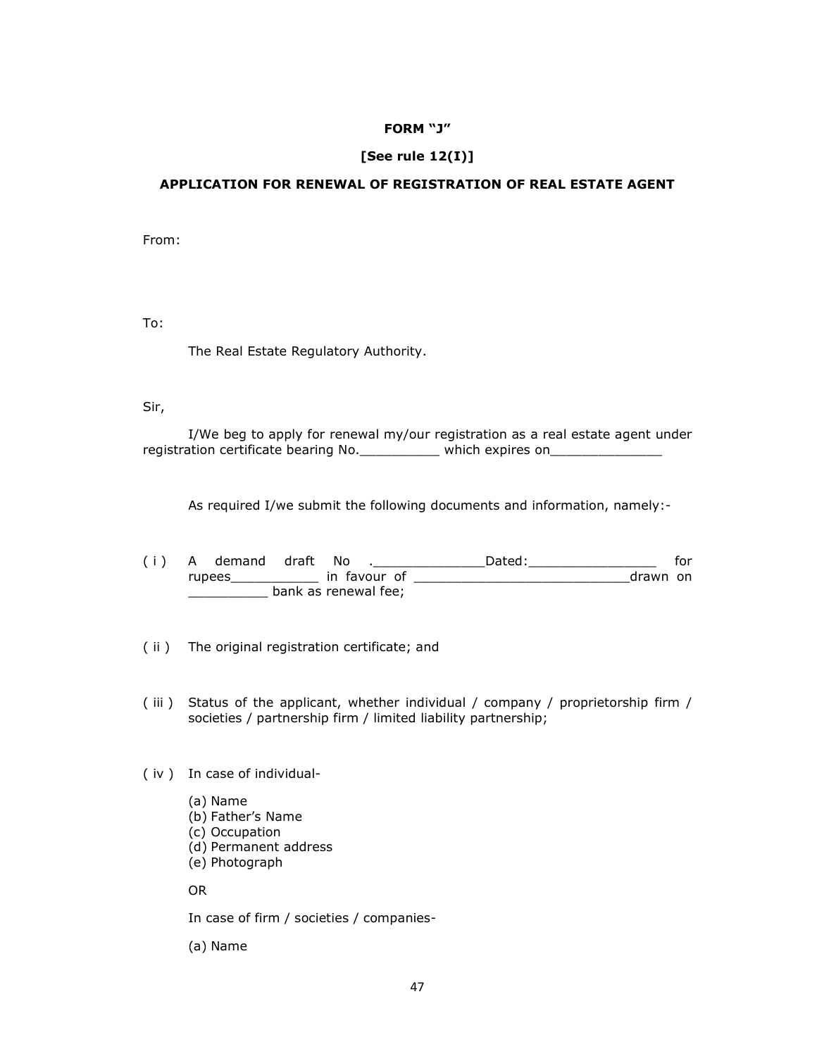### **FORM "J"**

## **[See rule 12(I)]**

### **APPLICATION FOR RENEWAL OF REGISTRATION OF REAL ESTATE AGENT**

From:

To:

The Real Estate Regulatory Authority.

Sir,

 I/We beg to apply for renewal my/our registration as a real estate agent under registration certificate bearing No. \_\_\_\_\_\_\_\_\_ which expires on\_\_\_\_\_\_\_\_\_\_\_\_\_\_\_\_\_

As required I/we submit the following documents and information, namely:-

- ( i ) A demand draft No .\_\_\_\_\_\_\_\_\_\_\_\_\_\_Dated:\_\_\_\_\_\_\_\_\_\_\_\_\_\_\_\_ for rupees\_\_\_\_\_\_\_\_\_\_\_ in favour of \_\_\_\_\_\_\_\_\_\_\_\_\_\_\_\_\_\_\_\_\_\_\_\_\_\_\_drawn on **\_\_\_\_\_\_\_\_\_\_\_\_\_\_** bank as renewal fee;
- ( ii ) The original registration certificate; and
- ( iii ) Status of the applicant, whether individual / company / proprietorship firm / societies / partnership firm / limited liability partnership;
- ( iv ) In case of individual-
	- (a) Name (b) Father's Name (c) Occupation (d) Permanent address
	- (e) Photograph

OR

In case of firm / societies / companies-

(a) Name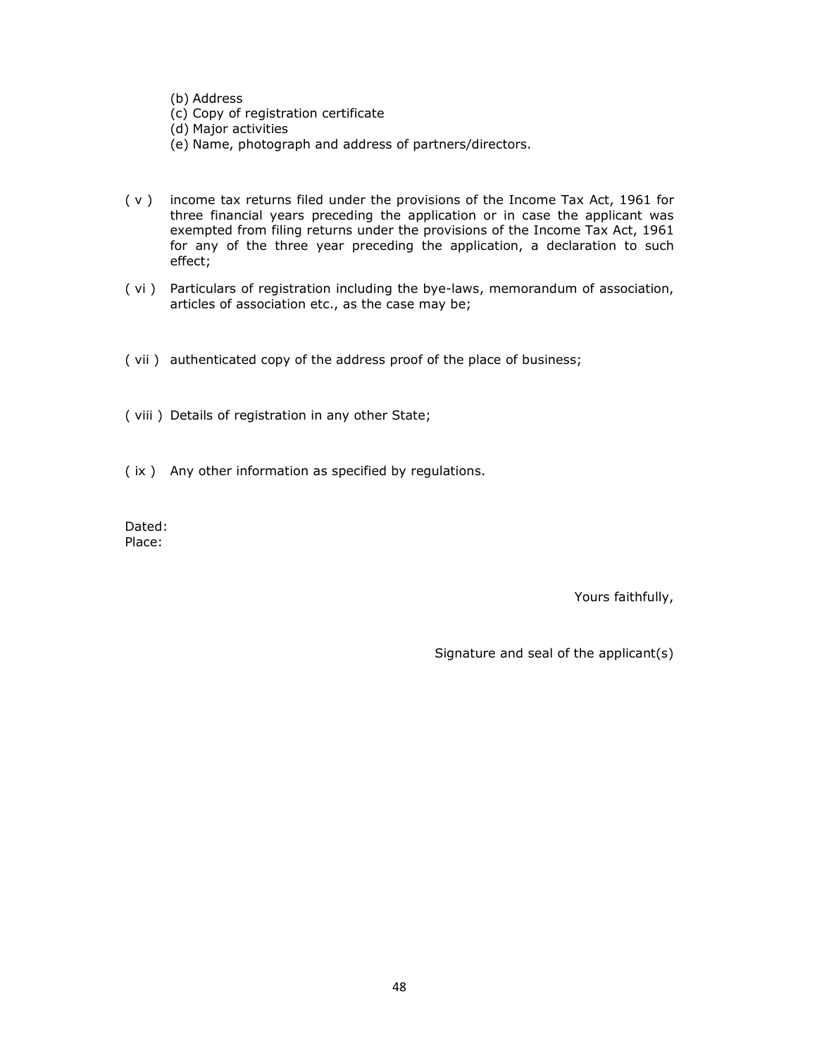(b) Address

- (c) Copy of registration certificate
- (d) Major activities
- (e) Name, photograph and address of partners/directors.
- ( v ) income tax returns filed under the provisions of the Income Tax Act, 1961 for three financial years preceding the application or in case the applicant was exempted from filing returns under the provisions of the Income Tax Act, 1961 for any of the three year preceding the application, a declaration to such effect;
- ( vi ) Particulars of registration including the bye-laws, memorandum of association, articles of association etc., as the case may be;
- ( vii ) authenticated copy of the address proof of the place of business;
- ( viii ) Details of registration in any other State;
- ( ix ) Any other information as specified by regulations.

Dated: Place:

Yours faithfully,

Signature and seal of the applicant(s)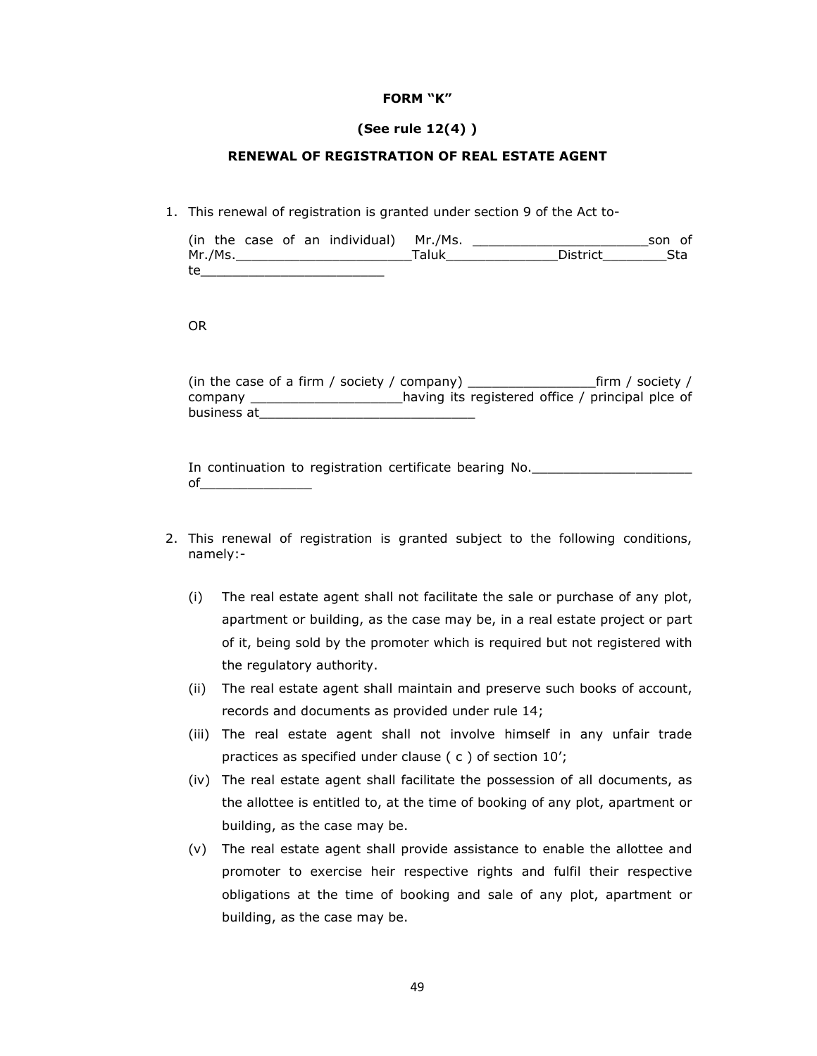### **FORM "K"**

## **(See rule 12(4) )**

## **RENEWAL OF REGISTRATION OF REAL ESTATE AGENT**

1. This renewal of registration is granted under section 9 of the Act to-

|    |         |  | (in the case of an individual) Mr./Ms. |       |                 | son of |
|----|---------|--|----------------------------------------|-------|-----------------|--------|
|    | Mr./Ms. |  |                                        | Taluk | <b>District</b> | Sta    |
| te |         |  |                                        |       |                 |        |

### OR

(in the case of a firm / society / company) \_\_\_\_\_\_\_\_\_\_\_\_\_\_\_\_firm / society / company \_\_\_\_\_\_\_\_\_\_\_\_\_\_\_\_\_\_\_having its registered office / principal plce of business at

In continuation to registration certificate bearing No. of\_\_\_\_\_\_\_\_\_\_\_\_\_\_

- 2. This renewal of registration is granted subject to the following conditions, namely:-
	- (i) The real estate agent shall not facilitate the sale or purchase of any plot, apartment or building, as the case may be, in a real estate project or part of it, being sold by the promoter which is required but not registered with the regulatory authority.
	- (ii) The real estate agent shall maintain and preserve such books of account, records and documents as provided under rule 14;
	- (iii) The real estate agent shall not involve himself in any unfair trade practices as specified under clause ( c ) of section 10';
	- (iv) The real estate agent shall facilitate the possession of all documents, as the allottee is entitled to, at the time of booking of any plot, apartment or building, as the case may be.
	- (v) The real estate agent shall provide assistance to enable the allottee and promoter to exercise heir respective rights and fulfil their respective obligations at the time of booking and sale of any plot, apartment or building, as the case may be.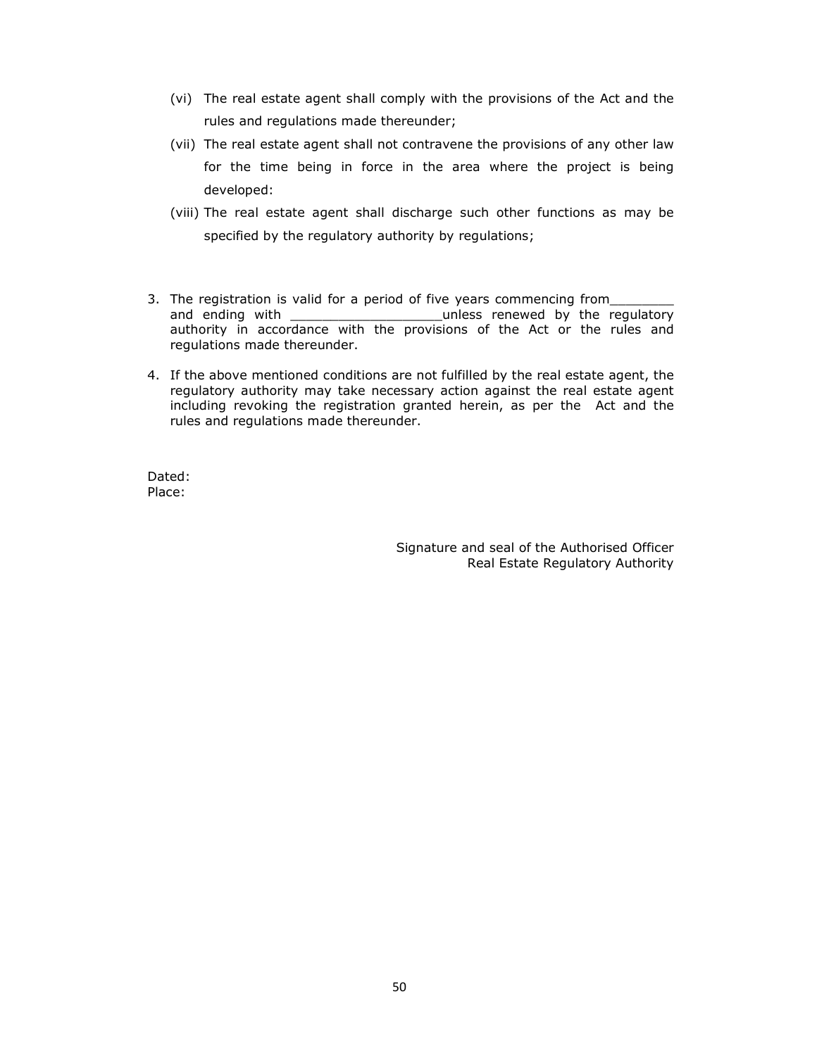- (vi) The real estate agent shall comply with the provisions of the Act and the rules and regulations made thereunder;
- (vii) The real estate agent shall not contravene the provisions of any other law for the time being in force in the area where the project is being developed:
- (viii) The real estate agent shall discharge such other functions as may be specified by the regulatory authority by regulations;
- 3. The registration is valid for a period of five years commencing from\_ and ending with \_\_\_\_\_\_\_\_\_\_\_\_\_\_\_\_\_\_\_\_\_\_\_\_\_\_\_unless renewed by the regulatory authority in accordance with the provisions of the Act or the rules and regulations made thereunder.
- 4. If the above mentioned conditions are not fulfilled by the real estate agent, the regulatory authority may take necessary action against the real estate agent including revoking the registration granted herein, as per the Act and the rules and regulations made thereunder.

Dated: Place:

> Signature and seal of the Authorised Officer Real Estate Regulatory Authority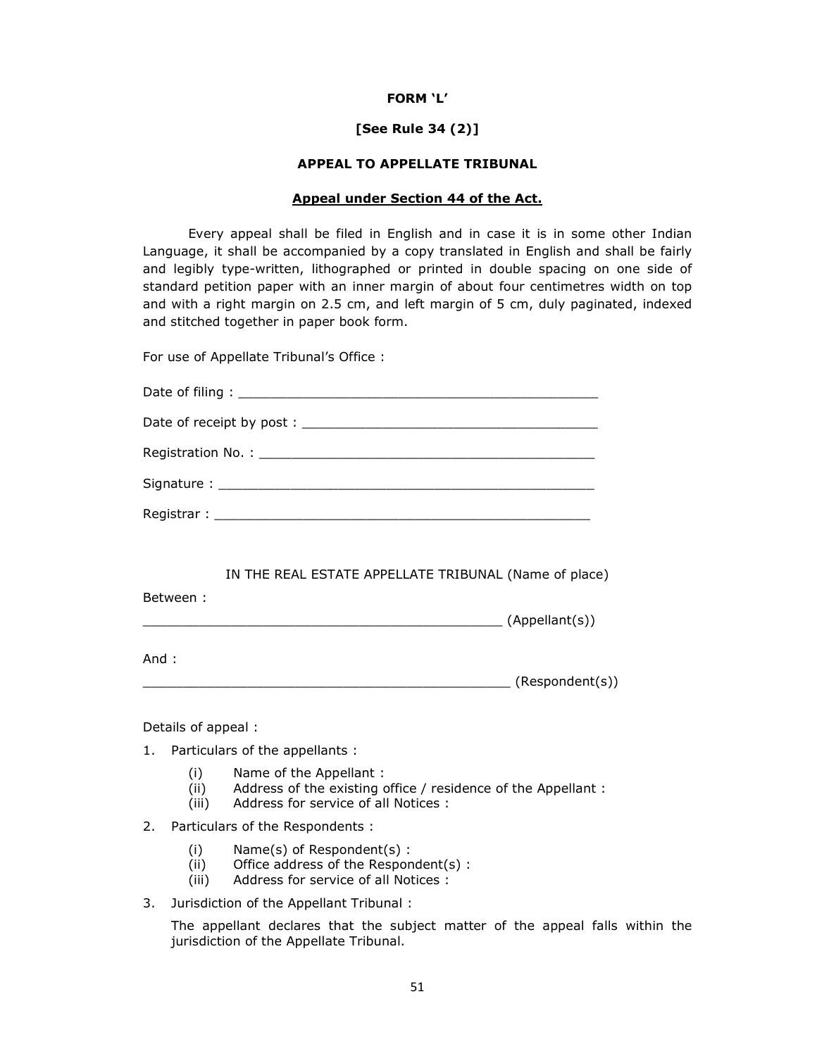### **FORM 'L'**

## **[See Rule 34 (2)]**

## **APPEAL TO APPELLATE TRIBUNAL**

## **Appeal under Section 44 of the Act.**

 Every appeal shall be filed in English and in case it is in some other Indian Language, it shall be accompanied by a copy translated in English and shall be fairly and legibly type-written, lithographed or printed in double spacing on one side of standard petition paper with an inner margin of about four centimetres width on top and with a right margin on 2.5 cm, and left margin of 5 cm, duly paginated, indexed and stitched together in paper book form.

For use of Appellate Tribunal's Office :

| IN THE REAL ESTATE APPELLATE TRIBUNAL (Name of place) |
|-------------------------------------------------------|
| Between:                                              |
| And :<br>(Respondent(s))                              |

Details of appeal :

- 1. Particulars of the appellants :
	- (i) Name of the Appellant :
	- (ii) Address of the existing office / residence of the Appellant :
	- (iii) Address for service of all Notices :
- 2. Particulars of the Respondents :
	- (i) Name(s) of Respondent(s) :
	- (ii) Office address of the Respondent(s) :
	- (iii) Address for service of all Notices :
- 3. Jurisdiction of the Appellant Tribunal :

The appellant declares that the subject matter of the appeal falls within the jurisdiction of the Appellate Tribunal.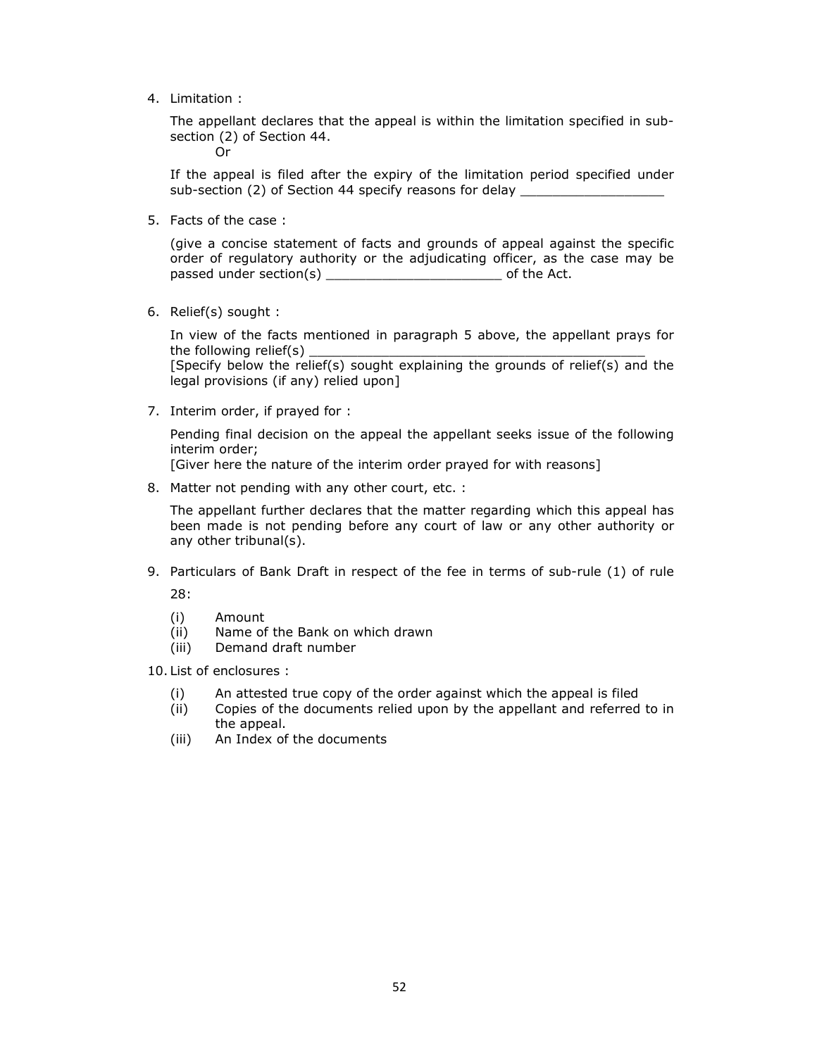4. Limitation :

The appellant declares that the appeal is within the limitation specified in subsection (2) of Section 44. Or

If the appeal is filed after the expiry of the limitation period specified under sub-section (2) of Section 44 specify reasons for delay \_\_\_\_\_\_\_\_\_\_\_\_\_\_\_\_\_\_\_\_\_\_\_\_

5. Facts of the case :

(give a concise statement of facts and grounds of appeal against the specific order of regulatory authority or the adjudicating officer, as the case may be passed under section(s) \_\_\_\_\_\_\_\_\_\_\_\_\_\_\_\_\_\_\_\_\_\_ of the Act.

6. Relief(s) sought :

In view of the facts mentioned in paragraph 5 above, the appellant prays for the following relief(s)

[Specify below the relief(s) sought explaining the grounds of relief(s) and the legal provisions (if any) relied upon]

7. Interim order, if prayed for :

Pending final decision on the appeal the appellant seeks issue of the following interim order;

[Giver here the nature of the interim order prayed for with reasons]

8. Matter not pending with any other court, etc. :

The appellant further declares that the matter regarding which this appeal has been made is not pending before any court of law or any other authority or any other tribunal(s).

9. Particulars of Bank Draft in respect of the fee in terms of sub-rule (1) of rule

28:

- (i) Amount
- (ii) Name of the Bank on which drawn
- (iii) Demand draft number
- 10. List of enclosures :
	- (i) An attested true copy of the order against which the appeal is filed (ii) Copies of the documents relied upon by the appellant and referred
	- Copies of the documents relied upon by the appellant and referred to in the appeal.
	- (iii) An Index of the documents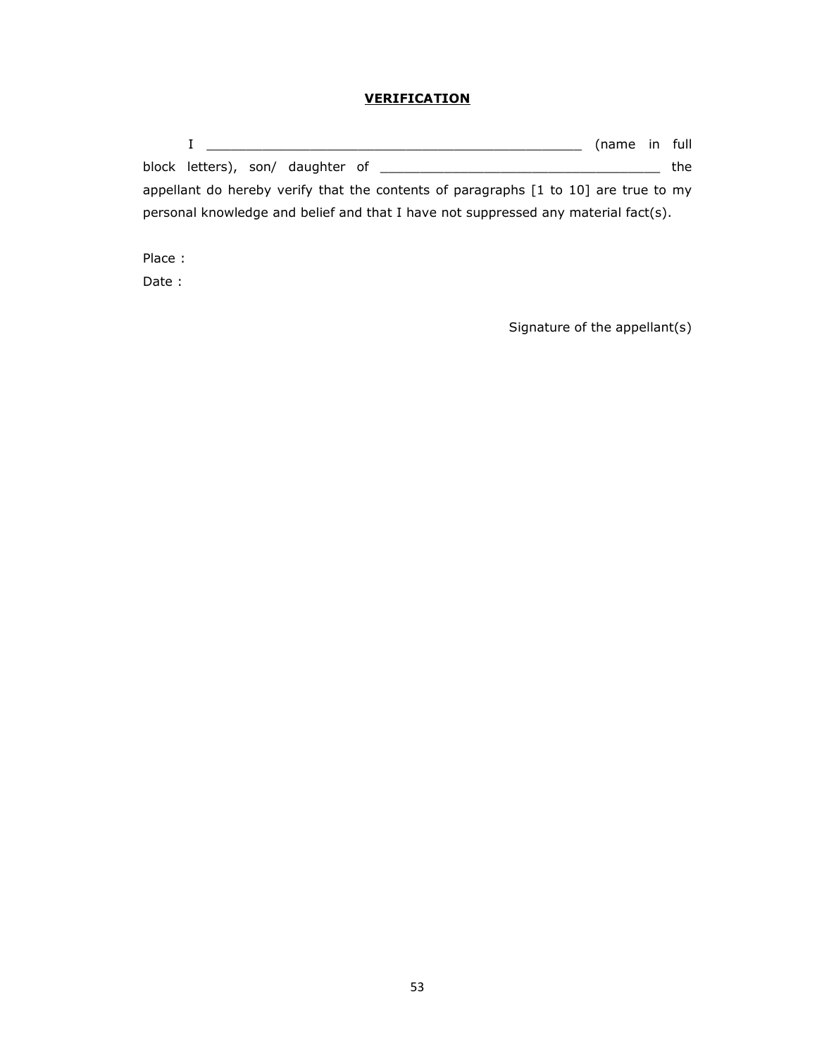# **VERIFICATION**

|                                                                                                            | (name in full |       |
|------------------------------------------------------------------------------------------------------------|---------------|-------|
| block letters), son/ daughter of                                                                           |               | the l |
| appellant do hereby verify that the contents of paragraphs $\lceil 1 \text{ to } 10 \rceil$ are true to my |               |       |
| personal knowledge and belief and that I have not suppressed any material fact(s).                         |               |       |

Place :

Date :

Signature of the appellant(s)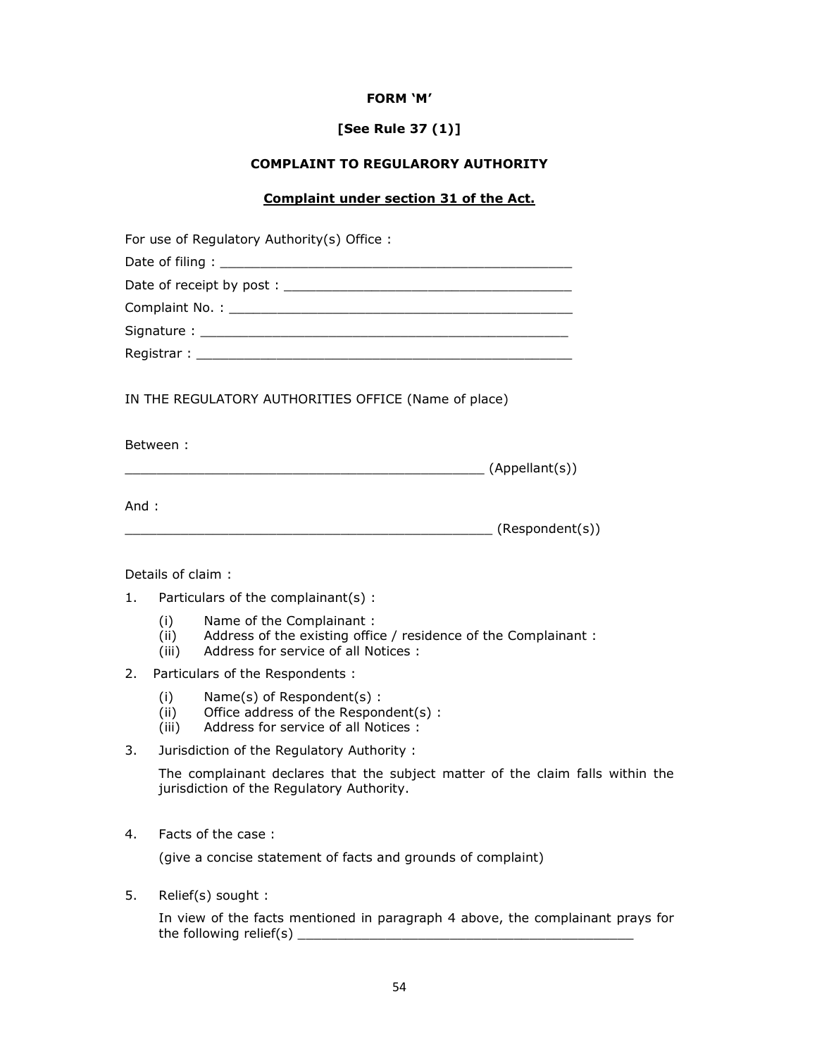## **FORM 'M'**

# **[See Rule 37 (1)]**

## **COMPLAINT TO REGULARORY AUTHORITY**

## **Complaint under section 31 of the Act.**

| For use of Regulatory Authority(s) Office:           |  |
|------------------------------------------------------|--|
|                                                      |  |
|                                                      |  |
|                                                      |  |
|                                                      |  |
|                                                      |  |
| IN THE REGULATORY AUTHORITIES OFFICE (Name of place) |  |
| Between :                                            |  |
|                                                      |  |
| And :                                                |  |
|                                                      |  |
| Details of claim:                                    |  |

- 1. Particulars of the complainant(s) :
	- (i) Name of the Complainant :
	- (ii) Address of the existing office / residence of the Complainant :
	- (iii) Address for service of all Notices :
- 2. Particulars of the Respondents :
	- (i) Name(s) of Respondent(s) :
	- (ii) Office address of the Respondent(s) :
	- (iii) Address for service of all Notices :
- 3. Jurisdiction of the Regulatory Authority :

The complainant declares that the subject matter of the claim falls within the jurisdiction of the Regulatory Authority.

4. Facts of the case :

(give a concise statement of facts and grounds of complaint)

5. Relief(s) sought :

In view of the facts mentioned in paragraph 4 above, the complainant prays for the following relief(s) \_\_\_\_\_\_\_\_\_\_\_\_\_\_\_\_\_\_\_\_\_\_\_\_\_\_\_\_\_\_\_\_\_\_\_\_\_\_\_\_\_\_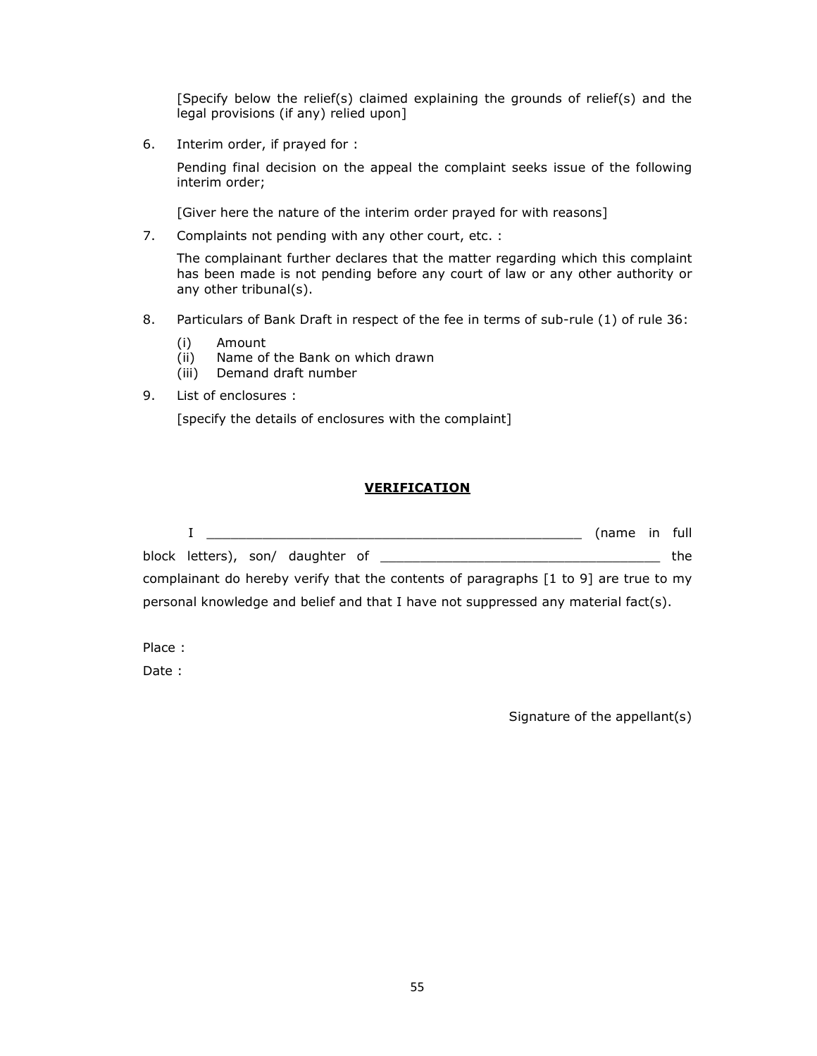[Specify below the relief(s) claimed explaining the grounds of relief(s) and the legal provisions (if any) relied upon]

6. Interim order, if prayed for :

Pending final decision on the appeal the complaint seeks issue of the following interim order;

[Giver here the nature of the interim order prayed for with reasons]

7. Complaints not pending with any other court, etc. :

The complainant further declares that the matter regarding which this complaint has been made is not pending before any court of law or any other authority or any other tribunal(s).

- 8. Particulars of Bank Draft in respect of the fee in terms of sub-rule (1) of rule 36:
	- (i) Amount
	- (ii) Name of the Bank on which drawn
	- (iii) Demand draft number
- 9. List of enclosures :

[specify the details of enclosures with the complaint]

## **VERIFICATION**

|                                                                                                             | (name in full |  |       |  |  |  |  |  |
|-------------------------------------------------------------------------------------------------------------|---------------|--|-------|--|--|--|--|--|
| block letters), son/ daughter of                                                                            |               |  | the l |  |  |  |  |  |
| complainant do hereby verify that the contents of paragraphs $\lceil 1 \text{ to } 9 \rceil$ are true to my |               |  |       |  |  |  |  |  |
| personal knowledge and belief and that I have not suppressed any material fact(s).                          |               |  |       |  |  |  |  |  |

Place :

Date :

Signature of the appellant(s)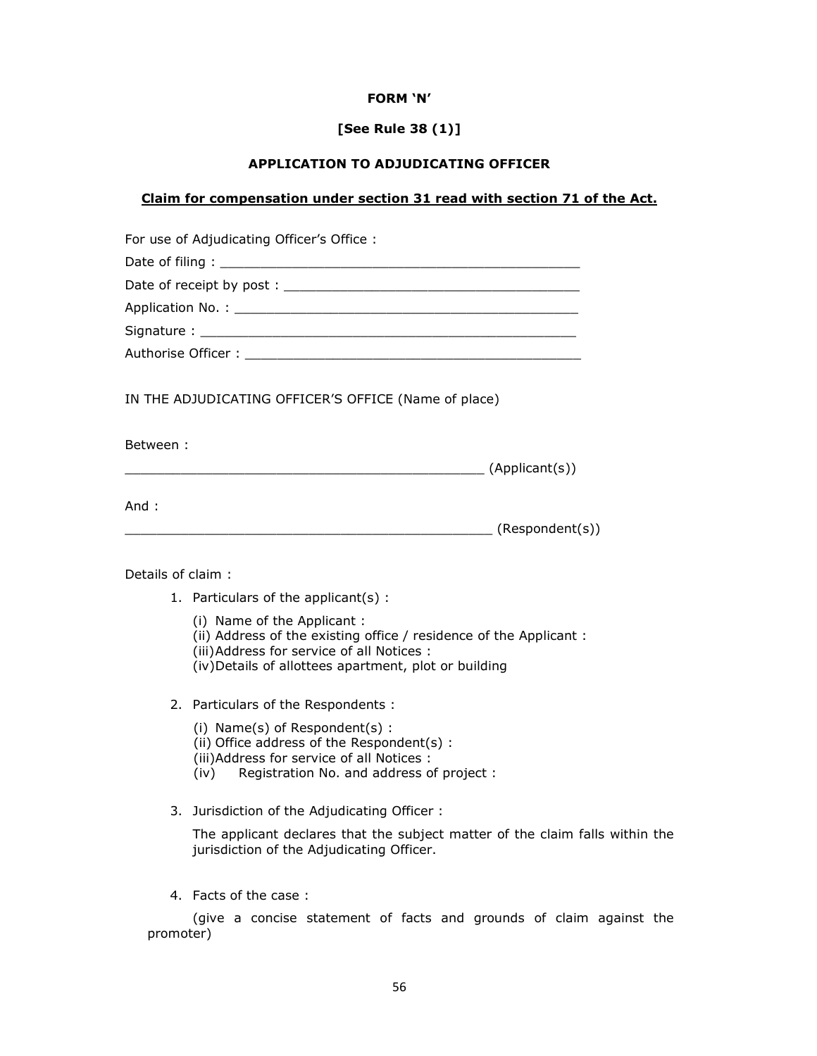## **FORM 'N'**

# **[See Rule 38 (1)]**

# **APPLICATION TO ADJUDICATING OFFICER**

# **Claim for compensation under section 31 read with section 71 of the Act.**

|                   | For use of Adjudicating Officer's Office:                                                                                                                                                               |
|-------------------|---------------------------------------------------------------------------------------------------------------------------------------------------------------------------------------------------------|
|                   |                                                                                                                                                                                                         |
|                   |                                                                                                                                                                                                         |
|                   |                                                                                                                                                                                                         |
|                   |                                                                                                                                                                                                         |
|                   |                                                                                                                                                                                                         |
|                   | IN THE ADJUDICATING OFFICER'S OFFICE (Name of place)                                                                                                                                                    |
| Between :         | (Applicant(s))                                                                                                                                                                                          |
| And:              | __________________________ (Respondent(s))                                                                                                                                                              |
| Details of claim: |                                                                                                                                                                                                         |
|                   | 1. Particulars of the applicant(s):                                                                                                                                                                     |
|                   | (i) Name of the Applicant :<br>(ii) Address of the existing office / residence of the Applicant:<br>(iii) Address for service of all Notices :<br>(iv) Details of allottees apartment, plot or building |
|                   | 2. Particulars of the Respondents :                                                                                                                                                                     |
|                   | (i) Name(s) of Respondent(s) :<br>(ii) Office address of the Respondent(s):<br>(iii) Address for service of all Notices :<br>(iv) Registration No. and address of project:                              |
|                   | 3. Jurisdiction of the Adjudicating Officer:                                                                                                                                                            |

The applicant declares that the subject matter of the claim falls within the jurisdiction of the Adjudicating Officer.

4. Facts of the case :

(give a concise statement of facts and grounds of claim against the promoter)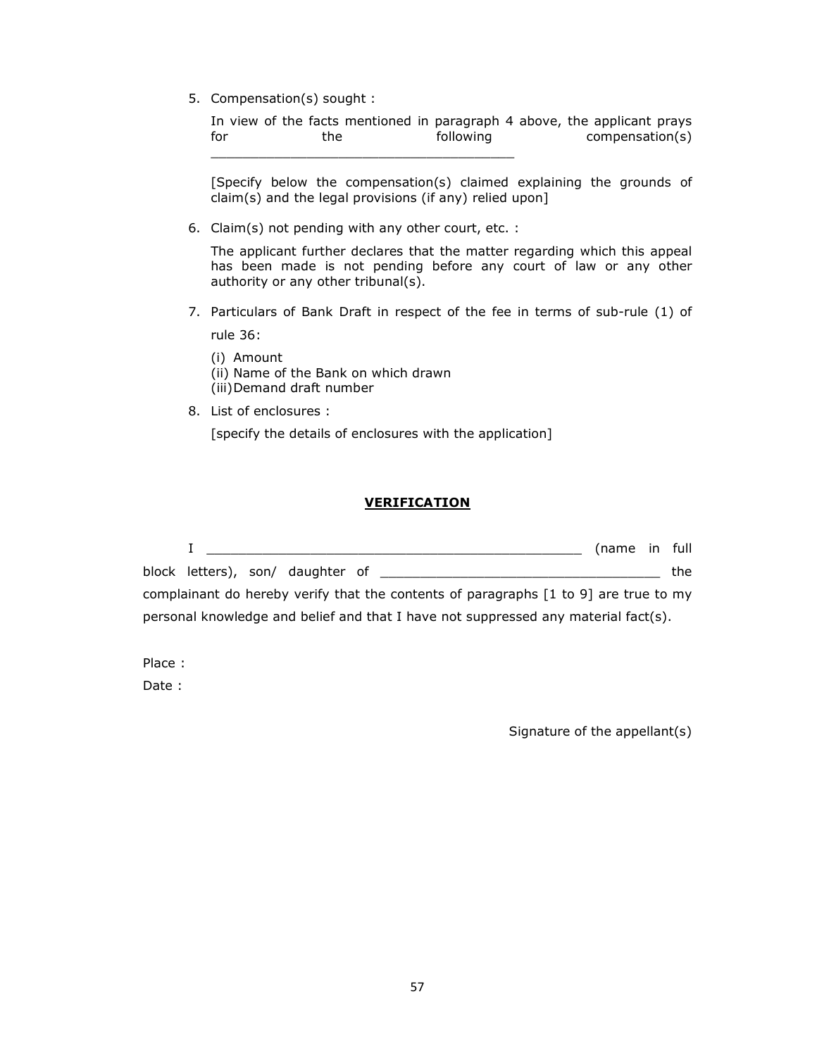5. Compensation(s) sought :

In view of the facts mentioned in paragraph 4 above, the applicant prays<br>for the following compensation(s) for the following compensation(s) \_\_\_\_\_\_\_\_\_\_\_\_\_\_\_\_\_\_\_\_\_\_\_\_\_\_\_\_\_\_\_\_\_\_\_\_\_\_

[Specify below the compensation(s) claimed explaining the grounds of claim(s) and the legal provisions (if any) relied upon]

6. Claim(s) not pending with any other court, etc. :

The applicant further declares that the matter regarding which this appeal has been made is not pending before any court of law or any other authority or any other tribunal(s).

7. Particulars of Bank Draft in respect of the fee in terms of sub-rule (1) of rule 36:

(i) Amount

- (ii) Name of the Bank on which drawn
- (iii)Demand draft number
- 8. List of enclosures :

[specify the details of enclosures with the application]

## **VERIFICATION**

|                                                                                      |                                                                                    | (name in full |  |       |  |  |  |  |
|--------------------------------------------------------------------------------------|------------------------------------------------------------------------------------|---------------|--|-------|--|--|--|--|
|                                                                                      | block letters), son/ daughter of                                                   |               |  | the : |  |  |  |  |
| complainant do hereby verify that the contents of paragraphs [1 to 9] are true to my |                                                                                    |               |  |       |  |  |  |  |
|                                                                                      | personal knowledge and belief and that I have not suppressed any material fact(s). |               |  |       |  |  |  |  |

Place :

Date :

Signature of the appellant(s)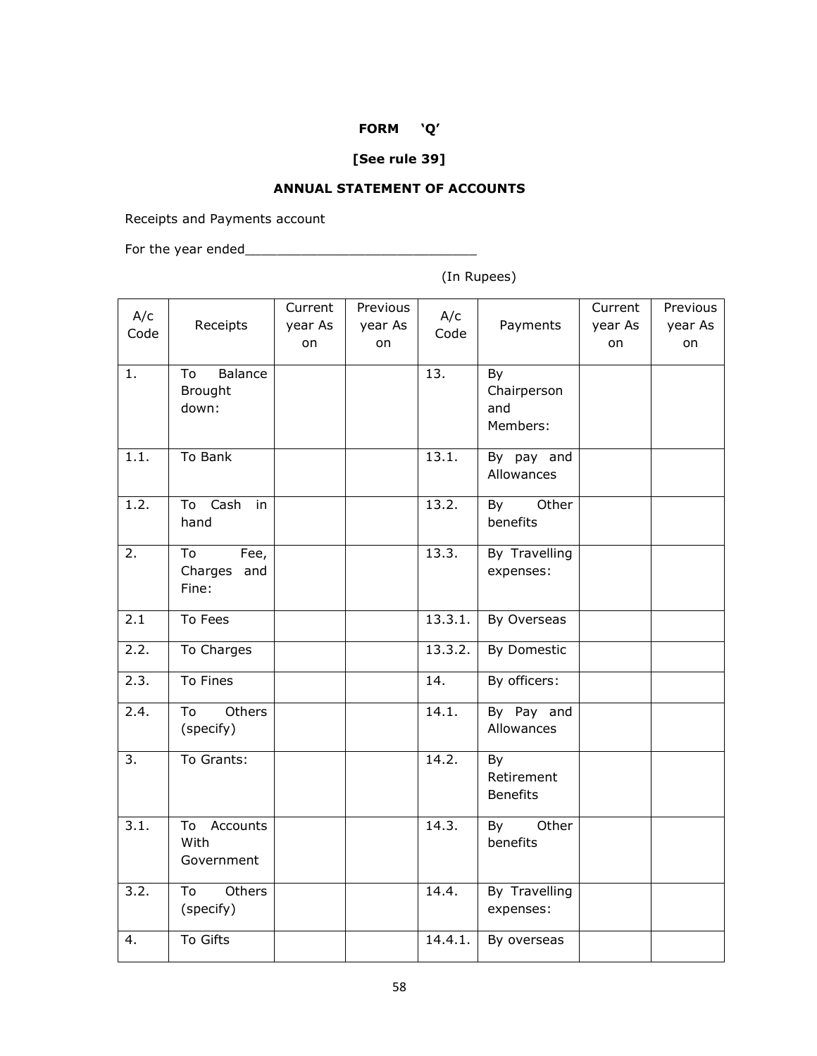# **FORM 'Q'**

# **[See rule 39]**

## **ANNUAL STATEMENT OF ACCOUNTS**

Receipts and Payments account

For the year ended\_\_\_\_\_\_\_\_\_\_\_\_\_\_\_\_\_\_\_\_\_\_\_\_\_\_\_\_\_

(In Rupees)

| A/c              |                  | Current | Previous | A/c     |                 | Current | Previous |
|------------------|------------------|---------|----------|---------|-----------------|---------|----------|
| Code             | Receipts         | year As | year As  | Code    | Payments        | year As | year As  |
|                  |                  | on      | on       |         |                 | on      | on       |
| 1.               | Balance<br>To    |         |          | 13.     | By              |         |          |
|                  | Brought          |         |          |         | Chairperson     |         |          |
|                  | down:            |         |          |         | and             |         |          |
|                  |                  |         |          |         | Members:        |         |          |
| 1.1.             | To Bank          |         |          | 13.1.   | By pay and      |         |          |
|                  |                  |         |          |         | Allowances      |         |          |
| 1.2.             | Cash<br>To<br>in |         |          | 13.2.   | Other<br>By     |         |          |
|                  | hand             |         |          |         | benefits        |         |          |
| 2.               | To<br>Fee,       |         |          | 13.3.   | By Travelling   |         |          |
|                  | Charges<br>and   |         |          |         | expenses:       |         |          |
|                  | Fine:            |         |          |         |                 |         |          |
| 2.1              | To Fees          |         |          | 13.3.1. | By Overseas     |         |          |
| 2.2.             | To Charges       |         |          | 13.3.2. | By Domestic     |         |          |
| 2.3.             | To Fines         |         |          | 14.     | By officers:    |         |          |
| 2.4.             | Others<br>To     |         |          | 14.1.   | By Pay and      |         |          |
|                  | (specify)        |         |          |         | Allowances      |         |          |
| $\overline{3}$ . | To Grants:       |         |          | 14.2.   | By              |         |          |
|                  |                  |         |          |         | Retirement      |         |          |
|                  |                  |         |          |         | <b>Benefits</b> |         |          |
| 3.1.             | Accounts<br>To   |         |          | 14.3.   | By<br>Other     |         |          |
|                  | With             |         |          |         | benefits        |         |          |
|                  | Government       |         |          |         |                 |         |          |
| 3.2.             | Others<br>To     |         |          | 14.4.   | By Travelling   |         |          |
|                  | (specify)        |         |          |         | expenses:       |         |          |
| 4.               | To Gifts         |         |          | 14.4.1. | By overseas     |         |          |
|                  |                  |         |          |         |                 |         |          |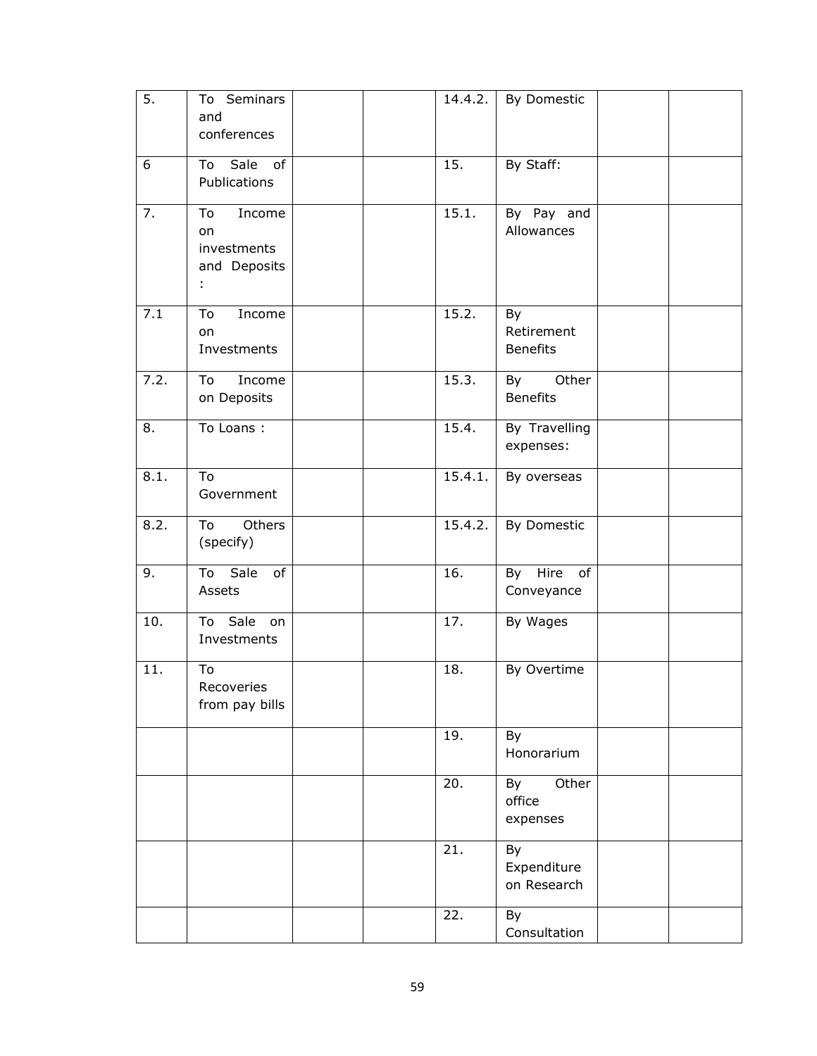| 5.                | To Seminars<br>and<br>conferences                      | 14.4.2. | By Domestic                         |  |
|-------------------|--------------------------------------------------------|---------|-------------------------------------|--|
| 6                 | Sale of<br>To<br>Publications                          | 15.     | By Staff:                           |  |
| $\overline{7}$ .  | Income<br>To<br>on<br>investments<br>and Deposits<br>÷ | 15.1.   | By Pay and<br>Allowances            |  |
| 7.1               | To<br>Income<br>on<br>Investments                      | 15.2.   | By<br>Retirement<br><b>Benefits</b> |  |
| 7.2.              | Income<br>To<br>on Deposits                            | 15.3.   | Other<br>By<br><b>Benefits</b>      |  |
| 8.                | To Loans:                                              | 15.4.   | By Travelling<br>expenses:          |  |
| 8.1.              | To<br>Government                                       | 15.4.1. | By overseas                         |  |
| 8.2.              | Others<br>To<br>(specify)                              | 15.4.2. | By Domestic                         |  |
| 9.                | To Sale<br>of<br>Assets                                | 16.     | Hire<br>of<br>By<br>Conveyance      |  |
| $\overline{10}$ . | To Sale<br>on<br>Investments                           | 17.     | By Wages                            |  |
| 11.               | To<br>Recoveries<br>from pay bills                     | 18.     | By Overtime                         |  |
|                   |                                                        | 19.     | By<br>Honorarium                    |  |
|                   |                                                        | 20.     | Other<br>By<br>office<br>expenses   |  |
|                   |                                                        | 21.     | By<br>Expenditure<br>on Research    |  |
|                   |                                                        | 22.     | By<br>Consultation                  |  |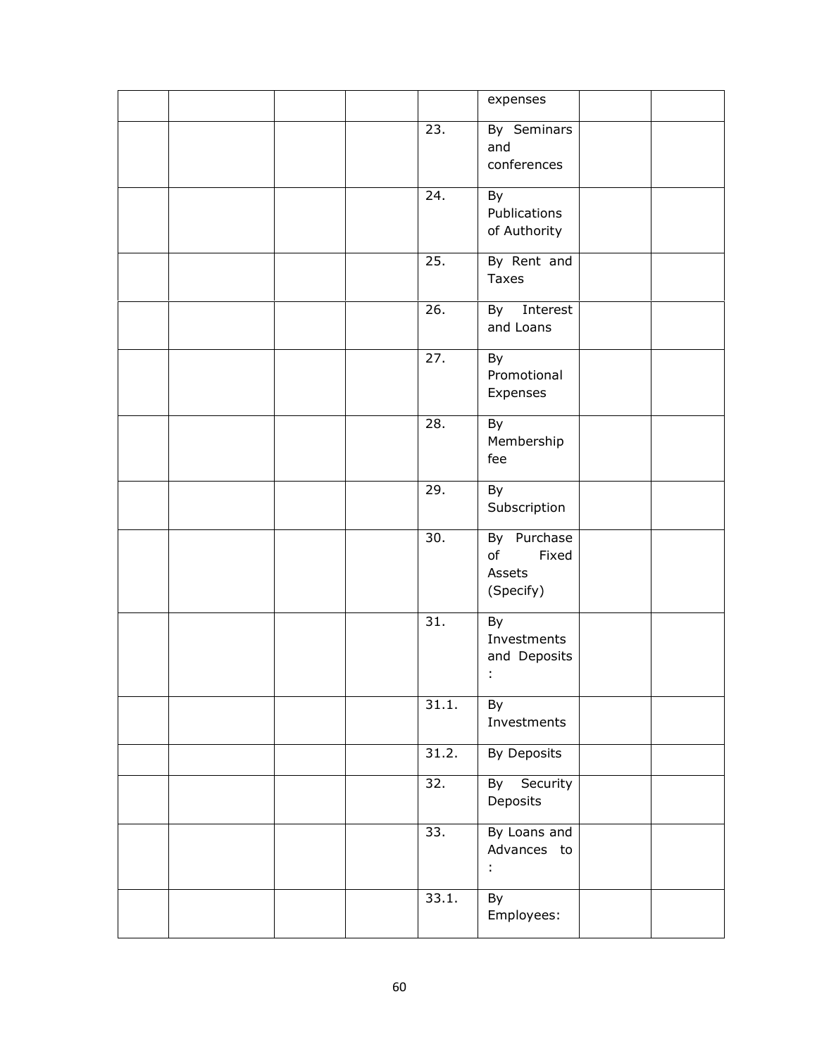|  |  |       | expenses                                          |  |
|--|--|-------|---------------------------------------------------|--|
|  |  | 23.   | By Seminars<br>and<br>conferences                 |  |
|  |  | 24.   | By<br>Publications<br>of Authority                |  |
|  |  | 25.   | By Rent and<br>Taxes                              |  |
|  |  | 26.   | By Interest<br>and Loans                          |  |
|  |  | 27.   | By<br>Promotional<br>Expenses                     |  |
|  |  | 28.   | By<br>Membership<br>fee                           |  |
|  |  | 29.   | By<br>Subscription                                |  |
|  |  | 30.   | By Purchase<br>of<br>Fixed<br>Assets<br>(Specify) |  |
|  |  | 31.   | By<br>Investments<br>and Deposits<br>t,           |  |
|  |  | 31.1. | By<br>Investments                                 |  |
|  |  | 31.2. | By Deposits                                       |  |
|  |  | 32.   | By Security<br>Deposits                           |  |
|  |  | 33.   | By Loans and<br>Advances to<br>÷                  |  |
|  |  | 33.1. | By<br>Employees:                                  |  |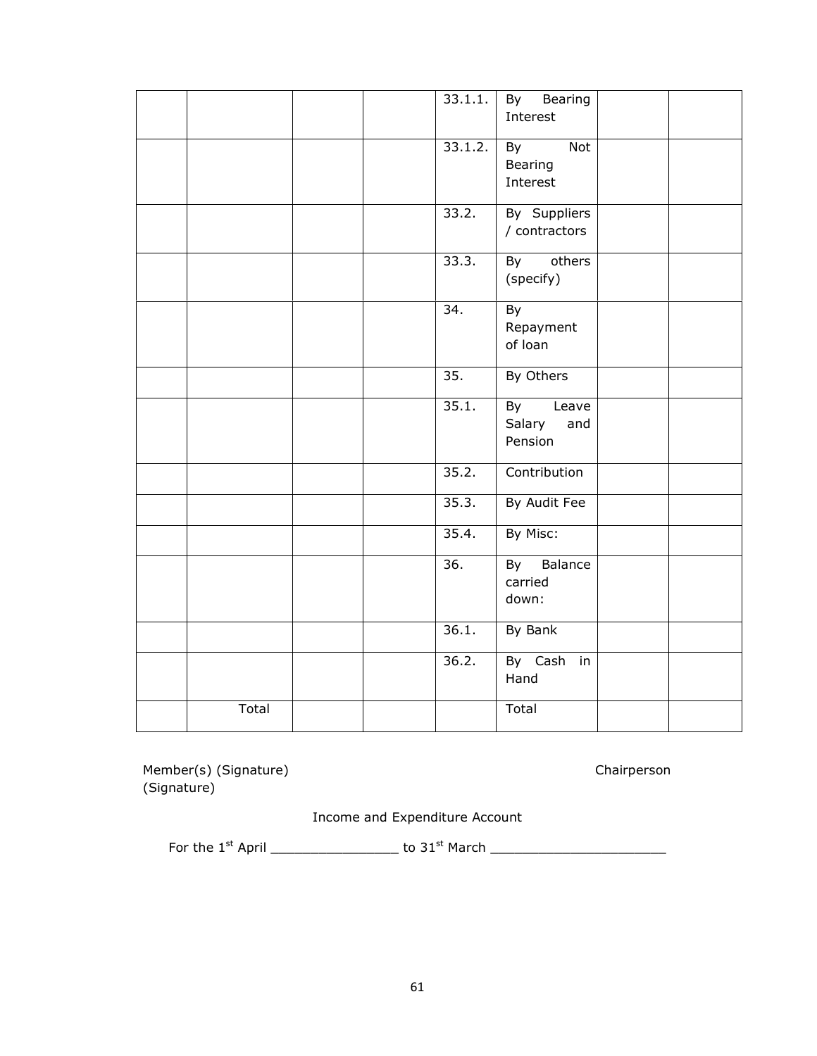|       |  | 33.1.1.           | By Bearing<br>Interest               |  |
|-------|--|-------------------|--------------------------------------|--|
|       |  | 33.1.2.           | Not<br>By<br>Bearing<br>Interest     |  |
|       |  | 33.2.             | By Suppliers<br>/ contractors        |  |
|       |  | 33.3.             | others<br>By<br>(specify)            |  |
|       |  | $\overline{34}$ . | By<br>Repayment<br>of loan           |  |
|       |  | 35.               | By Others                            |  |
|       |  | 35.1.             | By Leave<br>Salary<br>and<br>Pension |  |
|       |  | 35.2.             | Contribution                         |  |
|       |  | 35.3.             | By Audit Fee                         |  |
|       |  | 35.4.             | By Misc:                             |  |
|       |  | $\overline{36}$ . | By Balance<br>carried<br>down:       |  |
|       |  | 36.1.             | By Bank                              |  |
|       |  | 36.2.             | By Cash in<br>Hand                   |  |
| Total |  |                   | Total                                |  |

Member(s) (Signature) Chairperson (Signature)

Income and Expenditure Account

For the 1st April \_\_\_\_\_\_\_\_\_\_\_\_\_\_\_\_ to 31st March \_\_\_\_\_\_\_\_\_\_\_\_\_\_\_\_\_\_\_\_\_\_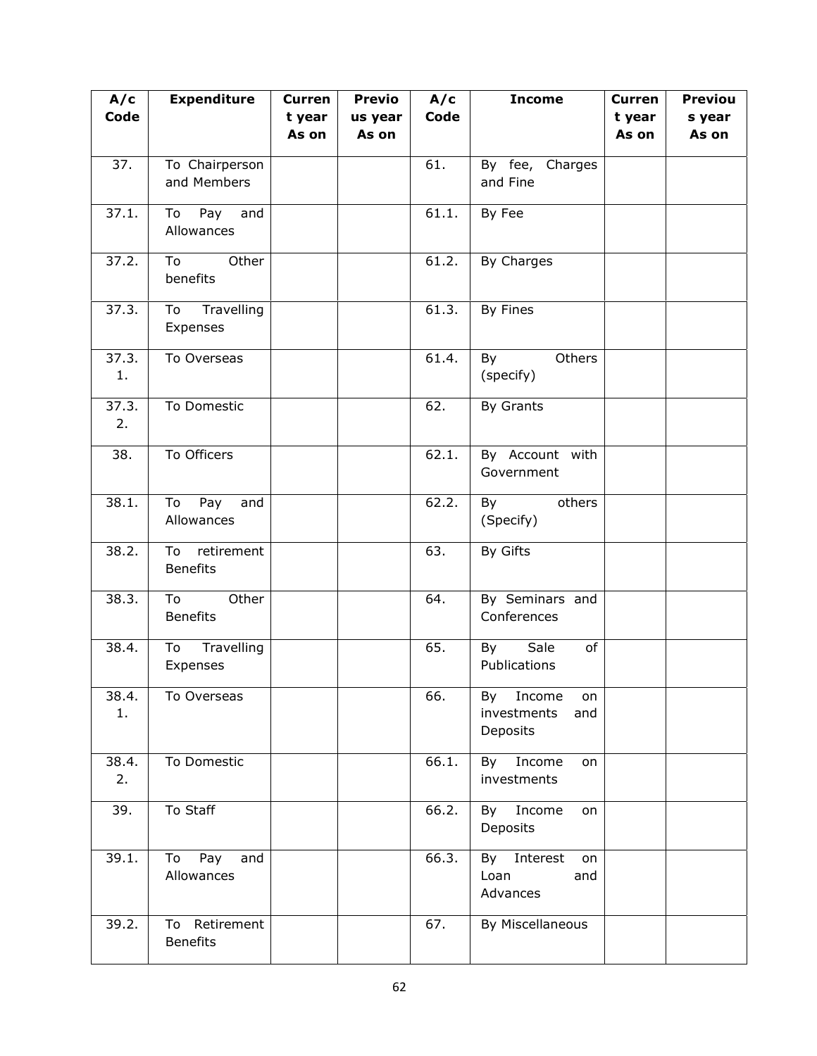| A/c         | <b>Expenditure</b>                  | <b>Curren</b>   | <b>Previo</b>    | A/c   | <b>Income</b>                                     | <b>Curren</b>   | <b>Previou</b>  |
|-------------|-------------------------------------|-----------------|------------------|-------|---------------------------------------------------|-----------------|-----------------|
| Code        |                                     | t year<br>As on | us year<br>As on | Code  |                                                   | t year<br>As on | s year<br>As on |
| 37.         | To Chairperson<br>and Members       |                 |                  | 61.   | By fee, Charges<br>and Fine                       |                 |                 |
| 37.1.       | Pay<br>To<br>and<br>Allowances      |                 |                  | 61.1. | By Fee                                            |                 |                 |
| 37.2.       | Other<br>To<br>benefits             |                 |                  | 61.2. | By Charges                                        |                 |                 |
| 37.3.       | Travelling<br>To<br>Expenses        |                 |                  | 61.3. | By Fines                                          |                 |                 |
| 37.3.<br>1. | To Overseas                         |                 |                  | 61.4. | Others<br>By<br>(specify)                         |                 |                 |
| 37.3.<br>2. | To Domestic                         |                 |                  | 62.   | By Grants                                         |                 |                 |
| 38.         | To Officers                         |                 |                  | 62.1. | By Account with<br>Government                     |                 |                 |
| 38.1.       | To<br>Pay<br>and<br>Allowances      |                 |                  | 62.2. | others<br>By<br>(Specify)                         |                 |                 |
| 38.2.       | To<br>retirement<br><b>Benefits</b> |                 |                  | 63.   | By Gifts                                          |                 |                 |
| 38.3.       | Other<br>To<br><b>Benefits</b>      |                 |                  | 64.   | By Seminars and<br>Conferences                    |                 |                 |
| 38.4.       | Travelling<br>To<br>Expenses        |                 |                  | 65.   | Sale<br>By<br>of<br>Publications                  |                 |                 |
| 38.4.<br>1. | To Overseas                         |                 |                  | 66.   | By Income<br>on<br>investments<br>and<br>Deposits |                 |                 |
| 38.4.<br>2. | To Domestic                         |                 |                  | 66.1. | By Income<br>on<br>investments                    |                 |                 |
| 39.         | To Staff                            |                 |                  | 66.2. | By Income<br>on<br>Deposits                       |                 |                 |
| 39.1.       | Pay<br>To<br>and<br>Allowances      |                 |                  | 66.3. | By Interest<br>on<br>Loan<br>and<br>Advances      |                 |                 |
| 39.2.       | To Retirement<br><b>Benefits</b>    |                 |                  | 67.   | By Miscellaneous                                  |                 |                 |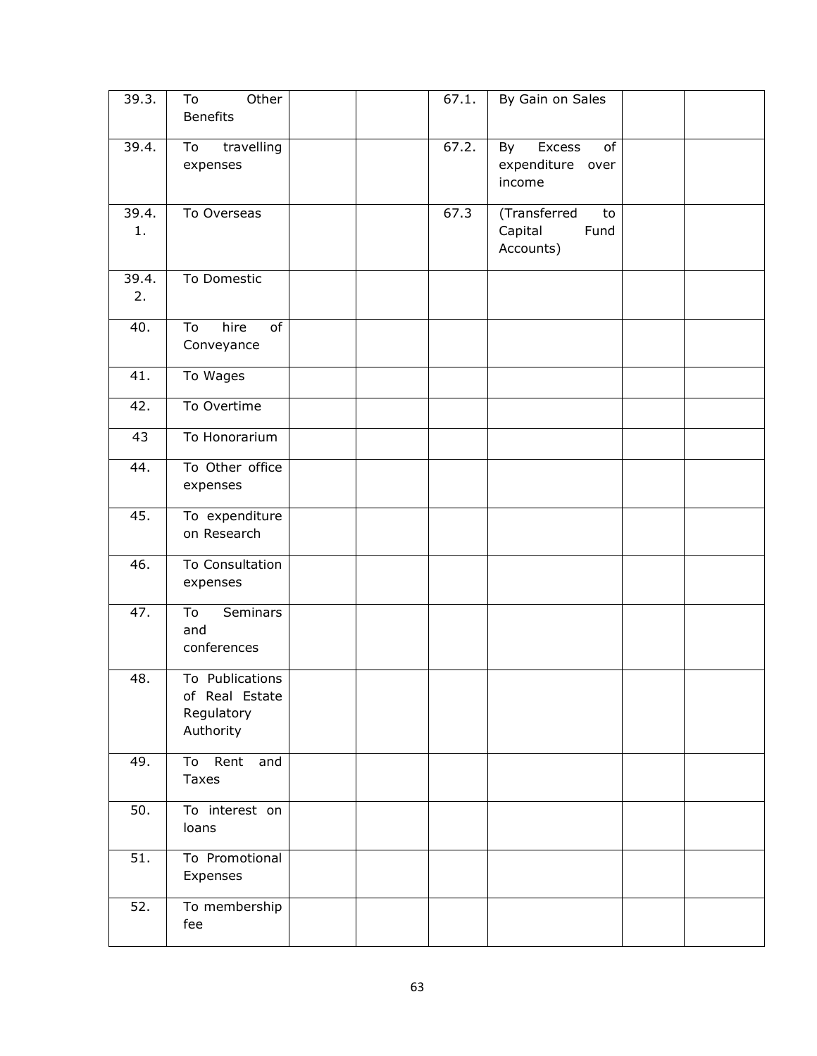| 39.3.       | To<br>Other<br><b>Benefits</b>                               |  | 67.1. | By Gain on Sales                                   |  |
|-------------|--------------------------------------------------------------|--|-------|----------------------------------------------------|--|
| 39.4.       | travelling<br>To<br>expenses                                 |  | 67.2. | Excess<br>By<br>of<br>expenditure over<br>income   |  |
| 39.4.<br>1. | To Overseas                                                  |  | 67.3  | (Transferred<br>to<br>Fund<br>Capital<br>Accounts) |  |
| 39.4.<br>2. | To Domestic                                                  |  |       |                                                    |  |
| 40.         | of<br>To<br>hire<br>Conveyance                               |  |       |                                                    |  |
| 41.         | To Wages                                                     |  |       |                                                    |  |
| 42.         | To Overtime                                                  |  |       |                                                    |  |
| 43          | To Honorarium                                                |  |       |                                                    |  |
| 44.         | To Other office<br>expenses                                  |  |       |                                                    |  |
| 45.         | To expenditure<br>on Research                                |  |       |                                                    |  |
| 46.         | To Consultation<br>expenses                                  |  |       |                                                    |  |
| 47.         | <b>Seminars</b><br>To<br>and<br>conferences                  |  |       |                                                    |  |
| 48.         | To Publications<br>of Real Estate<br>Regulatory<br>Authority |  |       |                                                    |  |
| 49.         | To Rent<br>and<br>Taxes                                      |  |       |                                                    |  |
| 50.         | To interest on<br>loans                                      |  |       |                                                    |  |
| 51.         | To Promotional<br>Expenses                                   |  |       |                                                    |  |
| 52.         | To membership<br>fee                                         |  |       |                                                    |  |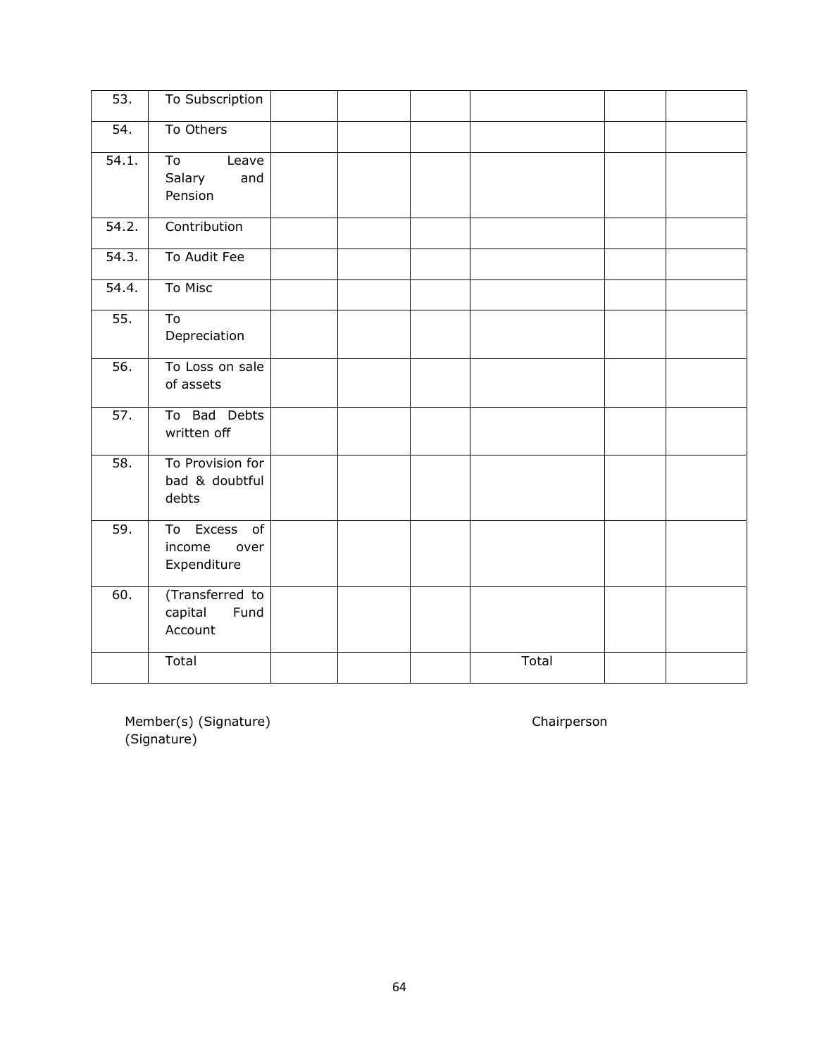| $\overline{53}$ . | To Subscription                                     |  |       |  |
|-------------------|-----------------------------------------------------|--|-------|--|
| $\overline{54}$ . | To Others                                           |  |       |  |
| 54.1.             | To<br>Leave<br>Salary<br>and<br>Pension             |  |       |  |
| 54.2.             | Contribution                                        |  |       |  |
| 54.3.             | To Audit Fee                                        |  |       |  |
| 54.4.             | To Misc                                             |  |       |  |
| $\overline{55}$ . | To<br>Depreciation                                  |  |       |  |
| 56.               | To Loss on sale<br>of assets                        |  |       |  |
| 57.               | To Bad Debts<br>written off                         |  |       |  |
| 58.               | To Provision for<br>bad & doubtful<br>debts         |  |       |  |
| 59.               | Excess<br>of<br>To<br>income<br>over<br>Expenditure |  |       |  |
| 60.               | (Transferred to<br>capital<br>Fund<br>Account       |  |       |  |
|                   | Total                                               |  | Total |  |

Member(s) (Signature) and Chairperson (Signature)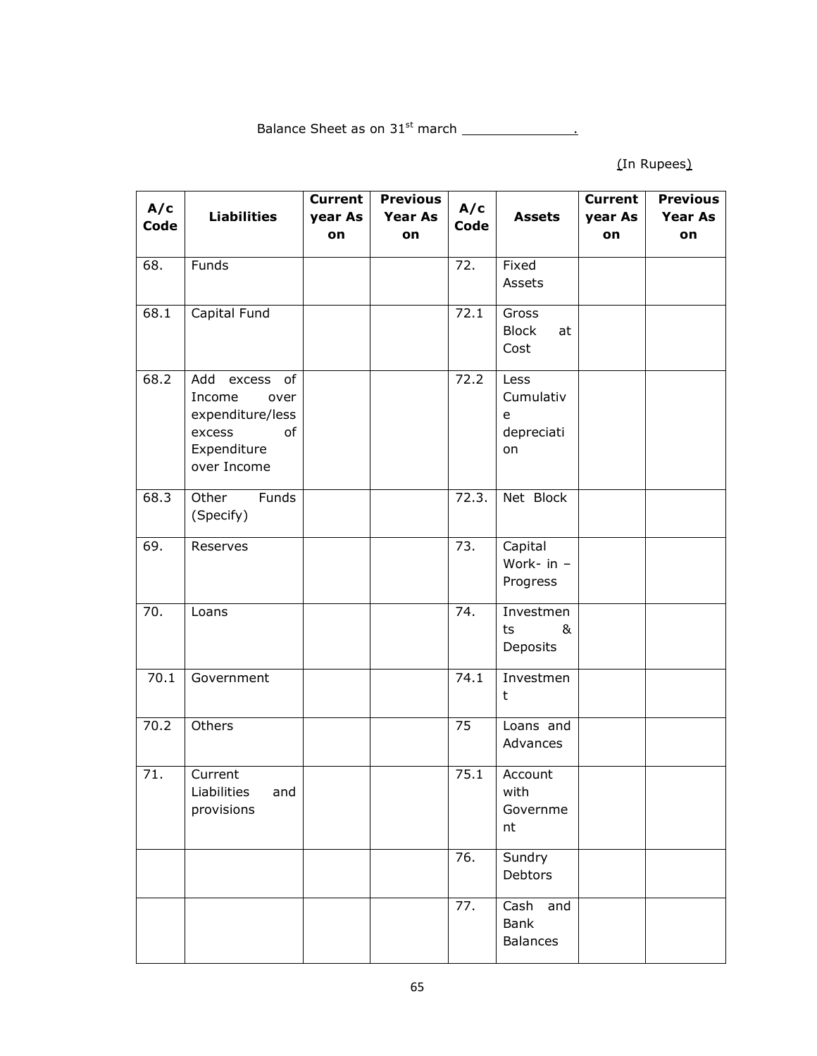Balance Sheet as on 31st march .

(In Rupees)

| A/c<br>Code | <b>Liabilities</b>                                                                                | <b>Current</b><br>year As<br>on | <b>Previous</b><br><b>Year As</b><br>on | A/c<br>Code | <b>Assets</b>                              | <b>Current</b><br>year As<br>on | <b>Previous</b><br><b>Year As</b><br>on |
|-------------|---------------------------------------------------------------------------------------------------|---------------------------------|-----------------------------------------|-------------|--------------------------------------------|---------------------------------|-----------------------------------------|
| 68.         | Funds                                                                                             |                                 |                                         | 72.         | Fixed<br>Assets                            |                                 |                                         |
| 68.1        | Capital Fund                                                                                      |                                 |                                         | 72.1        | Gross<br><b>Block</b><br>at<br>Cost        |                                 |                                         |
| 68.2        | Add excess of<br>Income<br>over<br>expenditure/less<br>excess<br>of<br>Expenditure<br>over Income |                                 |                                         | 72.2        | Less<br>Cumulativ<br>e<br>depreciati<br>on |                                 |                                         |
| 68.3        | Other<br>Funds<br>(Specify)                                                                       |                                 |                                         | 72.3.       | Net Block                                  |                                 |                                         |
| 69.         | Reserves                                                                                          |                                 |                                         | 73.         | Capital<br>Work- in -<br>Progress          |                                 |                                         |
| 70.         | Loans                                                                                             |                                 |                                         | 74.         | Investmen<br>&<br>ts<br>Deposits           |                                 |                                         |
| 70.1        | Government                                                                                        |                                 |                                         | 74.1        | Investmen<br>t                             |                                 |                                         |
| 70.2        | Others                                                                                            |                                 |                                         | 75          | Loans and<br>Advances                      |                                 |                                         |
| 71.         | Current<br>Liabilities<br>and<br>provisions                                                       |                                 |                                         | 75.1        | Account<br>with<br>Governme<br>nt          |                                 |                                         |
|             |                                                                                                   |                                 |                                         | 76.         | Sundry<br>Debtors                          |                                 |                                         |
|             |                                                                                                   |                                 |                                         | 77.         | Cash and<br>Bank<br><b>Balances</b>        |                                 |                                         |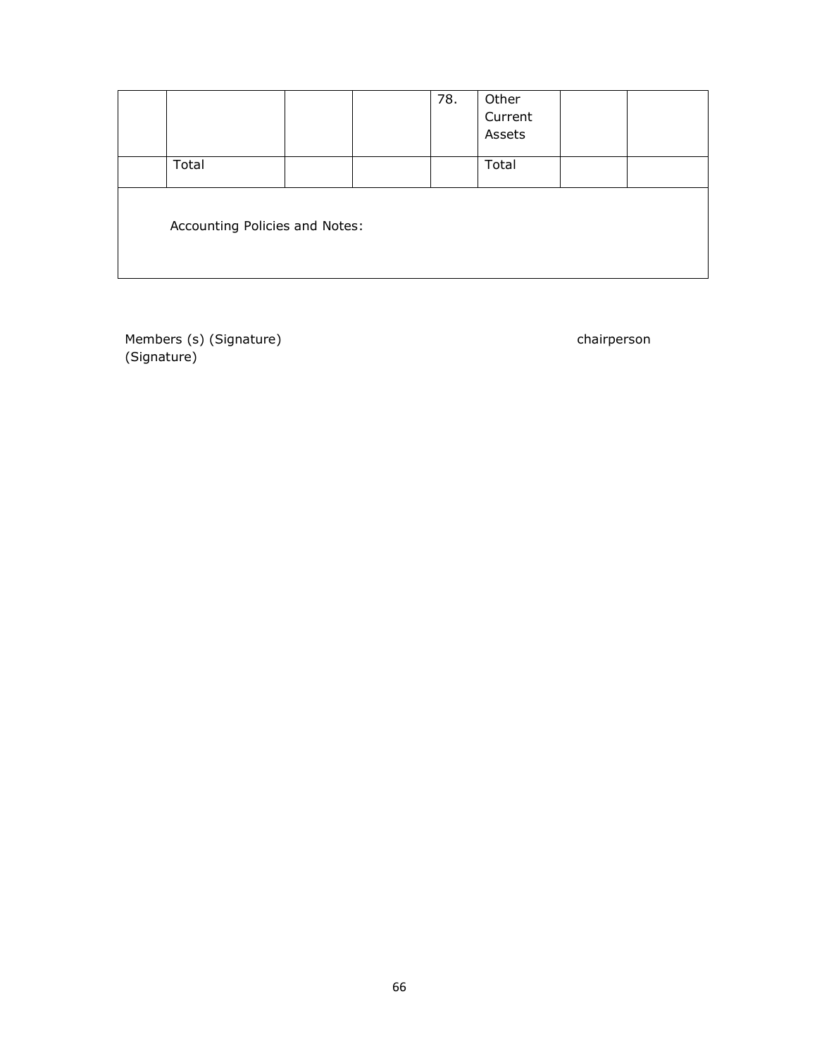|                                |  | 78. | Other<br>Current<br>Assets |  |
|--------------------------------|--|-----|----------------------------|--|
| Total                          |  |     | Total                      |  |
| Accounting Policies and Notes: |  |     |                            |  |

Members (s) (Signature) chairperson chairperson (Signature)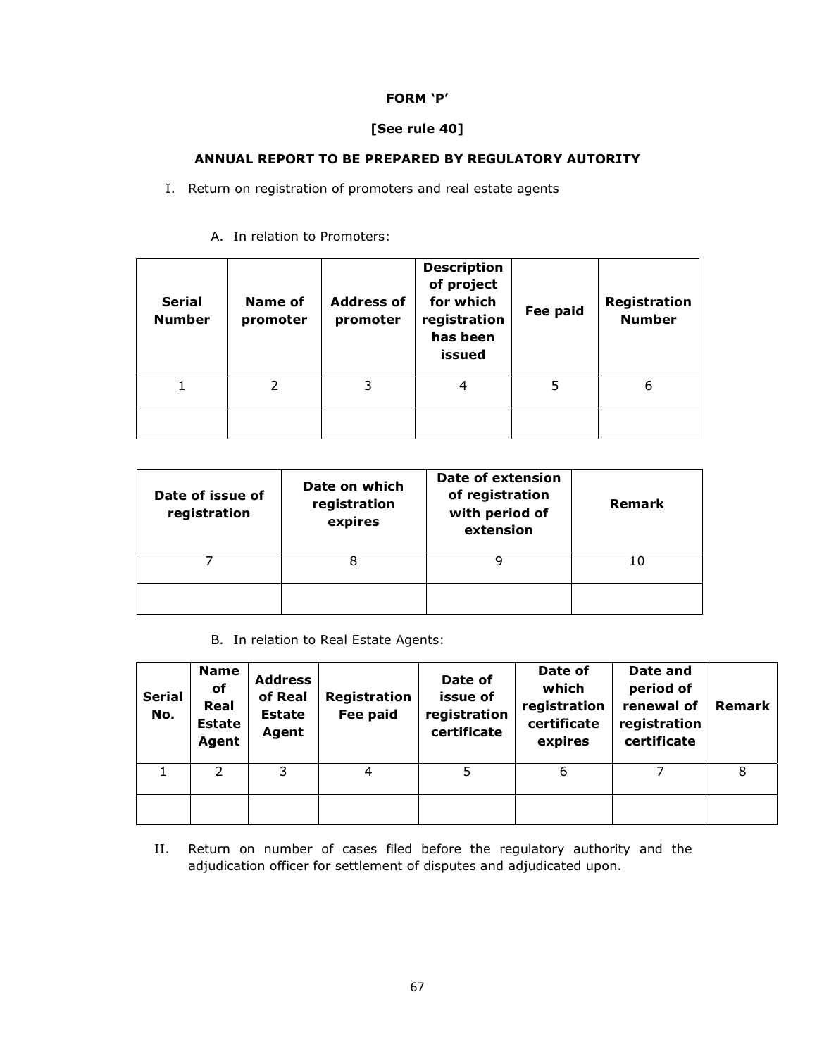# **FORM 'P'**

# **[See rule 40]**

# **ANNUAL REPORT TO BE PREPARED BY REGULATORY AUTORITY**

I. Return on registration of promoters and real estate agents

| <b>Serial</b><br><b>Number</b> | Name of<br>promoter | <b>Address of</b><br>promoter | <b>Description</b><br>of project<br>for which<br>registration<br>has been<br>issued | Fee paid | Registration<br><b>Number</b> |
|--------------------------------|---------------------|-------------------------------|-------------------------------------------------------------------------------------|----------|-------------------------------|
|                                | フ                   | 3                             |                                                                                     | 5        | 6                             |
|                                |                     |                               |                                                                                     |          |                               |

A. In relation to Promoters:

| Date of issue of<br>registration | Date on which<br>registration<br>expires | Date of extension<br>of registration<br>with period of<br>extension | <b>Remark</b> |
|----------------------------------|------------------------------------------|---------------------------------------------------------------------|---------------|
|                                  | 8                                        | a                                                                   | 10            |
|                                  |                                          |                                                                     |               |

B. In relation to Real Estate Agents:

| <b>Serial</b><br>No. | <b>Name</b><br>оf<br>Real<br><b>Estate</b><br>Agent | <b>Address</b><br>of Real<br><b>Estate</b><br>Agent | <b>Registration</b><br>Fee paid | Date of<br>issue of<br>registration<br>certificate | Date of<br>which<br>registration<br>certificate<br>expires | Date and<br>period of<br>renewal of<br>registration<br>certificate | <b>Remark</b> |
|----------------------|-----------------------------------------------------|-----------------------------------------------------|---------------------------------|----------------------------------------------------|------------------------------------------------------------|--------------------------------------------------------------------|---------------|
|                      | $\mathcal{P}$                                       | 3                                                   | 4                               | 5                                                  | 6                                                          |                                                                    | 8             |
|                      |                                                     |                                                     |                                 |                                                    |                                                            |                                                                    |               |

II. Return on number of cases filed before the regulatory authority and the adjudication officer for settlement of disputes and adjudicated upon.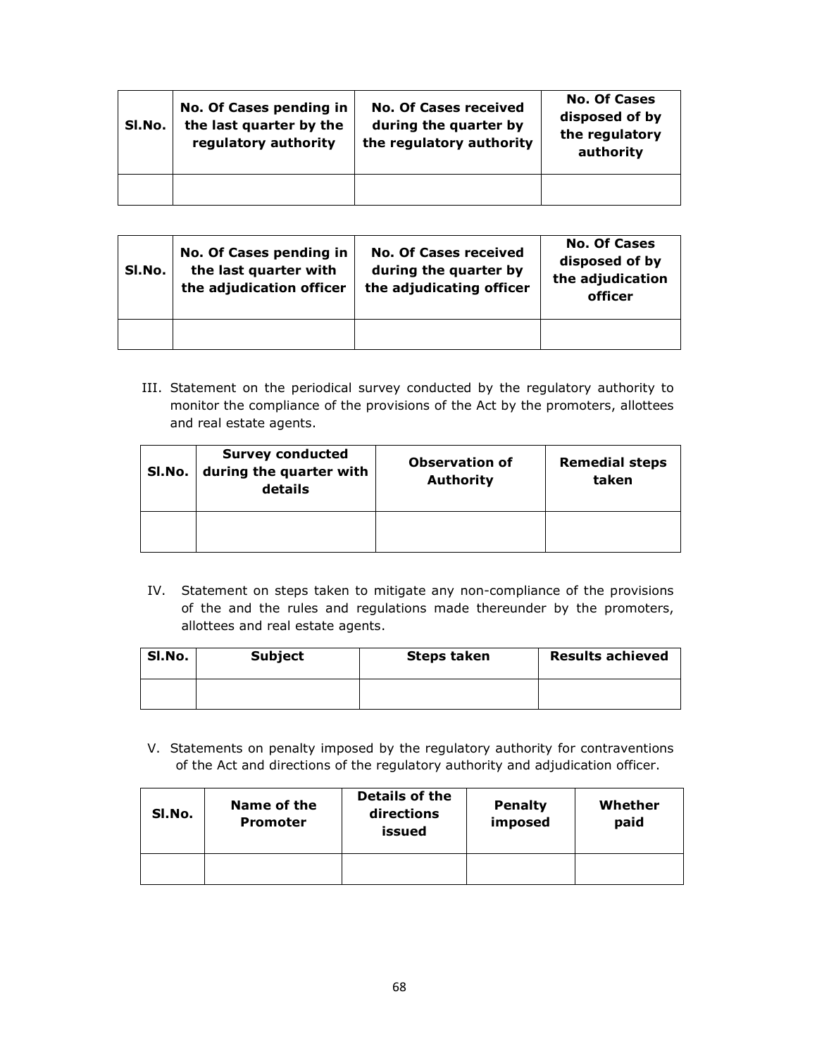| SI.No. | No. Of Cases pending in<br>the last quarter by the<br>regulatory authority | <b>No. Of Cases received</b><br>during the quarter by<br>the regulatory authority | <b>No. Of Cases</b><br>disposed of by<br>the regulatory<br>authority |
|--------|----------------------------------------------------------------------------|-----------------------------------------------------------------------------------|----------------------------------------------------------------------|
|        |                                                                            |                                                                                   |                                                                      |

| SI.No. | No. Of Cases pending in<br>the last quarter with<br>the adjudication officer | <b>No. Of Cases received</b><br>during the quarter by<br>the adjudicating officer | <b>No. Of Cases</b><br>disposed of by<br>the adjudication<br>officer |
|--------|------------------------------------------------------------------------------|-----------------------------------------------------------------------------------|----------------------------------------------------------------------|
|        |                                                                              |                                                                                   |                                                                      |

III. Statement on the periodical survey conducted by the regulatory authority to monitor the compliance of the provisions of the Act by the promoters, allottees and real estate agents.

| SI.No. | <b>Survey conducted</b><br>during the quarter with<br>details | <b>Observation of</b><br><b>Authority</b> | <b>Remedial steps</b><br>taken |
|--------|---------------------------------------------------------------|-------------------------------------------|--------------------------------|
|        |                                                               |                                           |                                |

IV. Statement on steps taken to mitigate any non-compliance of the provisions of the and the rules and regulations made thereunder by the promoters, allottees and real estate agents.

| SI.No. | <b>Subject</b> | <b>Steps taken</b> | <b>Results achieved</b> |
|--------|----------------|--------------------|-------------------------|
|        |                |                    |                         |

V. Statements on penalty imposed by the regulatory authority for contraventions of the Act and directions of the regulatory authority and adjudication officer.

| SI.No. | Name of the<br><b>Promoter</b> | <b>Details of the</b><br>directions<br>issued | <b>Penalty</b><br>imposed | Whether<br>paid |
|--------|--------------------------------|-----------------------------------------------|---------------------------|-----------------|
|        |                                |                                               |                           |                 |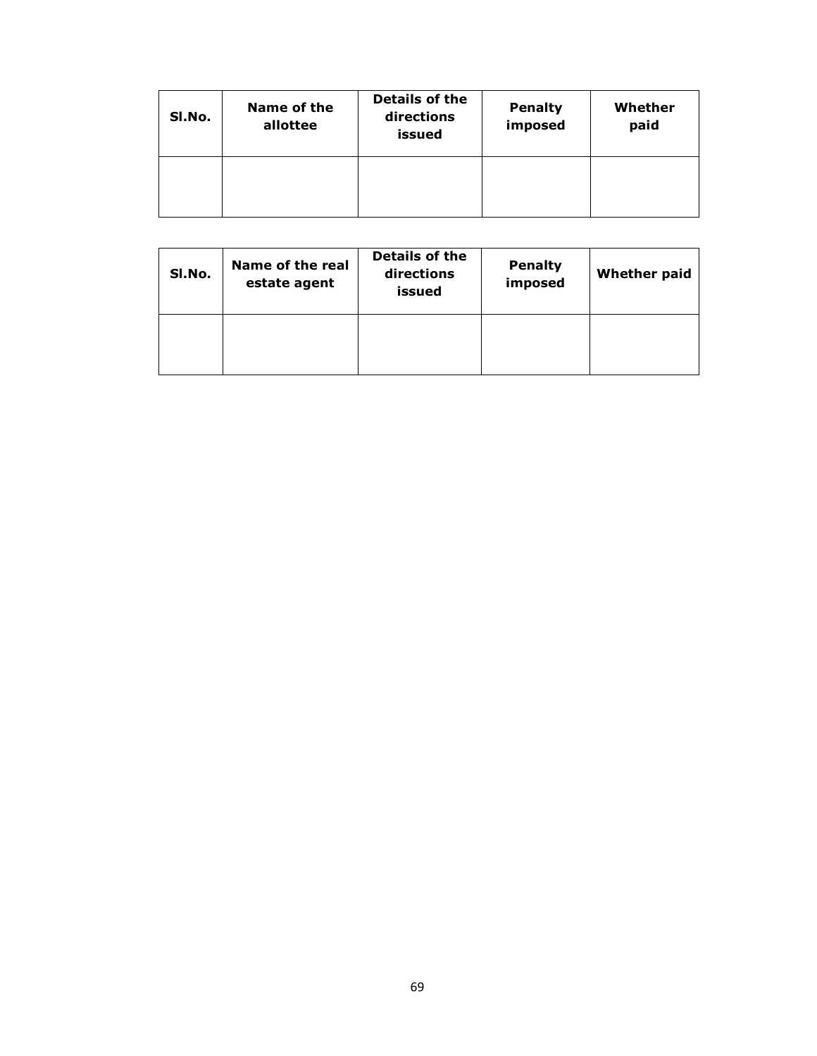| SI.No. | Name of the<br>allottee | <b>Details of the</b><br>directions<br>issued | <b>Penalty</b><br>imposed | Whether<br>paid |
|--------|-------------------------|-----------------------------------------------|---------------------------|-----------------|
|        |                         |                                               |                           |                 |

| SI.No. | Name of the real<br>estate agent | Details of the<br>directions<br>issued | <b>Penalty</b><br>imposed | <b>Whether paid</b> |
|--------|----------------------------------|----------------------------------------|---------------------------|---------------------|
|        |                                  |                                        |                           |                     |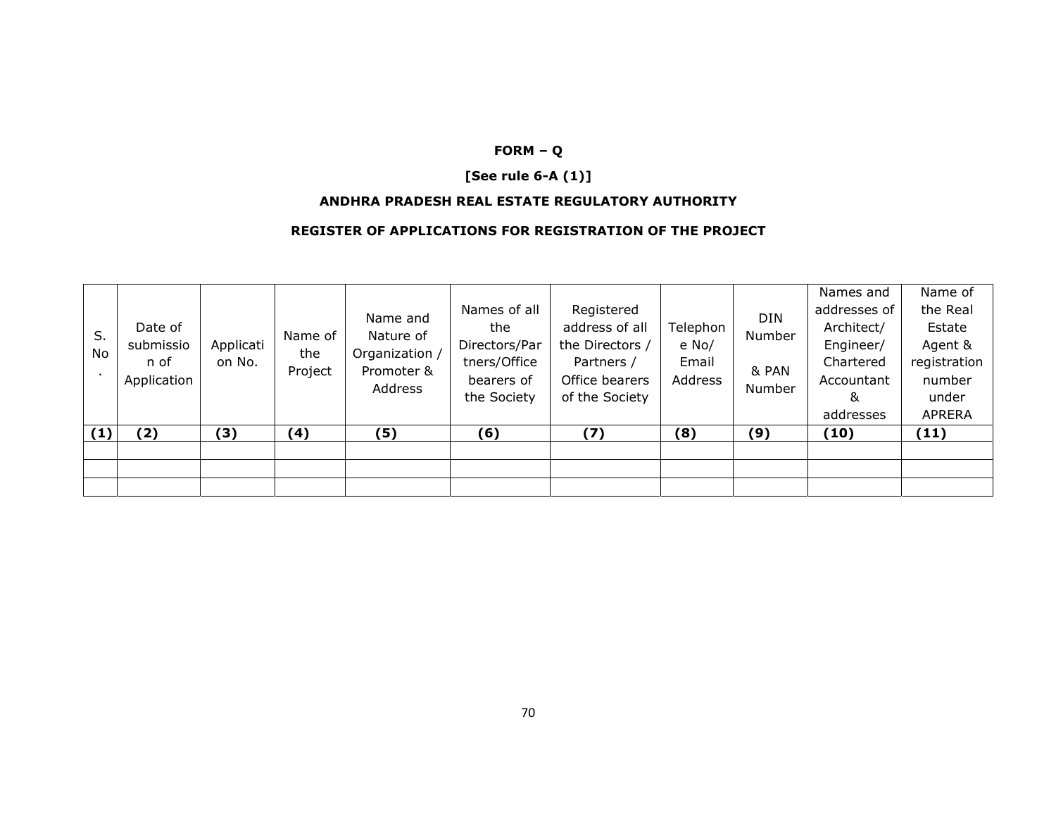# **FORM – Q**

# **[See rule 6-A (1)]**

#### **ANDHRA PRADESH REAL ESTATE REGULATORY AUTHORITY**

#### **REGISTER OF APPLICATIONS FOR REGISTRATION OF THE PROJECT**

| S.<br><b>No</b> | Date of<br>submissio<br>n of<br>Application | Applicati<br>on No. | Name of<br>the<br>Project | Name and<br>Nature of<br>Organization /<br>Promoter &<br>Address | Names of all<br>the<br>Directors/Par<br>tners/Office<br>bearers of<br>the Society | Registered<br>address of all<br>the Directors /<br>Partners /<br>Office bearers<br>of the Society | Telephon<br>e No/<br>Email<br><b>Address</b> | <b>DIN</b><br>Number<br>& PAN<br>Number | Names and<br>addresses of<br>Architect/<br>Engineer/<br>Chartered<br>Accountant<br>&<br>addresses | Name of<br>the Real<br>Estate<br>Agent &<br>registration<br>number<br>under<br><b>APRERA</b> |
|-----------------|---------------------------------------------|---------------------|---------------------------|------------------------------------------------------------------|-----------------------------------------------------------------------------------|---------------------------------------------------------------------------------------------------|----------------------------------------------|-----------------------------------------|---------------------------------------------------------------------------------------------------|----------------------------------------------------------------------------------------------|
| (1)             | (2)                                         | (3)                 | (4)                       | (5)                                                              | (6)                                                                               | (7)                                                                                               | (8)                                          | (9)                                     | (10)                                                                                              | (11)                                                                                         |
|                 |                                             |                     |                           |                                                                  |                                                                                   |                                                                                                   |                                              |                                         |                                                                                                   |                                                                                              |
|                 |                                             |                     |                           |                                                                  |                                                                                   |                                                                                                   |                                              |                                         |                                                                                                   |                                                                                              |
|                 |                                             |                     |                           |                                                                  |                                                                                   |                                                                                                   |                                              |                                         |                                                                                                   |                                                                                              |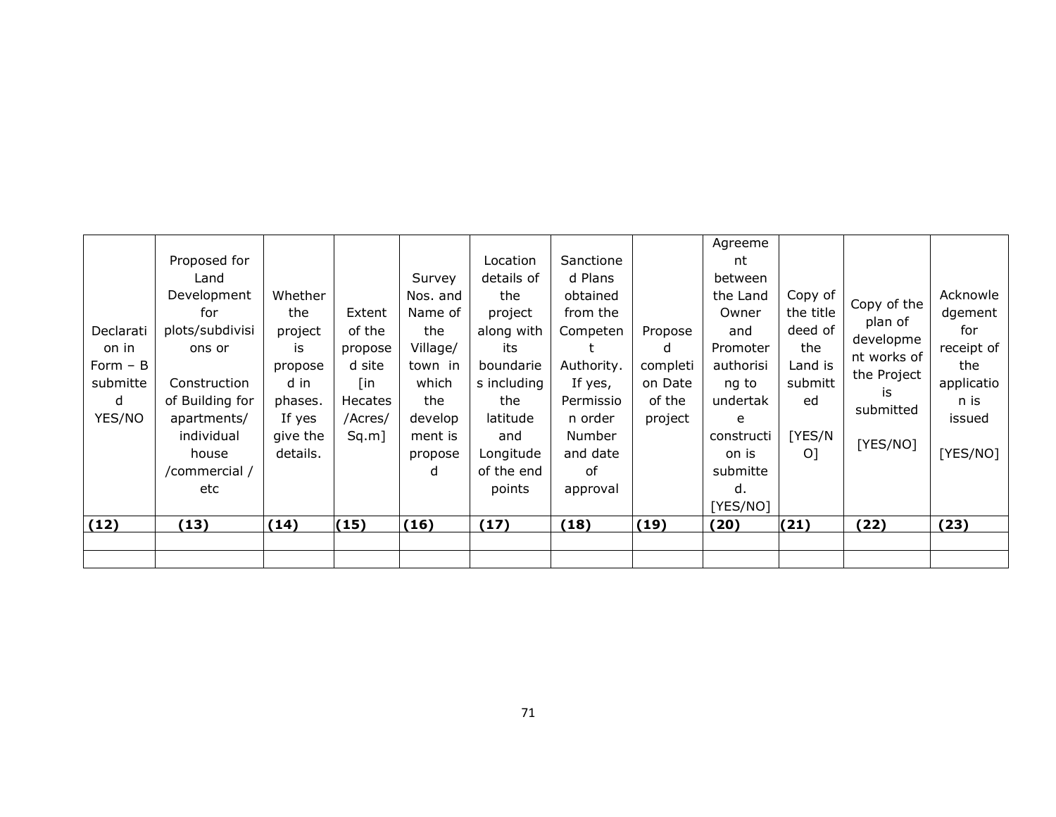| Declarati<br>on in<br>Form $- B$<br>submitte<br>d<br>YES/NO | Proposed for<br>Land<br>Development<br>for<br>plots/subdivisi<br>ons or<br>Construction<br>of Building for<br>apartments/<br>individual<br>house<br>/commercial /<br>etc | Whether<br>the<br>project<br>is<br>propose<br>d in<br>phases.<br>If yes<br>give the<br>details. | Extent<br>of the<br>propose<br>d site<br>[in<br>Hecates<br>/Acres/<br>Sq.m] | Survey<br>Nos. and<br>Name of<br>the<br>Village/<br>town in<br>which<br>the<br>develop<br>ment is<br>propose<br>d | Location<br>details of<br>the<br>project<br>along with<br>its<br>boundarie<br>s including<br>the<br>latitude<br>and<br>Longitude<br>of the end<br>points | Sanctione<br>d Plans<br>obtained<br>from the<br>Competen<br>Authority.<br>If yes,<br>Permissio<br>n order<br><b>Number</b><br>and date<br>0f<br>approval | Propose<br>d<br>completi<br>on Date<br>of the<br>project | Agreeme<br>nt<br>between<br>the Land<br>Owner<br>and<br>Promoter<br>authorisi<br>ng to<br>undertak<br>e<br>constructi<br>on is<br>submitte<br>d.<br>[YES/NO] | Copy of<br>the title<br>deed of<br>the<br>Land is<br>submitt<br>ed<br>[YES/N<br>O <sub>1</sub> | Copy of the<br>plan of<br>developme<br>nt works of<br>the Project<br>is<br>submitted<br>[YES/NO] | Acknowle<br>dgement<br>for<br>receipt of<br>the<br>applicatio<br>n is<br>issued<br>[YES/NO] |
|-------------------------------------------------------------|--------------------------------------------------------------------------------------------------------------------------------------------------------------------------|-------------------------------------------------------------------------------------------------|-----------------------------------------------------------------------------|-------------------------------------------------------------------------------------------------------------------|----------------------------------------------------------------------------------------------------------------------------------------------------------|----------------------------------------------------------------------------------------------------------------------------------------------------------|----------------------------------------------------------|--------------------------------------------------------------------------------------------------------------------------------------------------------------|------------------------------------------------------------------------------------------------|--------------------------------------------------------------------------------------------------|---------------------------------------------------------------------------------------------|
| (12)                                                        | (13)                                                                                                                                                                     | (14)                                                                                            | (15)                                                                        | (16)                                                                                                              | (17)                                                                                                                                                     | (18)                                                                                                                                                     | (19)                                                     | (20)                                                                                                                                                         | (21)                                                                                           | (22)                                                                                             | (23)                                                                                        |
|                                                             |                                                                                                                                                                          |                                                                                                 |                                                                             |                                                                                                                   |                                                                                                                                                          |                                                                                                                                                          |                                                          |                                                                                                                                                              |                                                                                                |                                                                                                  |                                                                                             |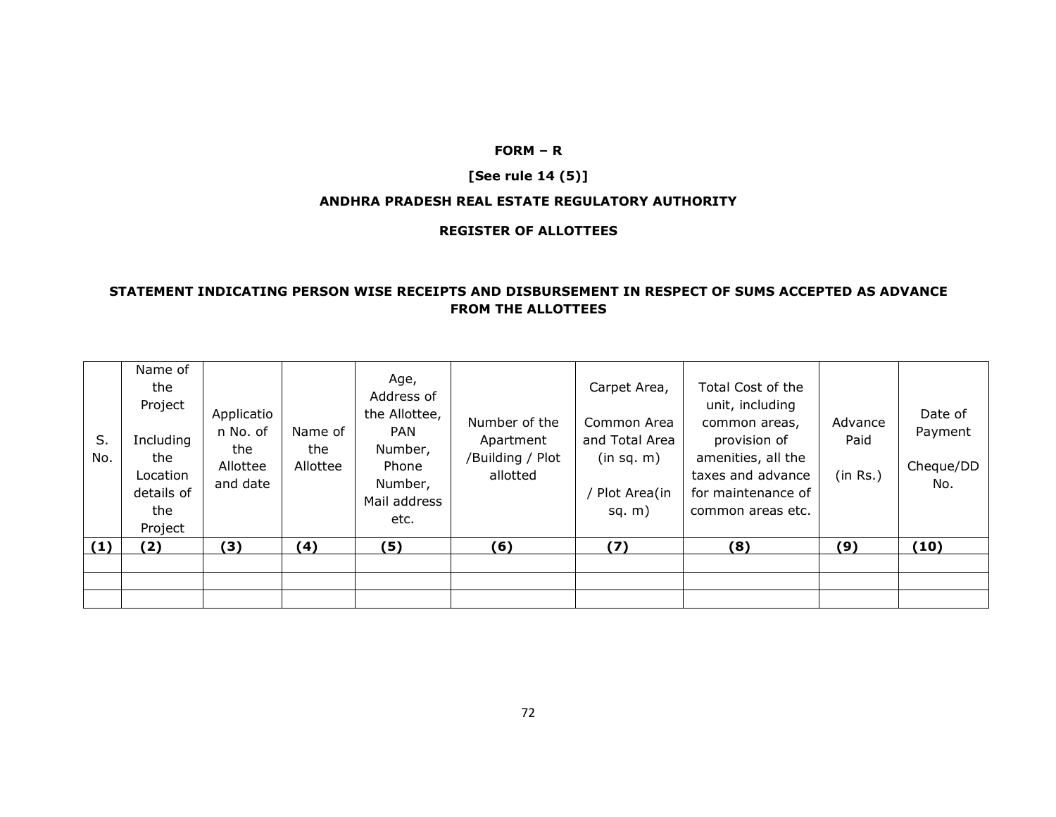### **FORM – R**

# **[See rule 14 (5)]**

#### **ANDHRA PRADESH REAL ESTATE REGULATORY AUTHORITY**

### **REGISTER OF ALLOTTEES**

## **STATEMENT INDICATING PERSON WISE RECEIPTS AND DISBURSEMENT IN RESPECT OF SUMS ACCEPTED AS ADVANCE FROM THE ALLOTTEES**

| S.<br>No. | Name of<br>the<br>Project<br>Including<br>the<br>Location<br>details of<br>the<br>Project | Applicatio<br>n No. of<br>the<br>Allottee<br>and date | Name of<br>the<br>Allottee | Age,<br>Address of<br>the Allottee,<br><b>PAN</b><br>Number,<br>Phone<br>Number,<br>Mail address<br>etc. | Number of the<br>Apartment<br>/Building / Plot<br>allotted | Carpet Area,<br>Common Area<br>and Total Area<br>(in sq. m)<br>Plot Area(in<br>sq. $m)$ | Total Cost of the<br>unit, including<br>common areas,<br>provision of<br>amenities, all the<br>taxes and advance<br>for maintenance of<br>common areas etc. | Advance<br>Paid<br>(in Rs.) | Date of<br>Payment<br>Cheque/DD<br>No. |
|-----------|-------------------------------------------------------------------------------------------|-------------------------------------------------------|----------------------------|----------------------------------------------------------------------------------------------------------|------------------------------------------------------------|-----------------------------------------------------------------------------------------|-------------------------------------------------------------------------------------------------------------------------------------------------------------|-----------------------------|----------------------------------------|
| (1)       | (2)                                                                                       | (3)                                                   | (4)                        | (5)                                                                                                      | (6)                                                        | (7)                                                                                     | (8)                                                                                                                                                         | (9)                         | (10)                                   |
|           |                                                                                           |                                                       |                            |                                                                                                          |                                                            |                                                                                         |                                                                                                                                                             |                             |                                        |
|           |                                                                                           |                                                       |                            |                                                                                                          |                                                            |                                                                                         |                                                                                                                                                             |                             |                                        |
|           |                                                                                           |                                                       |                            |                                                                                                          |                                                            |                                                                                         |                                                                                                                                                             |                             |                                        |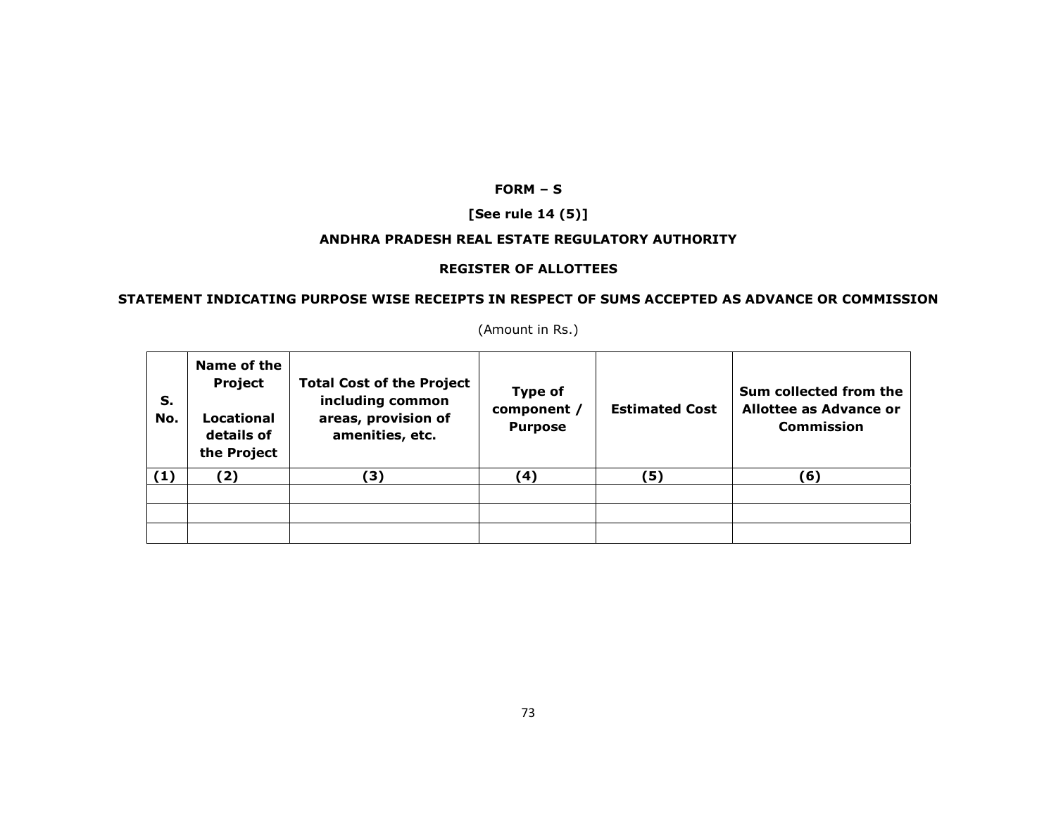## **FORM – S**

# **[See rule 14 (5)]**

### **ANDHRA PRADESH REAL ESTATE REGULATORY AUTHORITY**

### **REGISTER OF ALLOTTEES**

# **STATEMENT INDICATING PURPOSE WISE RECEIPTS IN RESPECT OF SUMS ACCEPTED AS ADVANCE OR COMMISSION**

| S.<br>No. | Name of the<br>Project<br>Locational<br>details of<br>the Project | <b>Total Cost of the Project</b><br>including common<br>areas, provision of<br>amenities, etc. | <b>Type of</b><br>component /<br><b>Purpose</b> | <b>Estimated Cost</b> | Sum collected from the<br><b>Allottee as Advance or</b><br><b>Commission</b> |
|-----------|-------------------------------------------------------------------|------------------------------------------------------------------------------------------------|-------------------------------------------------|-----------------------|------------------------------------------------------------------------------|
| (1)       | (2)                                                               | 3)                                                                                             | (4)                                             | (5)                   | (6)                                                                          |
|           |                                                                   |                                                                                                |                                                 |                       |                                                                              |
|           |                                                                   |                                                                                                |                                                 |                       |                                                                              |
|           |                                                                   |                                                                                                |                                                 |                       |                                                                              |

(Amount in Rs.)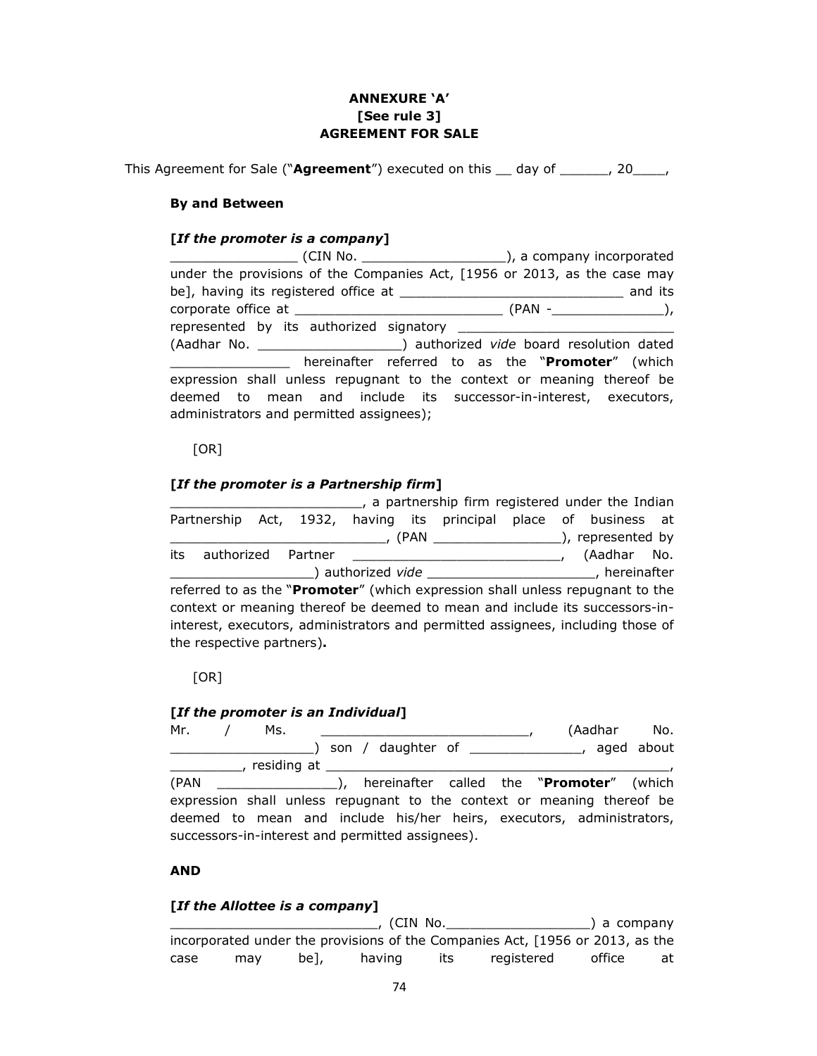# **ANNEXURE 'A' [See rule 3] AGREEMENT FOR SALE**

This Agreement for Sale ("**Agreement**") executed on this \_\_ day of \_\_\_\_\_\_, 20\_\_\_\_,

## **By and Between**

### **[***If the promoter is a company***]**

\_\_\_\_\_\_\_\_\_\_\_\_\_\_\_\_ (CIN No. \_\_\_\_\_\_\_\_\_\_\_\_\_\_\_\_\_\_), a company incorporated under the provisions of the Companies Act, [1956 or 2013, as the case may be], having its registered office at \_\_\_\_\_\_\_\_\_\_\_\_\_\_\_\_\_\_\_\_\_\_\_\_\_\_\_\_ and its corporate office at  $( PAN - )$ , represented by its authorized signatory (Aadhar No. \_\_\_\_\_\_\_\_\_\_\_\_\_\_\_\_\_\_) authorized *vide* board resolution dated **Example 2** hereinafter referred to as the "**Promoter**" (which expression shall unless repugnant to the context or meaning thereof be deemed to mean and include its successor-in-interest, executors, administrators and permitted assignees);

#### $[OR]$

## **[***If the promoter is a Partnership firm***]**

|                                                                                 |  |  |  |  | a partnership firm registered under the Indian                                                                                                                                                                                 |  |             |  |
|---------------------------------------------------------------------------------|--|--|--|--|--------------------------------------------------------------------------------------------------------------------------------------------------------------------------------------------------------------------------------|--|-------------|--|
| Partnership Act, 1932, having its principal place of business at                |  |  |  |  |                                                                                                                                                                                                                                |  |             |  |
|                                                                                 |  |  |  |  |                                                                                                                                                                                                                                |  |             |  |
| its<br>authorized Partner                                                       |  |  |  |  |                                                                                                                                                                                                                                |  | (Aadhar No. |  |
|                                                                                 |  |  |  |  | Lackson and Divide and Divide Archives and Divideo and Divideo Archives and Divideo Archives and Divideo Archives and Divideo Archives and Divideo Archives and Divideo Archives and Divideo Archives and Divideo Archives and |  |             |  |
| referred to as the "Promoter" (which expression shall unless repugnant to the   |  |  |  |  |                                                                                                                                                                                                                                |  |             |  |
| context or meaning thereof be deemed to mean and include its successors-in-     |  |  |  |  |                                                                                                                                                                                                                                |  |             |  |
| interest, executors, administrators and permitted assignees, including those of |  |  |  |  |                                                                                                                                                                                                                                |  |             |  |
| the respective partners).                                                       |  |  |  |  |                                                                                                                                                                                                                                |  |             |  |

#### $[OR]$

#### **[***If the promoter is an Individual***]**

Mr. / Ms. \_\_\_\_\_\_\_\_\_\_\_\_\_\_\_\_\_\_\_\_\_\_\_\_\_\_, (Aadhar No. \_\_\_\_\_\_\_\_\_\_\_\_\_\_\_\_\_\_) son / daughter of \_\_\_\_\_\_\_\_\_\_\_\_\_\_, aged about \_\_\_\_\_\_\_\_\_, residing at \_\_\_\_\_\_\_\_\_\_\_\_\_\_\_\_\_\_\_\_\_\_\_\_\_\_\_\_\_\_\_\_\_\_\_\_\_\_\_\_\_\_\_, (PAN \_\_\_\_\_\_\_\_\_\_\_\_\_\_\_), hereinafter called the "**Promoter**" (which expression shall unless repugnant to the context or meaning thereof be deemed to mean and include his/her heirs, executors, administrators, successors-in-interest and permitted assignees).

### **AND**

### **[***If the Allottee is a company***]**

\_\_\_\_\_\_\_\_\_\_\_\_\_\_\_\_\_\_\_\_\_\_\_\_\_\_, (CIN No.\_\_\_\_\_\_\_\_\_\_\_\_\_\_\_\_\_\_) a company incorporated under the provisions of the Companies Act, [1956 or 2013, as the case may be], having its registered office at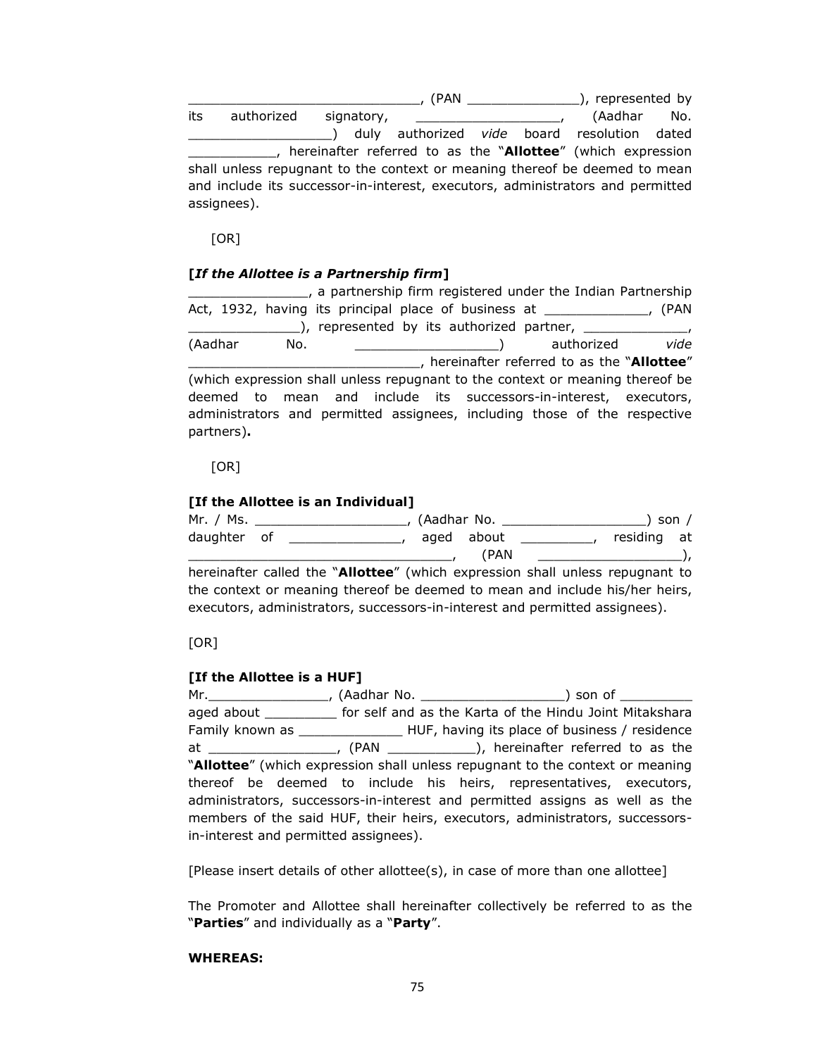\_\_\_\_\_\_\_\_\_\_\_\_\_\_\_\_\_\_\_\_\_\_\_\_\_\_\_\_\_, (PAN \_\_\_\_\_\_\_\_\_\_\_\_\_\_), represented by its authorized signatory, \_\_\_\_\_\_\_\_\_\_\_\_\_\_\_\_\_\_, (Aadhar No. \_\_\_\_\_\_\_\_\_\_\_\_\_\_\_\_\_\_) duly authorized *vide* board resolution dated \_\_\_\_\_\_\_\_\_\_\_, hereinafter referred to as the "**Allottee**" (which expression shall unless repugnant to the context or meaning thereof be deemed to mean and include its successor-in-interest, executors, administrators and permitted assignees).

 $[OR]$ 

# **[***If the Allottee is a Partnership firm***]**

\_\_\_\_\_\_\_\_\_\_\_\_\_\_\_, a partnership firm registered under the Indian Partnership Act, 1932, having its principal place of business at  $( PAN )$  $\frac{1}{\sqrt{2}}$ , represented by its authorized partner,  $\frac{1}{\sqrt{2}}$ (Aadhar No. \_\_\_\_\_\_\_\_\_\_\_\_\_\_\_\_\_\_) authorized *vide*  \_\_\_\_\_\_\_\_\_\_\_\_\_\_\_\_\_\_\_\_\_\_\_\_\_\_\_\_\_, hereinafter referred to as the "**Allottee**" (which expression shall unless repugnant to the context or meaning thereof be deemed to mean and include its successors-in-interest, executors, administrators and permitted assignees, including those of the respective partners)**.** 

 $[OR]$ 

## **[If the Allottee is an Individual]**

Mr. / Ms. \_\_\_\_\_\_\_\_\_\_\_\_\_\_\_\_\_\_\_, (Aadhar No. \_\_\_\_\_\_\_\_\_\_\_\_\_\_\_\_\_\_) son / daughter of \_\_\_\_\_\_\_\_\_\_\_\_\_\_\_, aged about \_\_\_\_\_\_\_\_\_\_, residing at \_\_\_\_\_\_\_\_\_\_\_\_\_\_\_\_\_\_\_\_\_\_\_\_\_\_\_\_\_\_\_\_\_, (PAN \_\_\_\_\_\_\_\_\_\_\_\_\_\_\_\_\_\_),

hereinafter called the "**Allottee**" (which expression shall unless repugnant to the context or meaning thereof be deemed to mean and include his/her heirs, executors, administrators, successors-in-interest and permitted assignees).

# $[OR]$

## **[If the Allottee is a HUF]**

Mr.\_\_\_\_\_\_\_\_\_\_\_\_\_\_\_, (Aadhar No. \_\_\_\_\_\_\_\_\_\_\_\_\_\_\_\_\_\_) son of \_\_\_\_\_\_\_\_\_ aged about **the self and as the Karta of the Hindu Joint Mitakshara** Family known as \_\_\_\_\_\_\_\_\_\_\_\_\_\_\_\_\_\_\_ HUF, having its place of business / residence at \_\_\_\_\_\_\_\_\_\_\_\_\_\_\_\_\_\_, (PAN \_\_\_\_\_\_\_\_\_\_\_\_\_), hereinafter referred to as the "**Allottee**" (which expression shall unless repugnant to the context or meaning thereof be deemed to include his heirs, representatives, executors, administrators, successors-in-interest and permitted assigns as well as the members of the said HUF, their heirs, executors, administrators, successorsin-interest and permitted assignees).

[Please insert details of other allottee(s), in case of more than one allottee]

The Promoter and Allottee shall hereinafter collectively be referred to as the "**Parties**" and individually as a "**Party**".

## **WHEREAS:**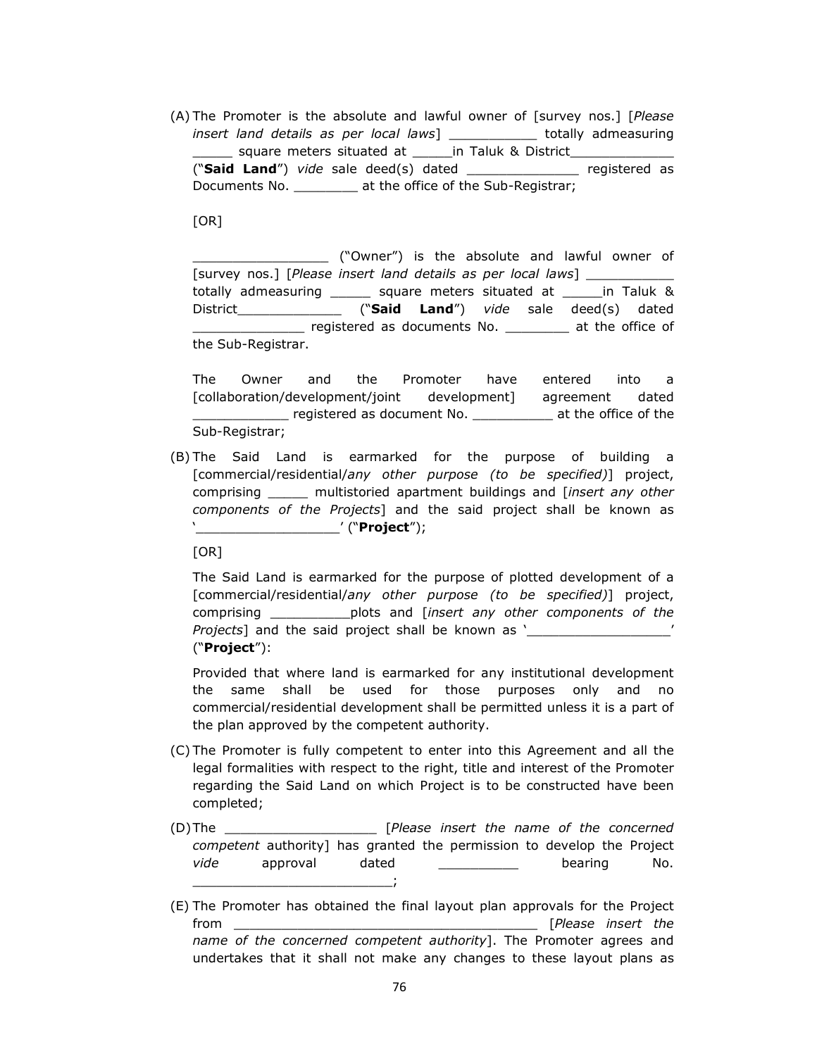(A) The Promoter is the absolute and lawful owner of [survey nos.] [*Please insert land details as per local laws*] \_\_\_\_\_\_\_\_\_\_\_ totally admeasuring \_\_\_\_\_\_\_ square meters situated at \_\_\_\_\_\_in Taluk & District ("**Said Land**") *vide* sale deed(s) dated \_\_\_\_\_\_\_\_\_\_\_\_\_\_ registered as Documents No. \_\_\_\_\_\_\_\_ at the office of the Sub-Registrar;

 $[OR]$ 

\_\_\_\_\_\_\_\_\_\_\_\_\_\_\_\_\_ ("Owner") is the absolute and lawful owner of [survey nos.] [*Please insert land details as per local laws*] \_\_\_\_\_\_\_\_\_\_\_ totally admeasuring \_\_\_\_\_ square meters situated at \_\_\_\_\_in Taluk & District\_\_\_\_\_\_\_\_\_\_\_\_\_ ("**Said Land**") *vide* sale deed(s) dated \_\_\_\_\_\_\_\_\_\_\_\_\_\_ registered as documents No. \_\_\_\_\_\_\_\_ at the office of the Sub-Registrar.

The Owner and the Promoter have entered into a [collaboration/development/joint development] agreement dated **EXECUTE:** registered as document No. \_\_\_\_\_\_\_\_\_\_\_\_\_ at the office of the Sub-Registrar;

(B) The Said Land is earmarked for the purpose of building a [commercial/residential/*any other purpose (to be specified)*] project, comprising \_\_\_\_\_ multistoried apartment buildings and [*insert any other components of the Projects*] and the said project shall be known as '\_\_\_\_\_\_\_\_\_\_\_\_\_\_\_\_\_\_' ("**Project**");

[OR]

The Said Land is earmarked for the purpose of plotted development of a [commercial/residential/*any other purpose (to be specified)*] project, comprising \_\_\_\_\_\_\_\_\_\_plots and [*insert any other components of the Projects*] and the said project shall be known as '\_\_\_\_\_\_\_\_\_\_\_\_\_\_\_\_\_\_' ("**Project**"):

Provided that where land is earmarked for any institutional development the same shall be used for those purposes only and no commercial/residential development shall be permitted unless it is a part of the plan approved by the competent authority.

- (C) The Promoter is fully competent to enter into this Agreement and all the legal formalities with respect to the right, title and interest of the Promoter regarding the Said Land on which Project is to be constructed have been completed;
- (D)The \_\_\_\_\_\_\_\_\_\_\_\_\_\_\_\_\_\_\_ [*Please insert the name of the concerned competent* authority] has granted the permission to develop the Project vide approval dated <u>contained</u> bearing No.  $\frac{1}{\sqrt{2}}$
- (E) The Promoter has obtained the final layout plan approvals for the Project from \_\_\_\_\_\_\_\_\_\_\_\_\_\_\_\_\_\_\_\_\_\_\_\_\_\_\_\_\_\_\_\_\_\_\_\_\_\_ [*Please insert the name of the concerned competent authority*]. The Promoter agrees and undertakes that it shall not make any changes to these layout plans as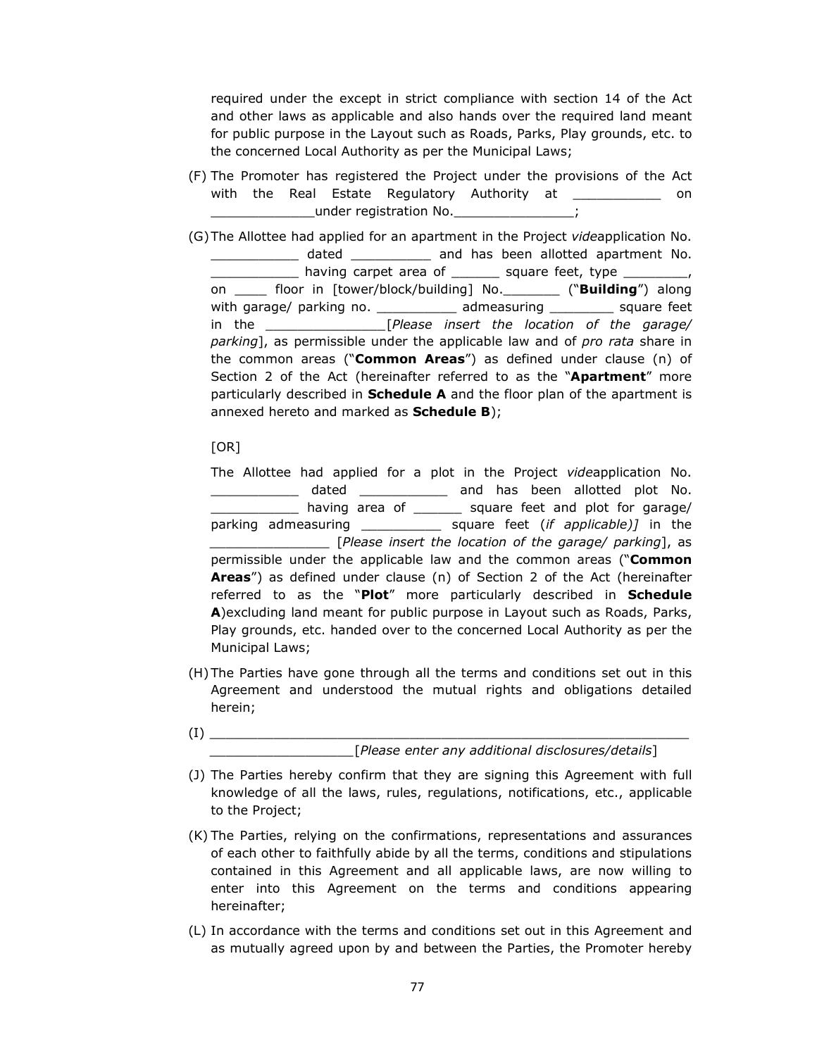required under the except in strict compliance with section 14 of the Act and other laws as applicable and also hands over the required land meant for public purpose in the Layout such as Roads, Parks, Play grounds, etc. to the concerned Local Authority as per the Municipal Laws;

- (F) The Promoter has registered the Project under the provisions of the Act with the Real Estate Regulatory Authority at The Real on under registration No.
- (G)The Allottee had applied for an apartment in the Project *vide*application No. dated \_\_\_\_\_\_\_\_\_\_\_\_ and has been allotted apartment No.  $\frac{1}{2}$  having carpet area of  $\frac{1}{2}$  square feet, type  $\frac{1}{2}$ on \_\_\_\_ floor in [tower/block/building] No.\_\_\_\_\_\_\_ ("**Building**") along with garage/ parking no. \_\_\_\_\_\_\_\_\_\_\_\_ admeasuring \_\_\_\_\_\_\_\_\_ square feet in the *\_\_\_\_\_\_\_\_\_\_\_\_\_\_\_*[*Please insert the location of the garage/ parking*], as permissible under the applicable law and of *pro rata* share in the common areas ("**Common Areas**") as defined under clause (n) of Section 2 of the Act (hereinafter referred to as the "**Apartment**" more particularly described in **Schedule A** and the floor plan of the apartment is annexed hereto and marked as **Schedule B**);

 $[OR]$ 

The Allottee had applied for a plot in the Project *vide*application No. \_\_\_\_\_\_\_\_\_\_\_\_\_\_\_ dated \_\_\_\_\_\_\_\_\_\_\_\_\_ and has been allotted plot No. \_\_\_\_\_\_\_\_\_\_\_ having area of \_\_\_\_\_\_ square feet and plot for garage/ parking admeasuring \_\_\_\_\_\_\_\_\_\_ square feet (*if applicable)]* in the *\_\_\_\_\_\_\_\_\_\_\_\_\_\_\_* [*Please insert the location of the garage/ parking*], as permissible under the applicable law and the common areas ("**Common Areas**") as defined under clause (n) of Section 2 of the Act (hereinafter referred to as the "**Plot**" more particularly described in **Schedule A**)excluding land meant for public purpose in Layout such as Roads, Parks, Play grounds, etc. handed over to the concerned Local Authority as per the Municipal Laws;

- (H)The Parties have gone through all the terms and conditions set out in this Agreement and understood the mutual rights and obligations detailed herein;
- $(1)$   $\qquad \qquad$ *\_\_\_\_\_\_\_\_\_\_\_\_\_\_\_\_\_\_*[*Please enter any additional disclosures/details*]

(J) The Parties hereby confirm that they are signing this Agreement with full knowledge of all the laws, rules, regulations, notifications, etc., applicable to the Project;

- (K) The Parties, relying on the confirmations, representations and assurances of each other to faithfully abide by all the terms, conditions and stipulations contained in this Agreement and all applicable laws, are now willing to enter into this Agreement on the terms and conditions appearing hereinafter;
- (L) In accordance with the terms and conditions set out in this Agreement and as mutually agreed upon by and between the Parties, the Promoter hereby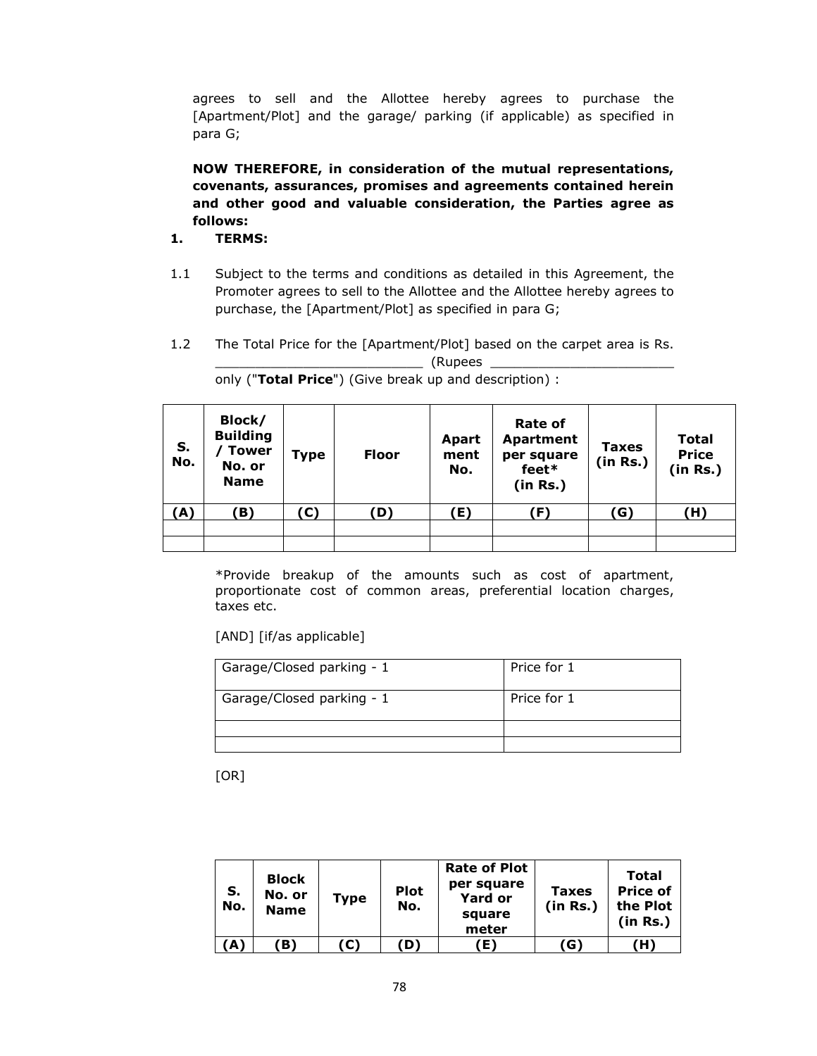agrees to sell and the Allottee hereby agrees to purchase the [Apartment/Plot] and the garage/ parking (if applicable) as specified in para G;

**NOW THEREFORE, in consideration of the mutual representations, covenants, assurances, promises and agreements contained herein and other good and valuable consideration, the Parties agree as follows:** 

# **1. TERMS:**

- 1.1 Subject to the terms and conditions as detailed in this Agreement, the Promoter agrees to sell to the Allottee and the Allottee hereby agrees to purchase, the [Apartment/Plot] as specified in para G;
- 1.2 The Total Price for the [Apartment/Plot] based on the carpet area is Rs. \_\_\_\_\_\_\_\_\_\_\_\_\_\_\_\_\_\_\_\_\_\_\_\_\_\_ (Rupees \_\_\_\_\_\_\_\_\_\_\_\_\_\_\_\_\_\_\_\_\_\_\_

| S.<br>No. | Block/<br><b>Building</b><br><b>Tower</b><br>No. or<br><b>Name</b> | <b>Type</b> | <b>Floor</b> | <b>Apart</b><br>ment<br>No. | Rate of<br><b>Apartment</b><br>per square<br>feet*<br>(in Rs.) | <b>Taxes</b><br>(in Rs.) | <b>Total</b><br><b>Price</b><br>(in Rs.) |
|-----------|--------------------------------------------------------------------|-------------|--------------|-----------------------------|----------------------------------------------------------------|--------------------------|------------------------------------------|
| (A)       | B)                                                                 | (C)         | D)           | E)                          | (F)                                                            | (G)                      | (H)                                      |
|           |                                                                    |             |              |                             |                                                                |                          |                                          |

only ("**Total Price**") (Give break up and description) :

\*Provide breakup of the amounts such as cost of apartment, proportionate cost of common areas, preferential location charges, taxes etc.

[AND] [if/as applicable]

| Garage/Closed parking - 1 | Price for 1 |
|---------------------------|-------------|
| Garage/Closed parking - 1 | Price for 1 |
|                           |             |
|                           |             |

[OR]

| S.<br>No.       | <b>Block</b><br>No. or<br><b>Name</b> | <b>Type</b> | <b>Plot</b><br>No. | <b>Rate of Plot</b><br>per square<br><b>Yard or</b><br>square<br>meter | <b>Taxes</b><br>(in Rs.) | Total<br><b>Price of</b><br>the Plot<br>(in Rs.) |
|-----------------|---------------------------------------|-------------|--------------------|------------------------------------------------------------------------|--------------------------|--------------------------------------------------|
| $(A^{\dagger})$ | B)                                    | (C)         | D)                 | Ð                                                                      | (G)                      | (H)                                              |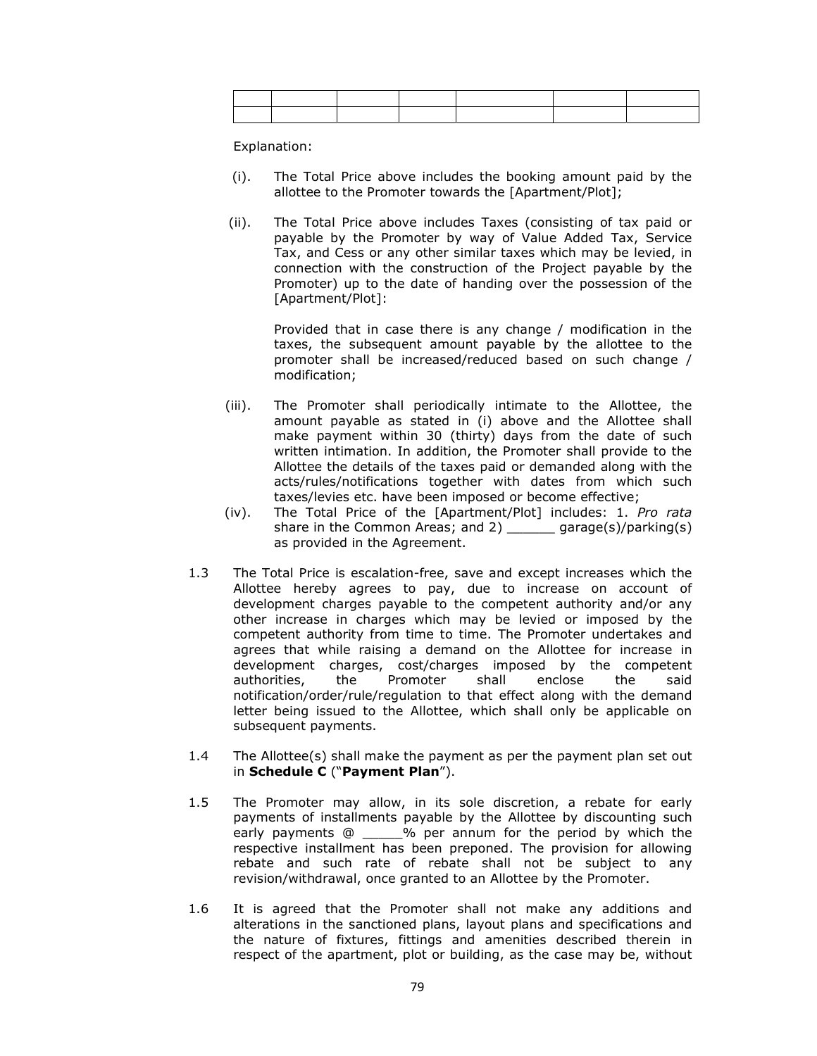Explanation:

- (i). The Total Price above includes the booking amount paid by the allottee to the Promoter towards the [Apartment/Plot];
- (ii). The Total Price above includes Taxes (consisting of tax paid or payable by the Promoter by way of Value Added Tax, Service Tax, and Cess or any other similar taxes which may be levied, in connection with the construction of the Project payable by the Promoter) up to the date of handing over the possession of the [Apartment/Plot]:

Provided that in case there is any change / modification in the taxes, the subsequent amount payable by the allottee to the promoter shall be increased/reduced based on such change / modification;

- (iii). The Promoter shall periodically intimate to the Allottee, the amount payable as stated in (i) above and the Allottee shall make payment within 30 (thirty) days from the date of such written intimation. In addition, the Promoter shall provide to the Allottee the details of the taxes paid or demanded along with the acts/rules/notifications together with dates from which such taxes/levies etc. have been imposed or become effective;
- (iv). The Total Price of the [Apartment/Plot] includes: 1. *Pro rata* share in the Common Areas; and 2) \_\_\_\_\_\_ garage(s)/parking(s) as provided in the Agreement.
- 1.3 The Total Price is escalation-free, save and except increases which the Allottee hereby agrees to pay, due to increase on account of development charges payable to the competent authority and/or any other increase in charges which may be levied or imposed by the competent authority from time to time. The Promoter undertakes and agrees that while raising a demand on the Allottee for increase in development charges, cost/charges imposed by the competent authorities, the Promoter shall enclose the said notification/order/rule/regulation to that effect along with the demand letter being issued to the Allottee, which shall only be applicable on subsequent payments.
- 1.4 The Allottee(s) shall make the payment as per the payment plan set out in **Schedule C** ("**Payment Plan**").
- 1.5 The Promoter may allow, in its sole discretion, a rebate for early payments of installments payable by the Allottee by discounting such early payments @ \_\_\_\_\_% per annum for the period by which the respective installment has been preponed. The provision for allowing rebate and such rate of rebate shall not be subject to any revision/withdrawal, once granted to an Allottee by the Promoter.
- 1.6 It is agreed that the Promoter shall not make any additions and alterations in the sanctioned plans, layout plans and specifications and the nature of fixtures, fittings and amenities described therein in respect of the apartment, plot or building, as the case may be, without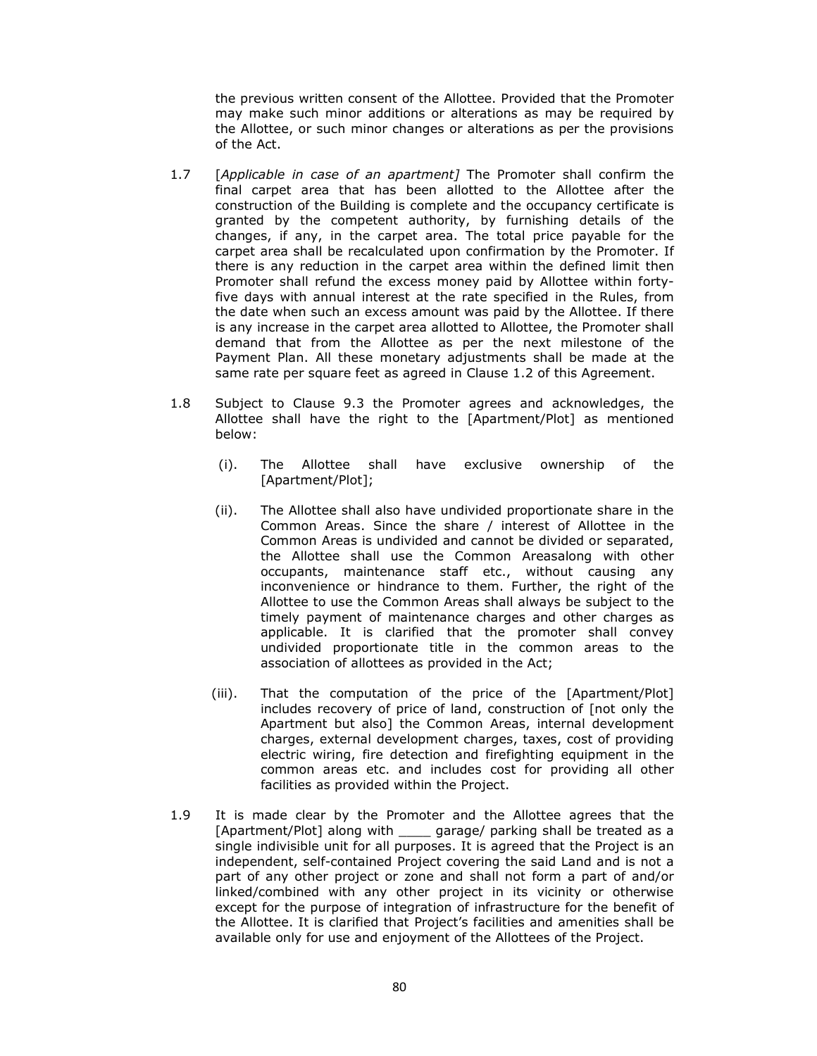the previous written consent of the Allottee. Provided that the Promoter may make such minor additions or alterations as may be required by the Allottee, or such minor changes or alterations as per the provisions of the Act.

- 1.7 [*Applicable in case of an apartment]* The Promoter shall confirm the final carpet area that has been allotted to the Allottee after the construction of the Building is complete and the occupancy certificate is granted by the competent authority, by furnishing details of the changes, if any, in the carpet area. The total price payable for the carpet area shall be recalculated upon confirmation by the Promoter. If there is any reduction in the carpet area within the defined limit then Promoter shall refund the excess money paid by Allottee within fortyfive days with annual interest at the rate specified in the Rules, from the date when such an excess amount was paid by the Allottee. If there is any increase in the carpet area allotted to Allottee, the Promoter shall demand that from the Allottee as per the next milestone of the Payment Plan. All these monetary adjustments shall be made at the same rate per square feet as agreed in Clause 1.2 of this Agreement.
- 1.8 Subject to Clause 9.3 the Promoter agrees and acknowledges, the Allottee shall have the right to the [Apartment/Plot] as mentioned below:
	- (i). The Allottee shall have exclusive ownership of the [Apartment/Plot];
	- (ii). The Allottee shall also have undivided proportionate share in the Common Areas. Since the share / interest of Allottee in the Common Areas is undivided and cannot be divided or separated, the Allottee shall use the Common Areasalong with other occupants, maintenance staff etc., without causing any inconvenience or hindrance to them. Further, the right of the Allottee to use the Common Areas shall always be subject to the timely payment of maintenance charges and other charges as applicable. It is clarified that the promoter shall convey undivided proportionate title in the common areas to the association of allottees as provided in the Act;
	- (iii). That the computation of the price of the [Apartment/Plot] includes recovery of price of land, construction of [not only the Apartment but also] the Common Areas, internal development charges, external development charges, taxes, cost of providing electric wiring, fire detection and firefighting equipment in the common areas etc. and includes cost for providing all other facilities as provided within the Project.
- 1.9 It is made clear by the Promoter and the Allottee agrees that the [Apartment/Plot] along with \_\_\_\_ garage/ parking shall be treated as a single indivisible unit for all purposes. It is agreed that the Project is an independent, self-contained Project covering the said Land and is not a part of any other project or zone and shall not form a part of and/or linked/combined with any other project in its vicinity or otherwise except for the purpose of integration of infrastructure for the benefit of the Allottee. It is clarified that Project's facilities and amenities shall be available only for use and enjoyment of the Allottees of the Project.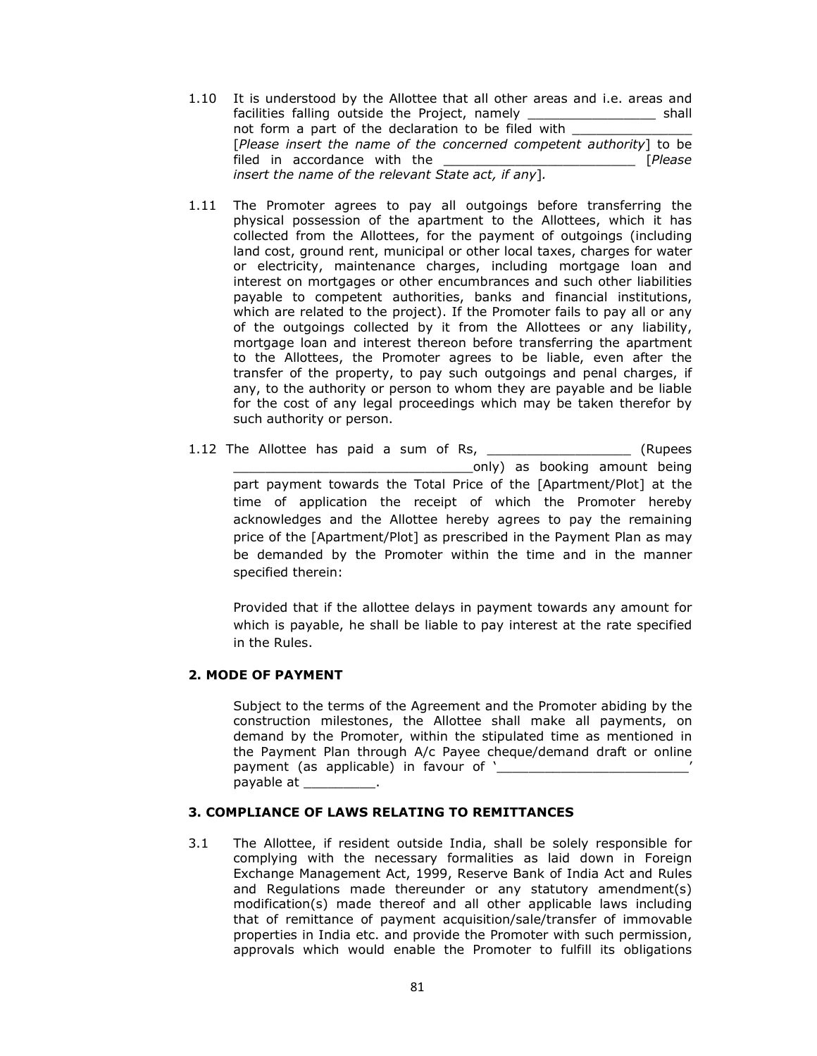- 1.10 It is understood by the Allottee that all other areas and i.e. areas and facilities falling outside the Project, namely \_\_\_\_\_\_\_\_\_\_\_\_\_\_\_\_\_\_\_\_\_ shall not form a part of the declaration to be filed with \_\_\_\_\_\_\_\_\_\_\_\_\_\_\_\_\_\_\_\_\_\_\_\_\_\_\_\_\_ [*Please insert the name of the concerned competent authority*] to be filed in accordance with the \_\_\_\_\_\_\_\_\_\_\_\_\_\_\_\_\_\_\_\_\_\_\_\_ [*Please insert the name of the relevant State act, if any*]*.*
- 1.11 The Promoter agrees to pay all outgoings before transferring the physical possession of the apartment to the Allottees, which it has collected from the Allottees, for the payment of outgoings (including land cost, ground rent, municipal or other local taxes, charges for water or electricity, maintenance charges, including mortgage loan and interest on mortgages or other encumbrances and such other liabilities payable to competent authorities, banks and financial institutions, which are related to the project). If the Promoter fails to pay all or any of the outgoings collected by it from the Allottees or any liability, mortgage loan and interest thereon before transferring the apartment to the Allottees, the Promoter agrees to be liable, even after the transfer of the property, to pay such outgoings and penal charges, if any, to the authority or person to whom they are payable and be liable for the cost of any legal proceedings which may be taken therefor by such authority or person.
- 1.12 The Allottee has paid a sum of Rs, and the sum (Rupees \_\_\_\_\_\_\_\_\_\_\_\_\_\_\_\_\_\_\_\_\_\_\_\_\_\_\_\_\_\_only) as booking amount being part payment towards the Total Price of the [Apartment/Plot] at the time of application the receipt of which the Promoter hereby acknowledges and the Allottee hereby agrees to pay the remaining price of the [Apartment/Plot] as prescribed in the Payment Plan as may be demanded by the Promoter within the time and in the manner specified therein:

Provided that if the allottee delays in payment towards any amount for which is payable, he shall be liable to pay interest at the rate specified in the Rules.

## **2. MODE OF PAYMENT**

Subject to the terms of the Agreement and the Promoter abiding by the construction milestones, the Allottee shall make all payments, on demand by the Promoter, within the stipulated time as mentioned in the Payment Plan through A/c Payee cheque/demand draft or online payment (as applicable) in favour of '\_\_\_\_\_\_\_\_\_\_\_\_\_\_\_\_\_\_\_\_\_\_\_\_\_\_\_\_\_\_\_' payable at \_\_\_\_\_\_\_

## **3. COMPLIANCE OF LAWS RELATING TO REMITTANCES**

3.1 The Allottee, if resident outside India, shall be solely responsible for complying with the necessary formalities as laid down in Foreign Exchange Management Act, 1999, Reserve Bank of India Act and Rules and Regulations made thereunder or any statutory amendment(s) modification(s) made thereof and all other applicable laws including that of remittance of payment acquisition/sale/transfer of immovable properties in India etc. and provide the Promoter with such permission, approvals which would enable the Promoter to fulfill its obligations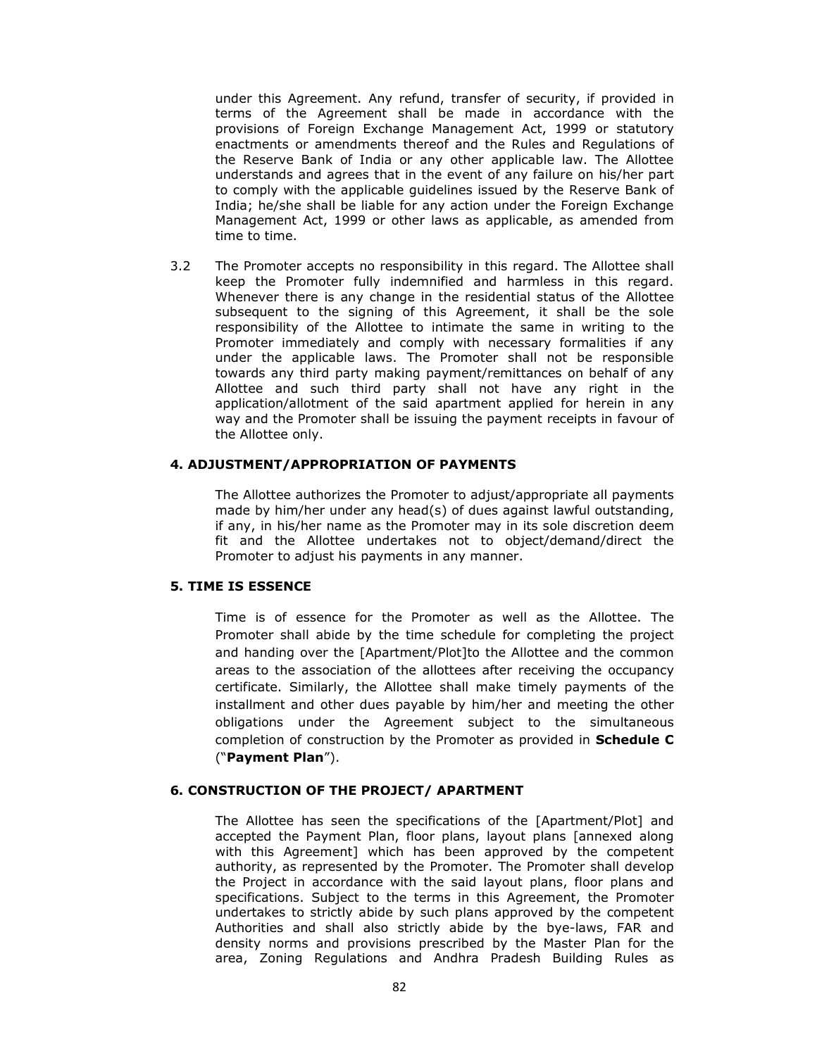under this Agreement. Any refund, transfer of security, if provided in terms of the Agreement shall be made in accordance with the provisions of Foreign Exchange Management Act, 1999 or statutory enactments or amendments thereof and the Rules and Regulations of the Reserve Bank of India or any other applicable law. The Allottee understands and agrees that in the event of any failure on his/her part to comply with the applicable guidelines issued by the Reserve Bank of India; he/she shall be liable for any action under the Foreign Exchange Management Act, 1999 or other laws as applicable, as amended from time to time.

3.2 The Promoter accepts no responsibility in this regard. The Allottee shall keep the Promoter fully indemnified and harmless in this regard. Whenever there is any change in the residential status of the Allottee subsequent to the signing of this Agreement, it shall be the sole responsibility of the Allottee to intimate the same in writing to the Promoter immediately and comply with necessary formalities if any under the applicable laws. The Promoter shall not be responsible towards any third party making payment/remittances on behalf of any Allottee and such third party shall not have any right in the application/allotment of the said apartment applied for herein in any way and the Promoter shall be issuing the payment receipts in favour of the Allottee only.

#### **4. ADJUSTMENT/APPROPRIATION OF PAYMENTS**

The Allottee authorizes the Promoter to adjust/appropriate all payments made by him/her under any head(s) of dues against lawful outstanding, if any, in his/her name as the Promoter may in its sole discretion deem fit and the Allottee undertakes not to object/demand/direct the Promoter to adjust his payments in any manner.

## **5. TIME IS ESSENCE**

Time is of essence for the Promoter as well as the Allottee. The Promoter shall abide by the time schedule for completing the project and handing over the [Apartment/Plot]to the Allottee and the common areas to the association of the allottees after receiving the occupancy certificate. Similarly, the Allottee shall make timely payments of the installment and other dues payable by him/her and meeting the other obligations under the Agreement subject to the simultaneous completion of construction by the Promoter as provided in **Schedule C**  ("**Payment Plan**").

#### **6. CONSTRUCTION OF THE PROJECT/ APARTMENT**

The Allottee has seen the specifications of the [Apartment/Plot] and accepted the Payment Plan, floor plans, layout plans [annexed along with this Agreement] which has been approved by the competent authority, as represented by the Promoter. The Promoter shall develop the Project in accordance with the said layout plans, floor plans and specifications. Subject to the terms in this Agreement, the Promoter undertakes to strictly abide by such plans approved by the competent Authorities and shall also strictly abide by the bye-laws, FAR and density norms and provisions prescribed by the Master Plan for the area, Zoning Regulations and Andhra Pradesh Building Rules as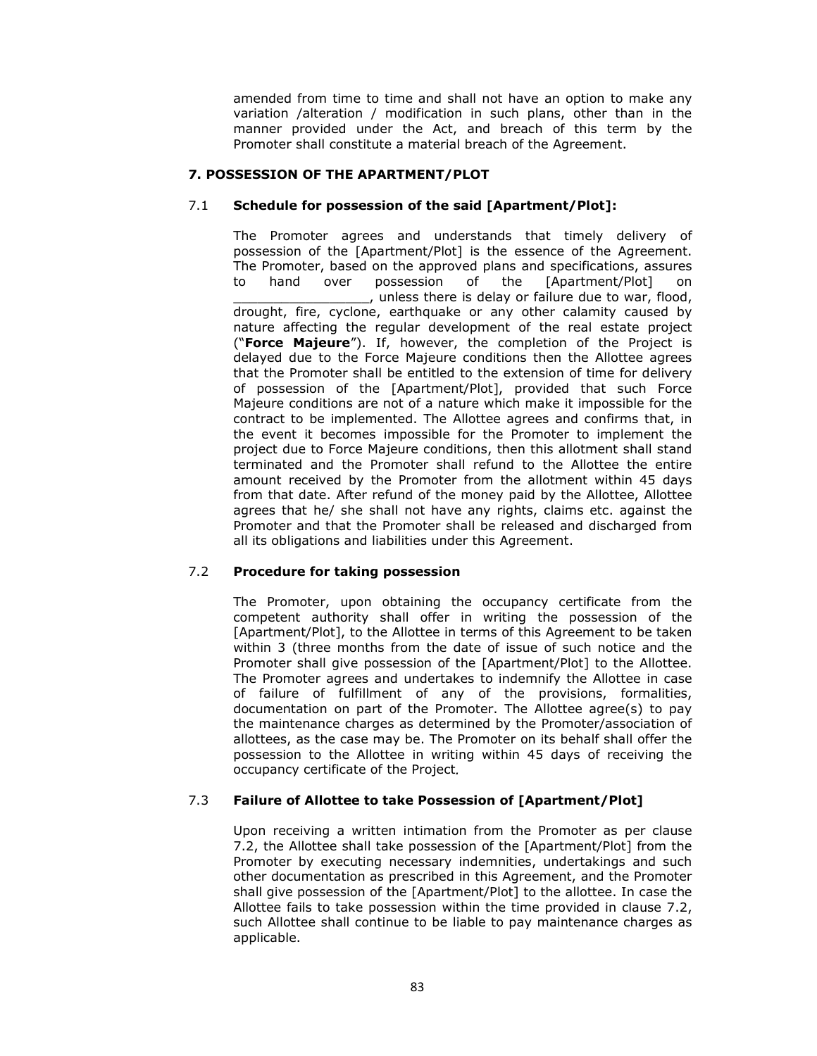amended from time to time and shall not have an option to make any variation /alteration / modification in such plans, other than in the manner provided under the Act, and breach of this term by the Promoter shall constitute a material breach of the Agreement.

## **7. POSSESSION OF THE APARTMENT/PLOT**

## 7.1 **Schedule for possession of the said [Apartment/Plot]:**

The Promoter agrees and understands that timely delivery of possession of the [Apartment/Plot] is the essence of the Agreement. The Promoter, based on the approved plans and specifications, assures to hand over possession of the [Apartment/Plot] on \_\_\_\_\_\_\_\_\_\_\_\_\_\_\_\_\_, unless there is delay or failure due to war, flood, drought, fire, cyclone, earthquake or any other calamity caused by nature affecting the regular development of the real estate project ("**Force Majeure**"). If, however, the completion of the Project is delayed due to the Force Majeure conditions then the Allottee agrees that the Promoter shall be entitled to the extension of time for delivery of possession of the [Apartment/Plot], provided that such Force Majeure conditions are not of a nature which make it impossible for the contract to be implemented. The Allottee agrees and confirms that, in the event it becomes impossible for the Promoter to implement the project due to Force Majeure conditions, then this allotment shall stand terminated and the Promoter shall refund to the Allottee the entire amount received by the Promoter from the allotment within 45 days from that date. After refund of the money paid by the Allottee, Allottee agrees that he/ she shall not have any rights, claims etc. against the Promoter and that the Promoter shall be released and discharged from all its obligations and liabilities under this Agreement.

# 7.2 **Procedure for taking possession**

The Promoter, upon obtaining the occupancy certificate from the competent authority shall offer in writing the possession of the [Apartment/Plot], to the Allottee in terms of this Agreement to be taken within 3 (three months from the date of issue of such notice and the Promoter shall give possession of the [Apartment/Plot] to the Allottee. The Promoter agrees and undertakes to indemnify the Allottee in case of failure of fulfillment of any of the provisions, formalities, documentation on part of the Promoter. The Allottee agree(s) to pay the maintenance charges as determined by the Promoter/association of allottees, as the case may be. The Promoter on its behalf shall offer the possession to the Allottee in writing within 45 days of receiving the occupancy certificate of the Project*.* 

## 7.3 **Failure of Allottee to take Possession of [Apartment/Plot]**

Upon receiving a written intimation from the Promoter as per clause 7.2, the Allottee shall take possession of the [Apartment/Plot] from the Promoter by executing necessary indemnities, undertakings and such other documentation as prescribed in this Agreement, and the Promoter shall give possession of the [Apartment/Plot] to the allottee. In case the Allottee fails to take possession within the time provided in clause 7.2, such Allottee shall continue to be liable to pay maintenance charges as applicable.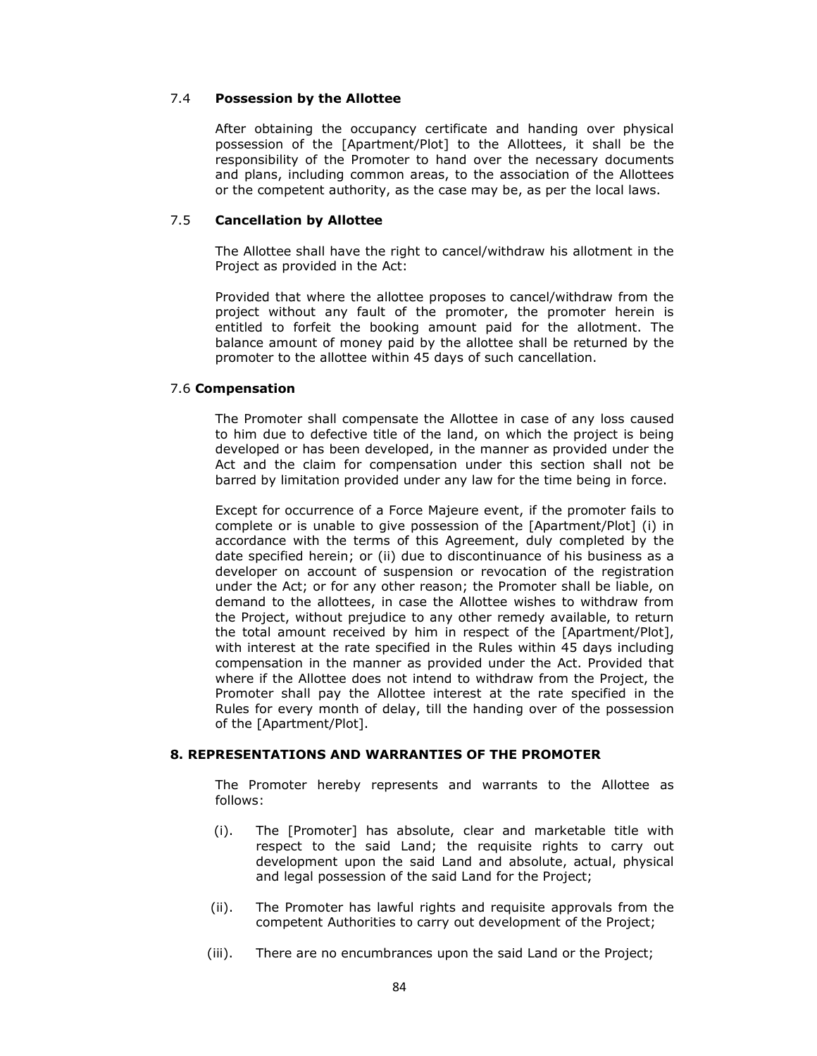## 7.4 **Possession by the Allottee**

After obtaining the occupancy certificate and handing over physical possession of the [Apartment/Plot] to the Allottees, it shall be the responsibility of the Promoter to hand over the necessary documents and plans, including common areas, to the association of the Allottees or the competent authority, as the case may be, as per the local laws.

## 7.5 **Cancellation by Allottee**

The Allottee shall have the right to cancel/withdraw his allotment in the Project as provided in the Act:

Provided that where the allottee proposes to cancel/withdraw from the project without any fault of the promoter, the promoter herein is entitled to forfeit the booking amount paid for the allotment. The balance amount of money paid by the allottee shall be returned by the promoter to the allottee within 45 days of such cancellation.

### 7.6 **Compensation**

The Promoter shall compensate the Allottee in case of any loss caused to him due to defective title of the land, on which the project is being developed or has been developed, in the manner as provided under the Act and the claim for compensation under this section shall not be barred by limitation provided under any law for the time being in force.

Except for occurrence of a Force Majeure event, if the promoter fails to complete or is unable to give possession of the [Apartment/Plot] (i) in accordance with the terms of this Agreement, duly completed by the date specified herein; or (ii) due to discontinuance of his business as a developer on account of suspension or revocation of the registration under the Act; or for any other reason; the Promoter shall be liable, on demand to the allottees, in case the Allottee wishes to withdraw from the Project, without prejudice to any other remedy available, to return the total amount received by him in respect of the [Apartment/Plot], with interest at the rate specified in the Rules within 45 days including compensation in the manner as provided under the Act. Provided that where if the Allottee does not intend to withdraw from the Project, the Promoter shall pay the Allottee interest at the rate specified in the Rules for every month of delay, till the handing over of the possession of the [Apartment/Plot].

## **8. REPRESENTATIONS AND WARRANTIES OF THE PROMOTER**

The Promoter hereby represents and warrants to the Allottee as follows:

- (i). The [Promoter] has absolute, clear and marketable title with respect to the said Land; the requisite rights to carry out development upon the said Land and absolute, actual, physical and legal possession of the said Land for the Project;
- (ii). The Promoter has lawful rights and requisite approvals from the competent Authorities to carry out development of the Project;
- (iii). There are no encumbrances upon the said Land or the Project;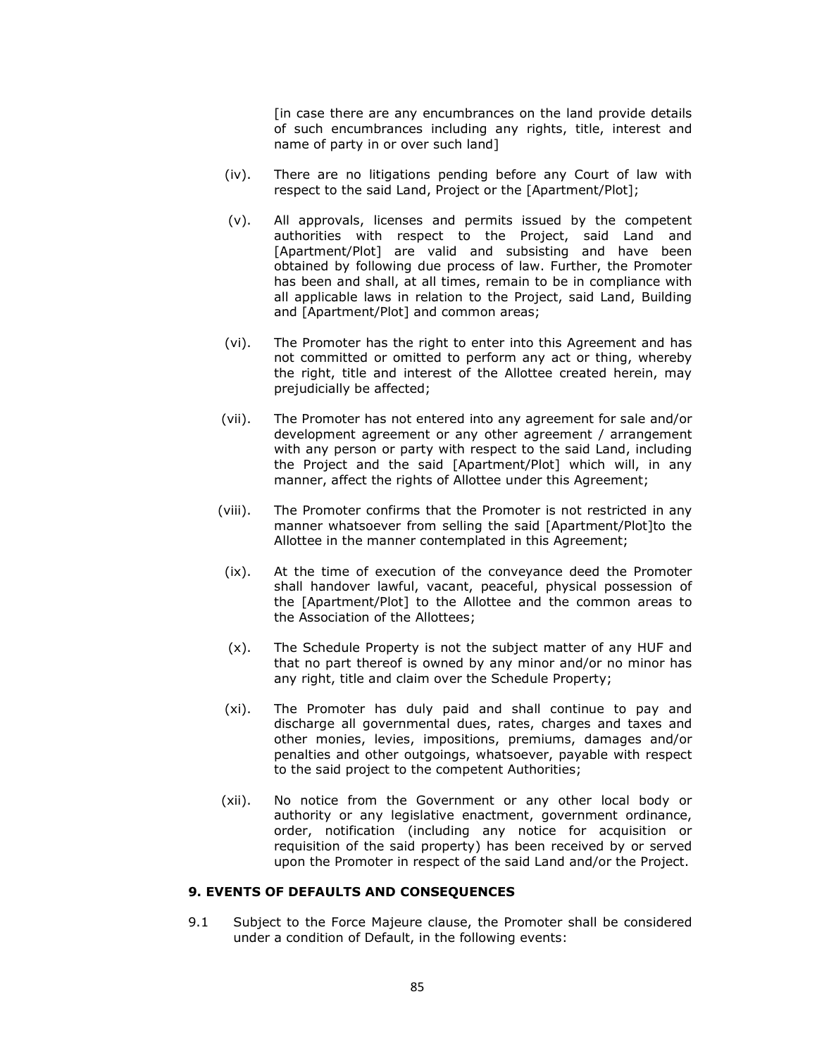[in case there are any encumbrances on the land provide details of such encumbrances including any rights, title, interest and name of party in or over such land]

- (iv). There are no litigations pending before any Court of law with respect to the said Land, Project or the [Apartment/Plot];
- (v). All approvals, licenses and permits issued by the competent authorities with respect to the Project, said Land and [Apartment/Plot] are valid and subsisting and have been obtained by following due process of law. Further, the Promoter has been and shall, at all times, remain to be in compliance with all applicable laws in relation to the Project, said Land, Building and [Apartment/Plot] and common areas;
- (vi). The Promoter has the right to enter into this Agreement and has not committed or omitted to perform any act or thing, whereby the right, title and interest of the Allottee created herein, may prejudicially be affected;
- (vii). The Promoter has not entered into any agreement for sale and/or development agreement or any other agreement / arrangement with any person or party with respect to the said Land, including the Project and the said [Apartment/Plot] which will, in any manner, affect the rights of Allottee under this Agreement;
- (viii). The Promoter confirms that the Promoter is not restricted in any manner whatsoever from selling the said [Apartment/Plot]to the Allottee in the manner contemplated in this Agreement;
- (ix). At the time of execution of the conveyance deed the Promoter shall handover lawful, vacant, peaceful, physical possession of the [Apartment/Plot] to the Allottee and the common areas to the Association of the Allottees;
- (x). The Schedule Property is not the subject matter of any HUF and that no part thereof is owned by any minor and/or no minor has any right, title and claim over the Schedule Property;
- (xi). The Promoter has duly paid and shall continue to pay and discharge all governmental dues, rates, charges and taxes and other monies, levies, impositions, premiums, damages and/or penalties and other outgoings, whatsoever, payable with respect to the said project to the competent Authorities;
- (xii). No notice from the Government or any other local body or authority or any legislative enactment, government ordinance, order, notification (including any notice for acquisition or requisition of the said property) has been received by or served upon the Promoter in respect of the said Land and/or the Project.

#### **9. EVENTS OF DEFAULTS AND CONSEQUENCES**

9.1 Subject to the Force Majeure clause, the Promoter shall be considered under a condition of Default, in the following events: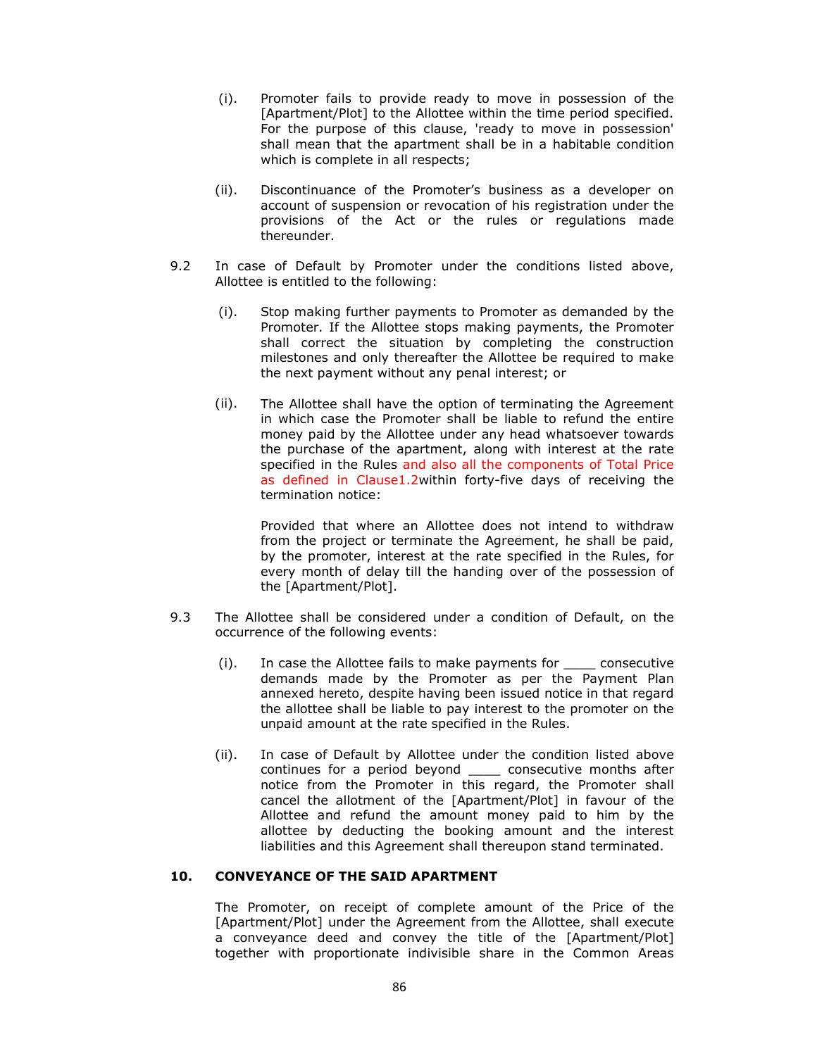- (i). Promoter fails to provide ready to move in possession of the [Apartment/Plot] to the Allottee within the time period specified. For the purpose of this clause, 'ready to move in possession' shall mean that the apartment shall be in a habitable condition which is complete in all respects;
- (ii). Discontinuance of the Promoter's business as a developer on account of suspension or revocation of his registration under the provisions of the Act or the rules or regulations made thereunder.
- 9.2 In case of Default by Promoter under the conditions listed above, Allottee is entitled to the following:
	- (i). Stop making further payments to Promoter as demanded by the Promoter. If the Allottee stops making payments, the Promoter shall correct the situation by completing the construction milestones and only thereafter the Allottee be required to make the next payment without any penal interest; or
	- (ii). The Allottee shall have the option of terminating the Agreement in which case the Promoter shall be liable to refund the entire money paid by the Allottee under any head whatsoever towards the purchase of the apartment, along with interest at the rate specified in the Rules and also all the components of Total Price as defined in Clause1.2within forty-five days of receiving the termination notice:

Provided that where an Allottee does not intend to withdraw from the project or terminate the Agreement, he shall be paid, by the promoter, interest at the rate specified in the Rules, for every month of delay till the handing over of the possession of the [Apartment/Plot].

- 9.3 The Allottee shall be considered under a condition of Default, on the occurrence of the following events:
	- (i). In case the Allottee fails to make payments for \_\_\_\_ consecutive demands made by the Promoter as per the Payment Plan annexed hereto, despite having been issued notice in that regard the allottee shall be liable to pay interest to the promoter on the unpaid amount at the rate specified in the Rules.
	- (ii). In case of Default by Allottee under the condition listed above continues for a period beyond \_\_\_\_ consecutive months after notice from the Promoter in this regard, the Promoter shall cancel the allotment of the [Apartment/Plot] in favour of the Allottee and refund the amount money paid to him by the allottee by deducting the booking amount and the interest liabilities and this Agreement shall thereupon stand terminated.

## **10. CONVEYANCE OF THE SAID APARTMENT**

The Promoter, on receipt of complete amount of the Price of the [Apartment/Plot] under the Agreement from the Allottee, shall execute a conveyance deed and convey the title of the [Apartment/Plot] together with proportionate indivisible share in the Common Areas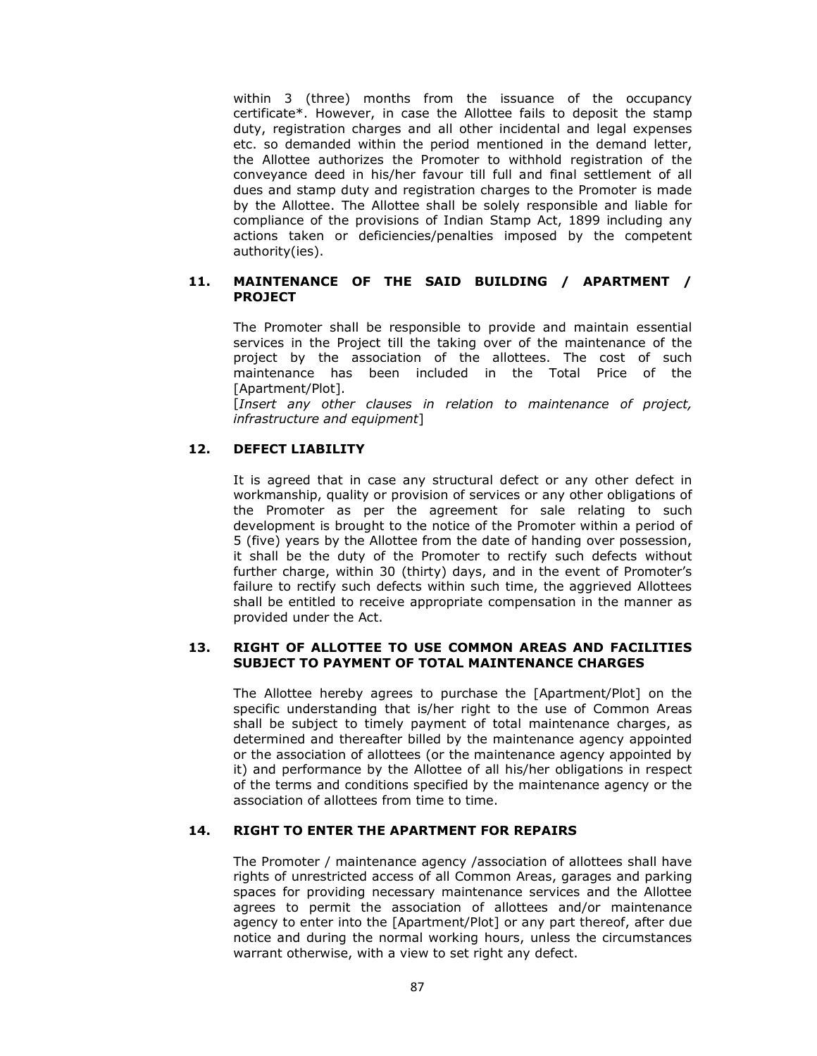within 3 (three) months from the issuance of the occupancy certificate\*. However, in case the Allottee fails to deposit the stamp duty, registration charges and all other incidental and legal expenses etc. so demanded within the period mentioned in the demand letter, the Allottee authorizes the Promoter to withhold registration of the conveyance deed in his/her favour till full and final settlement of all dues and stamp duty and registration charges to the Promoter is made by the Allottee. The Allottee shall be solely responsible and liable for compliance of the provisions of Indian Stamp Act, 1899 including any actions taken or deficiencies/penalties imposed by the competent authority(ies).

## **11. MAINTENANCE OF THE SAID BUILDING / APARTMENT / PROJECT**

The Promoter shall be responsible to provide and maintain essential services in the Project till the taking over of the maintenance of the project by the association of the allottees. The cost of such maintenance has been included in the Total Price of the [Apartment/Plot].

[*Insert any other clauses in relation to maintenance of project, infrastructure and equipment*]

# **12. DEFECT LIABILITY**

It is agreed that in case any structural defect or any other defect in workmanship, quality or provision of services or any other obligations of the Promoter as per the agreement for sale relating to such development is brought to the notice of the Promoter within a period of 5 (five) years by the Allottee from the date of handing over possession, it shall be the duty of the Promoter to rectify such defects without further charge, within 30 (thirty) days, and in the event of Promoter's failure to rectify such defects within such time, the aggrieved Allottees shall be entitled to receive appropriate compensation in the manner as provided under the Act.

## **13. RIGHT OF ALLOTTEE TO USE COMMON AREAS AND FACILITIES SUBJECT TO PAYMENT OF TOTAL MAINTENANCE CHARGES**

The Allottee hereby agrees to purchase the [Apartment/Plot] on the specific understanding that is/her right to the use of Common Areas shall be subject to timely payment of total maintenance charges, as determined and thereafter billed by the maintenance agency appointed or the association of allottees (or the maintenance agency appointed by it) and performance by the Allottee of all his/her obligations in respect of the terms and conditions specified by the maintenance agency or the association of allottees from time to time.

## **14. RIGHT TO ENTER THE APARTMENT FOR REPAIRS**

The Promoter / maintenance agency /association of allottees shall have rights of unrestricted access of all Common Areas, garages and parking spaces for providing necessary maintenance services and the Allottee agrees to permit the association of allottees and/or maintenance agency to enter into the [Apartment/Plot] or any part thereof, after due notice and during the normal working hours, unless the circumstances warrant otherwise, with a view to set right any defect.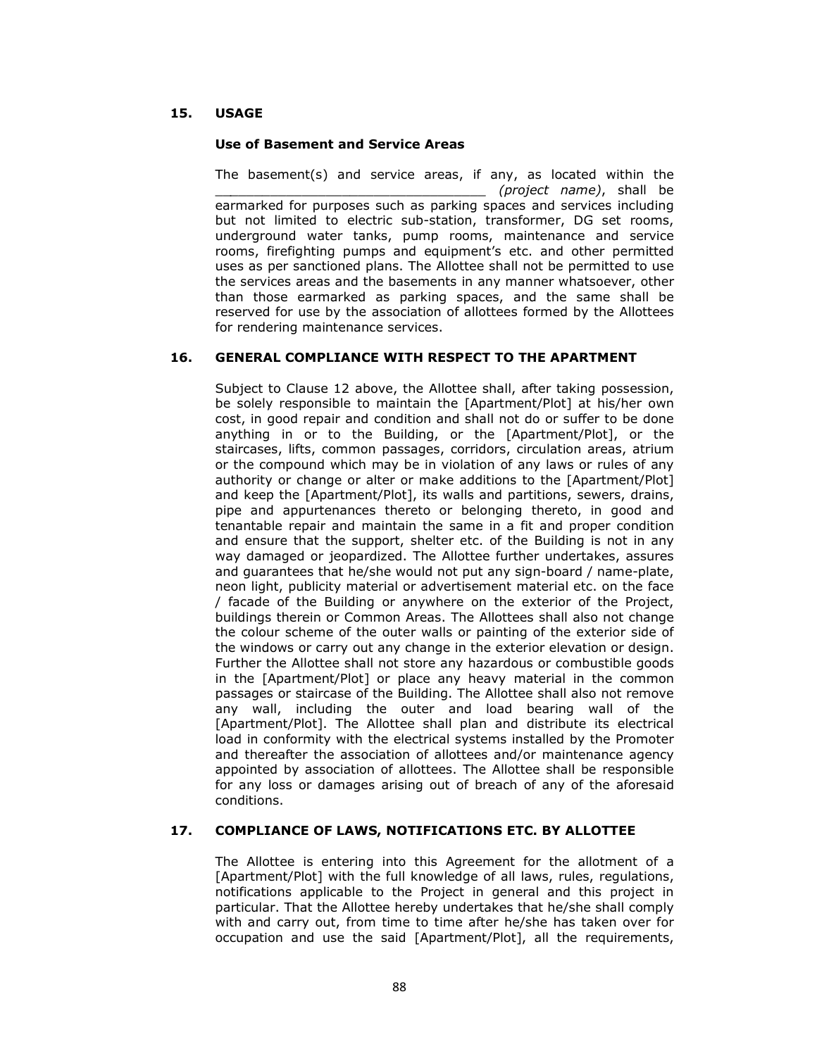# **15. USAGE**

### **Use of Basement and Service Areas**

The basement(s) and service areas, if any, as located within the \_\_*\_\_\_\_\_\_\_\_\_\_\_\_\_\_\_\_\_\_\_\_\_\_\_\_\_\_\_\_\_\_\_\_ (project name)*, shall be earmarked for purposes such as parking spaces and services including but not limited to electric sub-station, transformer, DG set rooms, underground water tanks, pump rooms, maintenance and service rooms, firefighting pumps and equipment's etc. and other permitted uses as per sanctioned plans. The Allottee shall not be permitted to use the services areas and the basements in any manner whatsoever, other than those earmarked as parking spaces, and the same shall be reserved for use by the association of allottees formed by the Allottees for rendering maintenance services.

## **16. GENERAL COMPLIANCE WITH RESPECT TO THE APARTMENT**

Subject to Clause 12 above, the Allottee shall, after taking possession, be solely responsible to maintain the [Apartment/Plot] at his/her own cost, in good repair and condition and shall not do or suffer to be done anything in or to the Building, or the [Apartment/Plot], or the staircases, lifts, common passages, corridors, circulation areas, atrium or the compound which may be in violation of any laws or rules of any authority or change or alter or make additions to the [Apartment/Plot] and keep the [Apartment/Plot], its walls and partitions, sewers, drains, pipe and appurtenances thereto or belonging thereto, in good and tenantable repair and maintain the same in a fit and proper condition and ensure that the support, shelter etc. of the Building is not in any way damaged or jeopardized. The Allottee further undertakes, assures and guarantees that he/she would not put any sign-board / name-plate, neon light, publicity material or advertisement material etc. on the face / facade of the Building or anywhere on the exterior of the Project, buildings therein or Common Areas. The Allottees shall also not change the colour scheme of the outer walls or painting of the exterior side of the windows or carry out any change in the exterior elevation or design. Further the Allottee shall not store any hazardous or combustible goods in the [Apartment/Plot] or place any heavy material in the common passages or staircase of the Building. The Allottee shall also not remove any wall, including the outer and load bearing wall of the [Apartment/Plot]. The Allottee shall plan and distribute its electrical load in conformity with the electrical systems installed by the Promoter and thereafter the association of allottees and/or maintenance agency appointed by association of allottees. The Allottee shall be responsible for any loss or damages arising out of breach of any of the aforesaid conditions.

## **17. COMPLIANCE OF LAWS, NOTIFICATIONS ETC. BY ALLOTTEE**

The Allottee is entering into this Agreement for the allotment of a [Apartment/Plot] with the full knowledge of all laws, rules, regulations, notifications applicable to the Project in general and this project in particular. That the Allottee hereby undertakes that he/she shall comply with and carry out, from time to time after he/she has taken over for occupation and use the said [Apartment/Plot], all the requirements,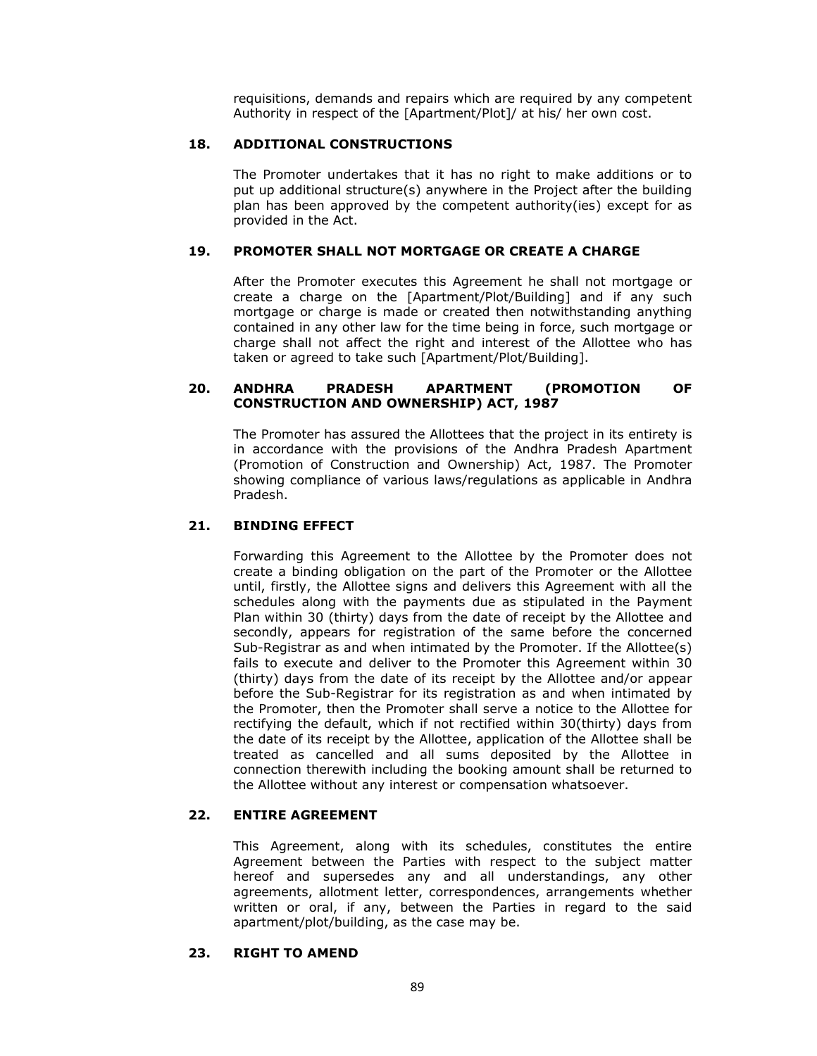requisitions, demands and repairs which are required by any competent Authority in respect of the [Apartment/Plot]/ at his/ her own cost.

### **18. ADDITIONAL CONSTRUCTIONS**

The Promoter undertakes that it has no right to make additions or to put up additional structure(s) anywhere in the Project after the building plan has been approved by the competent authority(ies) except for as provided in the Act.

## **19. PROMOTER SHALL NOT MORTGAGE OR CREATE A CHARGE**

After the Promoter executes this Agreement he shall not mortgage or create a charge on the [Apartment/Plot/Building] and if any such mortgage or charge is made or created then notwithstanding anything contained in any other law for the time being in force, such mortgage or charge shall not affect the right and interest of the Allottee who has taken or agreed to take such [Apartment/Plot/Building].

## **20. ANDHRA PRADESH APARTMENT (PROMOTION OF CONSTRUCTION AND OWNERSHIP) ACT, 1987**

The Promoter has assured the Allottees that the project in its entirety is in accordance with the provisions of the Andhra Pradesh Apartment (Promotion of Construction and Ownership) Act, 1987. The Promoter showing compliance of various laws/regulations as applicable in Andhra Pradesh.

## **21. BINDING EFFECT**

Forwarding this Agreement to the Allottee by the Promoter does not create a binding obligation on the part of the Promoter or the Allottee until, firstly, the Allottee signs and delivers this Agreement with all the schedules along with the payments due as stipulated in the Payment Plan within 30 (thirty) days from the date of receipt by the Allottee and secondly, appears for registration of the same before the concerned Sub-Registrar as and when intimated by the Promoter. If the Allottee(s) fails to execute and deliver to the Promoter this Agreement within 30 (thirty) days from the date of its receipt by the Allottee and/or appear before the Sub-Registrar for its registration as and when intimated by the Promoter, then the Promoter shall serve a notice to the Allottee for rectifying the default, which if not rectified within 30(thirty) days from the date of its receipt by the Allottee, application of the Allottee shall be treated as cancelled and all sums deposited by the Allottee in connection therewith including the booking amount shall be returned to the Allottee without any interest or compensation whatsoever.

# **22. ENTIRE AGREEMENT**

This Agreement, along with its schedules, constitutes the entire Agreement between the Parties with respect to the subject matter hereof and supersedes any and all understandings, any other agreements, allotment letter, correspondences, arrangements whether written or oral, if any, between the Parties in regard to the said apartment/plot/building, as the case may be.

## **23. RIGHT TO AMEND**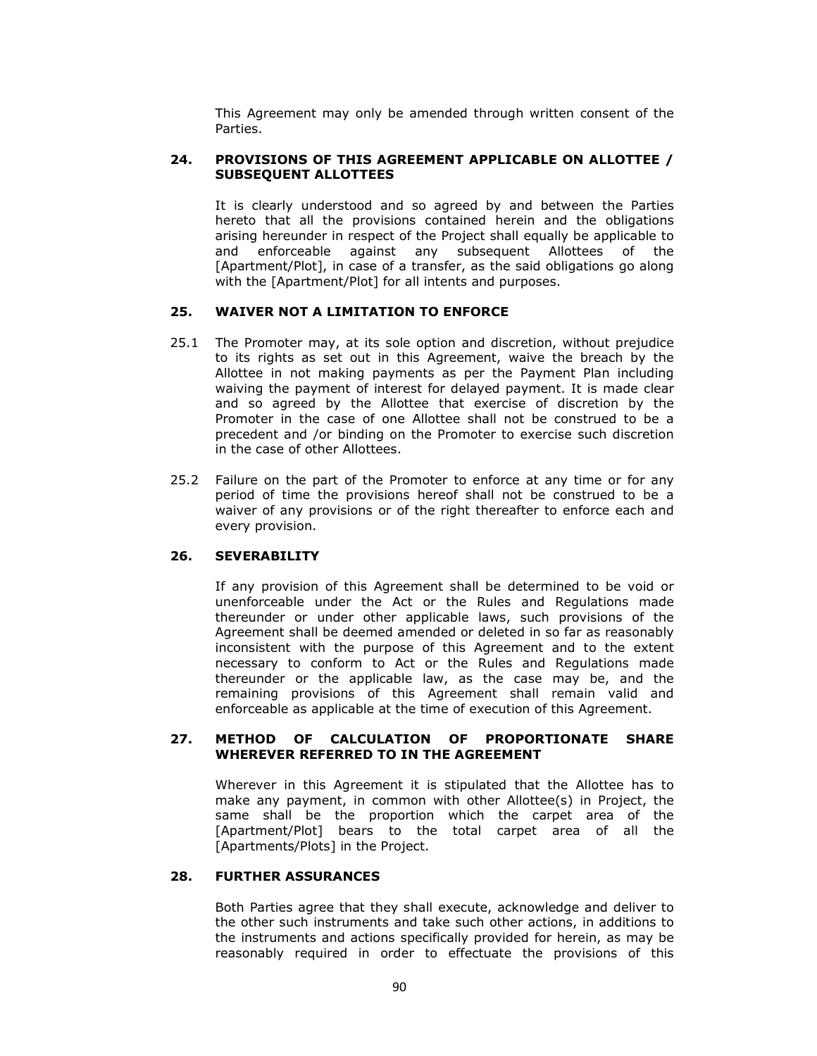This Agreement may only be amended through written consent of the Parties.

### **24. PROVISIONS OF THIS AGREEMENT APPLICABLE ON ALLOTTEE / SUBSEQUENT ALLOTTEES**

It is clearly understood and so agreed by and between the Parties hereto that all the provisions contained herein and the obligations arising hereunder in respect of the Project shall equally be applicable to and enforceable against any subsequent Allottees of the [Apartment/Plot], in case of a transfer, as the said obligations go along with the [Apartment/Plot] for all intents and purposes.

#### **25. WAIVER NOT A LIMITATION TO ENFORCE**

- 25.1 The Promoter may, at its sole option and discretion, without prejudice to its rights as set out in this Agreement, waive the breach by the Allottee in not making payments as per the Payment Plan including waiving the payment of interest for delayed payment. It is made clear and so agreed by the Allottee that exercise of discretion by the Promoter in the case of one Allottee shall not be construed to be a precedent and /or binding on the Promoter to exercise such discretion in the case of other Allottees.
- 25.2 Failure on the part of the Promoter to enforce at any time or for any period of time the provisions hereof shall not be construed to be a waiver of any provisions or of the right thereafter to enforce each and every provision.

#### **26. SEVERABILITY**

If any provision of this Agreement shall be determined to be void or unenforceable under the Act or the Rules and Regulations made thereunder or under other applicable laws, such provisions of the Agreement shall be deemed amended or deleted in so far as reasonably inconsistent with the purpose of this Agreement and to the extent necessary to conform to Act or the Rules and Regulations made thereunder or the applicable law, as the case may be, and the remaining provisions of this Agreement shall remain valid and enforceable as applicable at the time of execution of this Agreement.

#### **27. METHOD OF CALCULATION OF PROPORTIONATE SHARE WHEREVER REFERRED TO IN THE AGREEMENT**

Wherever in this Agreement it is stipulated that the Allottee has to make any payment, in common with other Allottee(s) in Project, the same shall be the proportion which the carpet area of the [Apartment/Plot] bears to the total carpet area of all the [Apartments/Plots] in the Project.

#### **28. FURTHER ASSURANCES**

Both Parties agree that they shall execute, acknowledge and deliver to the other such instruments and take such other actions, in additions to the instruments and actions specifically provided for herein, as may be reasonably required in order to effectuate the provisions of this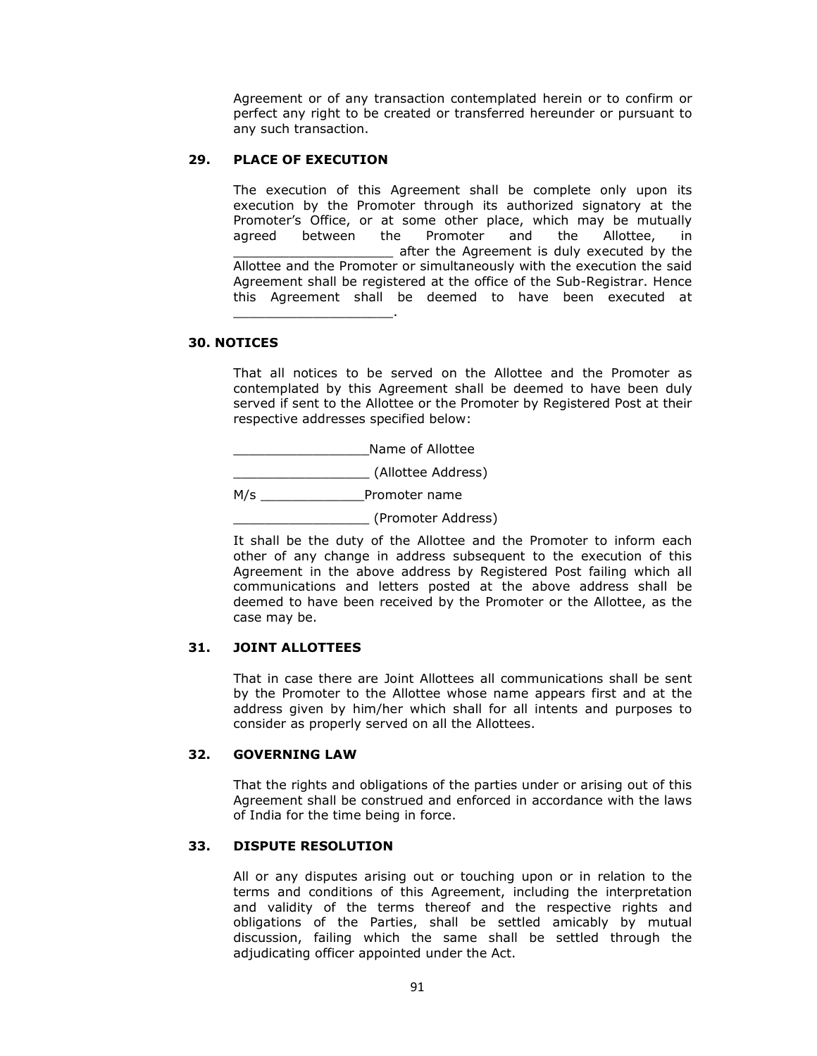Agreement or of any transaction contemplated herein or to confirm or perfect any right to be created or transferred hereunder or pursuant to any such transaction.

#### **29. PLACE OF EXECUTION**

\_\_\_\_\_\_\_\_\_\_\_\_\_\_\_\_\_\_\_\_.

The execution of this Agreement shall be complete only upon its execution by the Promoter through its authorized signatory at the Promoter's Office, or at some other place, which may be mutually agreed between the Promoter and the Allottee, in \_\_\_\_\_\_\_\_\_\_\_\_\_\_\_\_\_\_\_\_ after the Agreement is duly executed by the Allottee and the Promoter or simultaneously with the execution the said Agreement shall be registered at the office of the Sub-Registrar. Hence this Agreement shall be deemed to have been executed at

#### **30. NOTICES**

That all notices to be served on the Allottee and the Promoter as contemplated by this Agreement shall be deemed to have been duly served if sent to the Allottee or the Promoter by Registered Post at their respective addresses specified below:

\_\_\_\_\_\_\_\_\_\_\_\_\_\_\_\_\_Name of Allottee

\_\_\_\_\_\_\_\_\_\_\_\_\_\_\_\_\_ (Allottee Address)

M/s \_\_\_\_\_\_\_\_\_\_\_\_\_\_\_\_Promoter name

\_\_\_\_\_\_\_\_\_\_\_\_\_\_\_\_\_ (Promoter Address)

It shall be the duty of the Allottee and the Promoter to inform each other of any change in address subsequent to the execution of this Agreement in the above address by Registered Post failing which all communications and letters posted at the above address shall be deemed to have been received by the Promoter or the Allottee, as the case may be.

# **31. JOINT ALLOTTEES**

That in case there are Joint Allottees all communications shall be sent by the Promoter to the Allottee whose name appears first and at the address given by him/her which shall for all intents and purposes to consider as properly served on all the Allottees.

#### **32. GOVERNING LAW**

That the rights and obligations of the parties under or arising out of this Agreement shall be construed and enforced in accordance with the laws of India for the time being in force.

#### **33. DISPUTE RESOLUTION**

All or any disputes arising out or touching upon or in relation to the terms and conditions of this Agreement, including the interpretation and validity of the terms thereof and the respective rights and obligations of the Parties, shall be settled amicably by mutual discussion, failing which the same shall be settled through the adjudicating officer appointed under the Act.